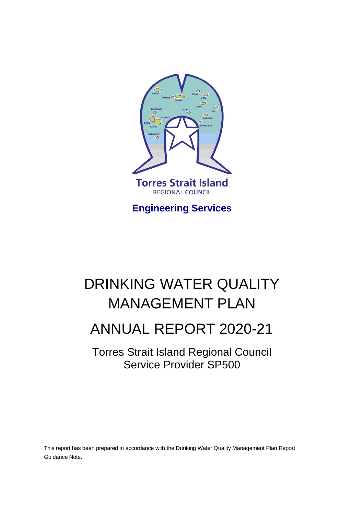

**Engineering Services**

## DRINKING WATER QUALITY MANAGEMENT PLAN

## ANNUAL REPORT 2020-21

Torres Strait Island Regional Council Service Provider SP500

This report has been prepared in accordance with the Drinking Water Quality Management Plan Report Guidance Note.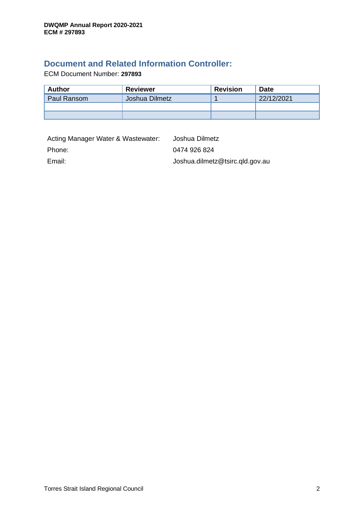### **Document and Related Information Controller:**

ECM Document Number: **297893**

| Author      | <b>Reviewer</b> | <b>Revision</b> | <b>Date</b> |  |
|-------------|-----------------|-----------------|-------------|--|
| Paul Ransom | Joshua Dilmetz  |                 | 22/12/2021  |  |
|             |                 |                 |             |  |
|             |                 |                 |             |  |

| Acting Manager Water & Wastewater: | Joshua Dilmetz                  |
|------------------------------------|---------------------------------|
| Phone:                             | 0474 926 824                    |
| Email:                             | Joshua.dilmetz@tsirc.qld.gov.au |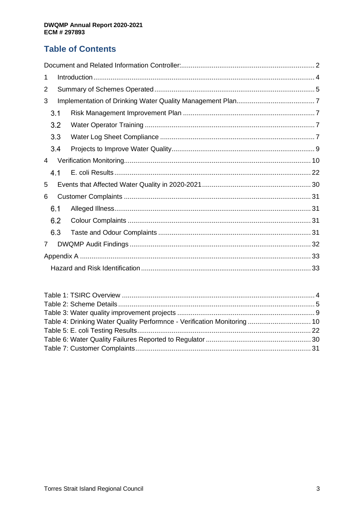### **Table of Contents**

| 1 |     |  |  |  |  |  |  |
|---|-----|--|--|--|--|--|--|
| 2 |     |  |  |  |  |  |  |
| 3 |     |  |  |  |  |  |  |
|   | 3.1 |  |  |  |  |  |  |
|   | 3.2 |  |  |  |  |  |  |
|   | 3.3 |  |  |  |  |  |  |
|   | 3.4 |  |  |  |  |  |  |
| 4 |     |  |  |  |  |  |  |
|   | 4.1 |  |  |  |  |  |  |
| 5 |     |  |  |  |  |  |  |
| 6 |     |  |  |  |  |  |  |
|   | 6.1 |  |  |  |  |  |  |
|   | 6.2 |  |  |  |  |  |  |
|   | 6.3 |  |  |  |  |  |  |
| 7 |     |  |  |  |  |  |  |
|   |     |  |  |  |  |  |  |
|   |     |  |  |  |  |  |  |

| Table 4: Drinking Water Quality Performnce - Verification Monitoring  10 |  |
|--------------------------------------------------------------------------|--|
|                                                                          |  |
|                                                                          |  |
|                                                                          |  |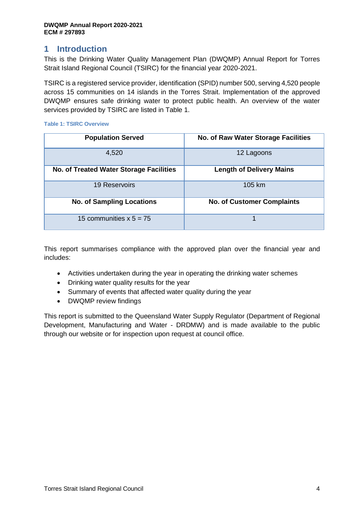### **1 Introduction**

This is the Drinking Water Quality Management Plan (DWQMP) Annual Report for Torres Strait Island Regional Council (TSIRC) for the financial year 2020-2021.

TSIRC is a registered service provider, identification (SPID) number 500, serving 4,520 people across 15 communities on 14 islands in the Torres Strait. Implementation of the approved DWQMP ensures safe drinking water to protect public health. An overview of the water services provided by TSIRC are listed in Table 1.

| <b>Population Served</b>                | <b>No. of Raw Water Storage Facilities</b> |  |  |  |
|-----------------------------------------|--------------------------------------------|--|--|--|
| 4,520                                   | 12 Lagoons                                 |  |  |  |
| No. of Treated Water Storage Facilities | <b>Length of Delivery Mains</b>            |  |  |  |
| <b>19 Reservoirs</b>                    | 105 km                                     |  |  |  |
| <b>No. of Sampling Locations</b>        | <b>No. of Customer Complaints</b>          |  |  |  |
| 15 communities $x 5 = 75$               |                                            |  |  |  |

#### **Table 1: TSIRC Overview**

This report summarises compliance with the approved plan over the financial year and includes:

- Activities undertaken during the year in operating the drinking water schemes
- Drinking water quality results for the year
- Summary of events that affected water quality during the year
- DWQMP review findings

This report is submitted to the Queensland Water Supply Regulator (Department of Regional Development, Manufacturing and Water - DRDMW) and is made available to the public through our website or for inspection upon request at council office.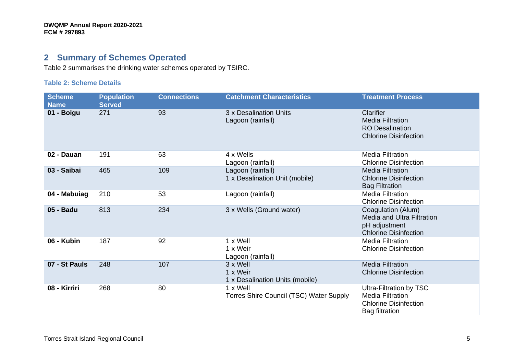### **2 Summary of Schemes Operated**

Table 2 summarises the drinking water schemes operated by TSIRC.

#### **Table 2: Scheme Details**

| <b>Scheme</b><br><b>Name</b> | <b>Population</b><br>Served | <b>Connections</b> | <b>Catchment Characteristics</b>                        | <b>Treatment Process</b>                                                                                    |
|------------------------------|-----------------------------|--------------------|---------------------------------------------------------|-------------------------------------------------------------------------------------------------------------|
| 01 - Boigu                   | 271                         | 93                 | 3 x Desalination Units<br>Lagoon (rainfall)             | Clarifier<br><b>Media Filtration</b><br><b>RO Desalination</b><br><b>Chlorine Disinfection</b>              |
| 02 - Dauan                   | 191                         | 63                 | 4 x Wells<br>Lagoon (rainfall)                          | <b>Media Filtration</b><br><b>Chlorine Disinfection</b>                                                     |
| 03 - Saibai                  | 465                         | 109                | Lagoon (rainfall)<br>1 x Desalination Unit (mobile)     | <b>Media Filtration</b><br><b>Chlorine Disinfection</b><br><b>Bag Filtration</b>                            |
| 04 - Mabuiag                 | 210                         | 53                 | Lagoon (rainfall)                                       | <b>Media Filtration</b><br><b>Chlorine Disinfection</b>                                                     |
| 05 - Badu                    | 813                         | 234                | 3 x Wells (Ground water)                                | Coagulation (Alum)<br><b>Media and Ultra Filtration</b><br>pH adjustment<br><b>Chlorine Disinfection</b>    |
| 06 - Kubin                   | 187                         | 92                 | 1 x Well<br>1 x Weir<br>Lagoon (rainfall)               | <b>Media Filtration</b><br><b>Chlorine Disinfection</b>                                                     |
| 07 - St Pauls                | 248                         | 107                | 3 x Well<br>1 x Weir<br>1 x Desalination Units (mobile) | <b>Media Filtration</b><br><b>Chlorine Disinfection</b>                                                     |
| 08 - Kirriri                 | 268                         | 80                 | 1 x Well<br>Torres Shire Council (TSC) Water Supply     | Ultra-Filtration by TSC<br><b>Media Filtration</b><br><b>Chlorine Disinfection</b><br><b>Bag filtration</b> |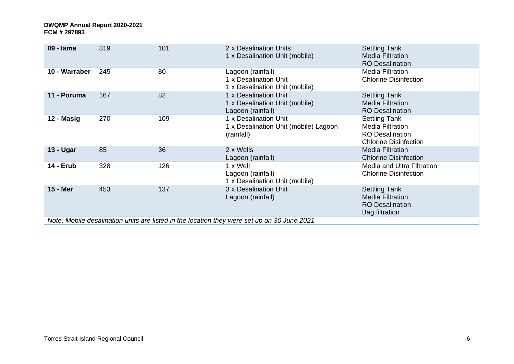| 09 - Iama        | 319                                                                                         | 101 | 2 x Desalination Units<br>1 x Desalination Unit (mobile)                     | <b>Settling Tank</b><br><b>Media Filtration</b><br><b>RO Desalination</b>                                 |  |  |  |  |
|------------------|---------------------------------------------------------------------------------------------|-----|------------------------------------------------------------------------------|-----------------------------------------------------------------------------------------------------------|--|--|--|--|
| 10 - Warraber    | 245                                                                                         | 80  | Lagoon (rainfall)<br>1 x Desalination Unit<br>1 x Desalination Unit (mobile) | <b>Media Filtration</b><br><b>Chlorine Disinfection</b>                                                   |  |  |  |  |
| 11 - Poruma      | 167                                                                                         | 82  | 1 x Desalination Unit<br>1 x Desalination Unit (mobile)<br>Lagoon (rainfall) | <b>Settling Tank</b><br><b>Media Filtration</b><br><b>RO Desalination</b>                                 |  |  |  |  |
| 12 - Masig       | 270                                                                                         | 109 | 1 x Desalination Unit<br>1 x Desalination Unit (mobile) Lagoon<br>(rainfall) | <b>Settling Tank</b><br><b>Media Filtration</b><br><b>RO</b> Desalination<br><b>Chlorine Disinfection</b> |  |  |  |  |
| 13 - Ugar        | 85                                                                                          | 36  | 2 x Wells<br>Lagoon (rainfall)                                               | <b>Media Filtration</b><br><b>Chlorine Disinfection</b>                                                   |  |  |  |  |
| <b>14 - Erub</b> | 328                                                                                         | 126 | 1 x Well<br>Lagoon (rainfall)<br>1 x Desalination Unit (mobile)              | Media and Ultra Filtration<br><b>Chlorine Disinfection</b>                                                |  |  |  |  |
| 15 - Mer         | 453                                                                                         | 137 | 3 x Desalination Unit<br>Lagoon (rainfall)                                   | <b>Settling Tank</b><br><b>Media Filtration</b><br><b>RO Desalination</b><br><b>Bag filtration</b>        |  |  |  |  |
|                  | Note: Mobile desalination units are listed in the location they were set up on 30 June 2021 |     |                                                                              |                                                                                                           |  |  |  |  |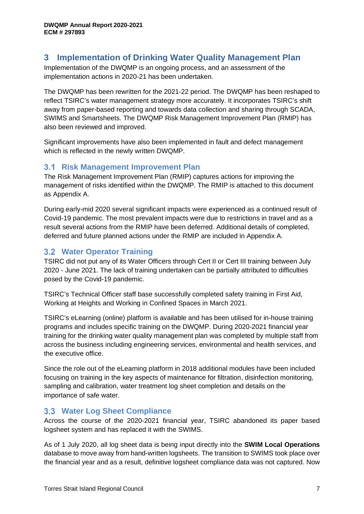### **3 Implementation of Drinking Water Quality Management Plan**

Implementation of the DWQMP is an ongoing process, and an assessment of the implementation actions in 2020-21 has been undertaken.

The DWQMP has been rewritten for the 2021-22 period. The DWQMP has been reshaped to reflect TSIRC's water management strategy more accurately. It incorporates TSIRC's shift away from paper-based reporting and towards data collection and sharing through SCADA, SWIMS and Smartsheets. The DWQMP Risk Management Improvement Plan (RMIP) has also been reviewed and improved.

Significant improvements have also been implemented in fault and defect management which is reflected in the newly written DWQMP.

### **3.1 Risk Management Improvement Plan**

The Risk Management Improvement Plan (RMIP) captures actions for improving the management of risks identified within the DWQMP. The RMIP is attached to this document as Appendix A.

During early-mid 2020 several significant impacts were experienced as a continued result of Covid-19 pandemic. The most prevalent impacts were due to restrictions in travel and as a result several actions from the RMIP have been deferred. Additional details of completed, deferred and future planned actions under the RMIP are included in Appendix A.

### **3.2 Water Operator Training**

TSIRC did not put any of its Water Officers through Cert II or Cert III training between July 2020 - June 2021. The lack of training undertaken can be partially attributed to difficulties posed by the Covid-19 pandemic.

TSIRC's Technical Officer staff base successfully completed safety training in First Aid, Working at Heights and Working in Confined Spaces in March 2021.

TSIRC's eLearning (online) platform is available and has been utilised for in-house training programs and includes specific training on the DWQMP. During 2020-2021 financial year training for the drinking water quality management plan was completed by multiple staff from across the business including engineering services, environmental and health services, and the executive office.

Since the role out of the eLearning platform in 2018 additional modules have been included focusing on training in the key aspects of maintenance for filtration, disinfection monitoring, sampling and calibration, water treatment log sheet completion and details on the importance of safe water.

### **3.3 Water Log Sheet Compliance**

Across the course of the 2020-2021 financial year, TSIRC abandoned its paper based logsheet system and has replaced it with the SWIMS.

As of 1 July 2020, all log sheet data is being input directly into the **SWIM Local Operations** database to move away from hand-written logsheets. The transition to SWIMS took place over the financial year and as a result, definitive logsheet compliance data was not captured. Now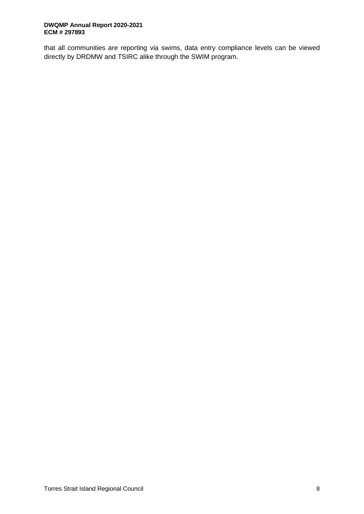that all communities are reporting via swims, data entry compliance levels can be viewed directly by DRDMW and TSIRC alike through the SWIM program.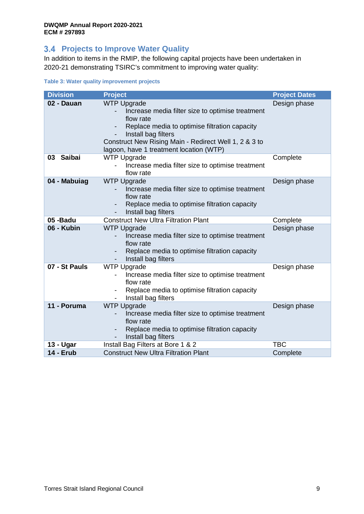### **3.4 Projects to Improve Water Quality**

In addition to items in the RMIP, the following capital projects have been undertaken in 2020-21 demonstrating TSIRC's commitment to improving water quality:

|  |  | Table 3: Water quality improvement projects |  |
|--|--|---------------------------------------------|--|
|  |  |                                             |  |

| <b>Division</b>     | <b>Project</b>                                                                                                                                                                                                                                                  | <b>Project Dates</b> |
|---------------------|-----------------------------------------------------------------------------------------------------------------------------------------------------------------------------------------------------------------------------------------------------------------|----------------------|
| 02 - Dauan          | <b>WTP Upgrade</b><br>Increase media filter size to optimise treatment<br>flow rate<br>Replace media to optimise filtration capacity<br>Install bag filters<br>Construct New Rising Main - Redirect Well 1, 2 & 3 to<br>lagoon, have 1 treatment location (WTP) | Design phase         |
| <b>Saibai</b><br>03 | <b>WTP Upgrade</b><br>Increase media filter size to optimise treatment<br>flow rate                                                                                                                                                                             | Complete             |
| 04 - Mabuiag        | <b>WTP Upgrade</b><br>Increase media filter size to optimise treatment<br>flow rate<br>Replace media to optimise filtration capacity<br>Install bag filters                                                                                                     | Design phase         |
| 05-Badu             | <b>Construct New Ultra Filtration Plant</b>                                                                                                                                                                                                                     | Complete             |
| 06 - Kubin          | <b>WTP Upgrade</b><br>Increase media filter size to optimise treatment<br>flow rate<br>Replace media to optimise filtration capacity<br>Install bag filters                                                                                                     | Design phase         |
| 07 - St Pauls       | <b>WTP Upgrade</b><br>Increase media filter size to optimise treatment<br>flow rate<br>Replace media to optimise filtration capacity<br>Install bag filters                                                                                                     | Design phase         |
| 11 - Poruma         | <b>WTP Upgrade</b><br>Increase media filter size to optimise treatment<br>flow rate<br>Replace media to optimise filtration capacity<br>Install bag filters                                                                                                     | Design phase         |
| 13 - Ugar           | Install Bag Filters at Bore 1 & 2                                                                                                                                                                                                                               | <b>TBC</b>           |
| <b>14 - Erub</b>    | <b>Construct New Ultra Filtration Plant</b>                                                                                                                                                                                                                     | Complete             |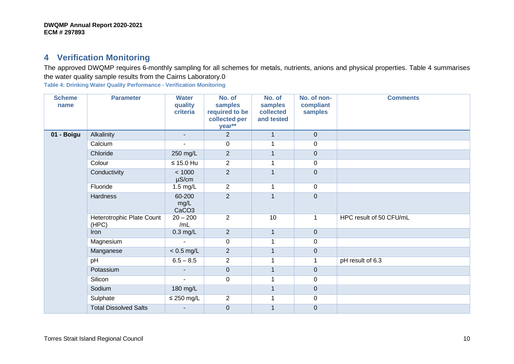### **4 Verification Monitoring**

The approved DWQMP requires 6-monthly sampling for all schemes for metals, nutrients, anions and physical properties. Table 4 summarises the water quality sample results from the Cairns Laboratory.0

**Table 4: Drinking Water Quality Performance - Verification Monitoring**

| <b>Scheme</b><br>name | <b>Parameter</b>                   | <b>Water</b><br>quality<br>criteria | No. of<br>samples<br>required to be<br>collected per<br>year** | No. of<br>samples<br>collected<br>and tested | No. of non-<br>compliant<br>samples | <b>Comments</b>         |
|-----------------------|------------------------------------|-------------------------------------|----------------------------------------------------------------|----------------------------------------------|-------------------------------------|-------------------------|
| 01 - Boigu            | Alkalinity                         | $\overline{\phantom{a}}$            | $\overline{2}$                                                 | $\mathbf{1}$                                 | $\overline{0}$                      |                         |
|                       | Calcium                            |                                     | 0                                                              | 1                                            | $\mathbf 0$                         |                         |
|                       | Chloride                           | 250 mg/L                            | $\overline{2}$                                                 | $\mathbf{1}$                                 | $\overline{0}$                      |                         |
|                       | Colour                             | $\leq 15.0$ Hu                      | $\overline{2}$                                                 | 1                                            | $\mathbf 0$                         |                         |
|                       | Conductivity                       | < 1000<br>$\mu$ S/cm                | $\overline{2}$                                                 | $\mathbf{1}$                                 | $\mathbf 0$                         |                         |
|                       | Fluoride                           | $1.5$ mg/L                          | $\overline{2}$                                                 | $\mathbf{1}$                                 | $\mathsf 0$                         |                         |
|                       | Hardness                           | 60-200<br>mg/L<br>CaCO <sub>3</sub> | $\overline{2}$                                                 | $\mathbf{1}$                                 | $\mathbf 0$                         |                         |
|                       | Heterotrophic Plate Count<br>(HPC) | $20 - 200$<br>/mL                   | $\overline{2}$                                                 | 10                                           | 1                                   | HPC result of 50 CFU/mL |
|                       | Iron                               | $0.3$ mg/L                          | $\overline{2}$                                                 | $\mathbf{1}$                                 | $\mathbf 0$                         |                         |
|                       | Magnesium                          | $\blacksquare$                      | 0                                                              | 1                                            | 0                                   |                         |
|                       | Manganese                          | $< 0.5$ mg/L                        | $\overline{2}$                                                 | 1                                            | $\pmb{0}$                           |                         |
|                       | pH                                 | $6.5 - 8.5$                         | $\overline{2}$                                                 | 1                                            | 1                                   | pH result of 6.3        |
|                       | Potassium                          |                                     | $\pmb{0}$                                                      | $\mathbf{1}$                                 | $\pmb{0}$                           |                         |
|                       | Silicon                            |                                     | 0                                                              | 1                                            | $\mathbf 0$                         |                         |
|                       | Sodium                             | 180 mg/L                            |                                                                | $\mathbf{1}$                                 | $\pmb{0}$                           |                         |
|                       | Sulphate                           | $\leq$ 250 mg/L                     | $\overline{2}$                                                 | 1                                            | $\pmb{0}$                           |                         |
|                       | <b>Total Dissolved Salts</b>       | $\blacksquare$                      | $\boldsymbol{0}$                                               | 1                                            | $\pmb{0}$                           |                         |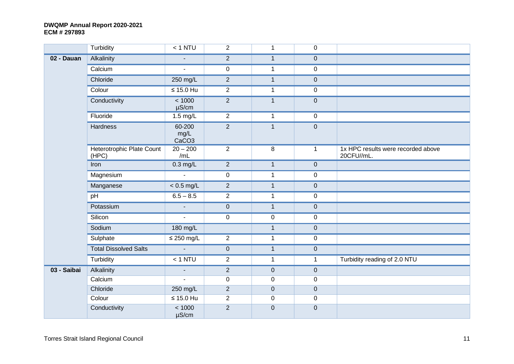|             | Turbidity                          | $< 1$ NTU                           | $\overline{2}$      | $\mathbf{1}$     | 0            |                                                  |
|-------------|------------------------------------|-------------------------------------|---------------------|------------------|--------------|--------------------------------------------------|
| 02 - Dauan  | Alkalinity                         |                                     | $\overline{2}$      | $\mathbf{1}$     | $\pmb{0}$    |                                                  |
|             | Calcium                            | $\mathbf{u}$                        | $\mathsf{O}\xspace$ | $\mathbf{1}$     | $\pmb{0}$    |                                                  |
|             | Chloride                           | 250 mg/L                            | $\overline{2}$      | $\mathbf{1}$     | $\pmb{0}$    |                                                  |
|             | Colour                             | $\leq 15.0$ Hu                      | $\overline{2}$      | $\mathbf 1$      | $\mathbf 0$  |                                                  |
|             | Conductivity                       | < 1000<br>$\mu$ S/cm                | $\overline{2}$      | $\mathbf{1}$     | $\pmb{0}$    |                                                  |
|             | Fluoride                           | $1.5 \text{ mg/L}$                  | $\overline{2}$      | $\mathbf 1$      | $\mathbf 0$  |                                                  |
|             | Hardness                           | 60-200<br>mg/L<br>CaCO <sub>3</sub> | $\overline{2}$      | $\mathbf{1}$     | $\pmb{0}$    |                                                  |
|             | Heterotrophic Plate Count<br>(HPC) | $20 - 200$<br>/mL                   | $\overline{2}$      | 8                | $\mathbf{1}$ | 1x HPC results were recorded above<br>20CFU//mL. |
|             | Iron                               | $0.3$ mg/L                          | $\overline{2}$      | $\mathbf{1}$     | $\mathbf 0$  |                                                  |
|             | Magnesium                          | $\mathbf{L}$                        | $\mathbf 0$         | $\mathbf{1}$     | $\mathbf 0$  |                                                  |
|             | Manganese                          | $< 0.5$ mg/L                        | $\sqrt{2}$          | $\mathbf{1}$     | $\pmb{0}$    |                                                  |
|             | pH                                 | $6.5 - 8.5$                         | $\overline{2}$      | $\mathbf 1$      | 0            |                                                  |
|             | Potassium                          | $\overline{\phantom{a}}$            | $\pmb{0}$           | $\mathbf{1}$     | $\mathbf 0$  |                                                  |
|             | Silicon                            | $\blacksquare$                      | $\mathbf 0$         | $\boldsymbol{0}$ | $\pmb{0}$    |                                                  |
|             | Sodium                             | 180 mg/L                            |                     | $\mathbf{1}$     | $\pmb{0}$    |                                                  |
|             | Sulphate                           | $\leq$ 250 mg/L                     | $\overline{2}$      | $\mathbf 1$      | $\pmb{0}$    |                                                  |
|             | <b>Total Dissolved Salts</b>       | $\sim$                              | $\pmb{0}$           | $\mathbf{1}$     | $\pmb{0}$    |                                                  |
|             | Turbidity                          | $< 1$ NTU                           | $\overline{2}$      | $\mathbf{1}$     | $\mathbf{1}$ | Turbidity reading of 2.0 NTU                     |
| 03 - Saibai | Alkalinity                         | $\blacksquare$                      | $\overline{2}$      | $\pmb{0}$        | $\pmb{0}$    |                                                  |
|             | Calcium                            | $\mathbf{r}$                        | $\mathbf 0$         | $\pmb{0}$        | $\pmb{0}$    |                                                  |
|             | Chloride                           | 250 mg/L                            | $\overline{2}$      | $\pmb{0}$        | $\mathbf 0$  |                                                  |
|             | Colour                             | $\leq 15.0$ Hu                      | $\overline{2}$      | $\pmb{0}$        | $\mathbf 0$  |                                                  |
|             | Conductivity                       | < 1000<br>$\mu$ S/cm                | $\overline{2}$      | $\mathbf 0$      | $\mathbf 0$  |                                                  |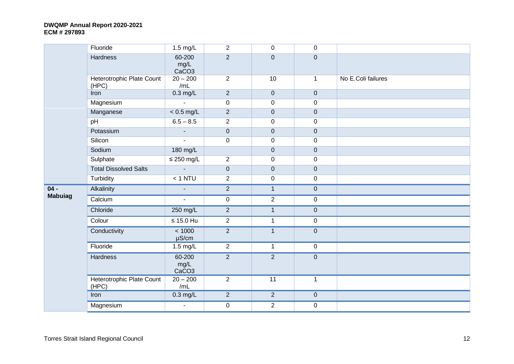|                | Fluoride                           | $1.5$ mg/L                          | $\overline{2}$ | $\mathbf 0$    | $\mathbf 0$  |                    |
|----------------|------------------------------------|-------------------------------------|----------------|----------------|--------------|--------------------|
|                | Hardness                           | 60-200<br>mg/L<br>CaCO <sub>3</sub> | $\overline{2}$ | $\mathbf 0$    | $\mathbf 0$  |                    |
|                | Heterotrophic Plate Count<br>(HPC) | $20 - 200$<br>/mL                   | $\overline{2}$ | 10             | $\mathbf{1}$ | No E.Coli failures |
|                | Iron                               | $0.3$ mg/L                          | $\overline{2}$ | $\pmb{0}$      | $\pmb{0}$    |                    |
|                | Magnesium                          | ÷,                                  | $\pmb{0}$      | $\pmb{0}$      | $\mathbf 0$  |                    |
|                | Manganese                          | $< 0.5$ mg/L                        | $\overline{2}$ | $\pmb{0}$      | $\mathbf 0$  |                    |
|                | pH                                 | $6.5 - 8.5$                         | 2              | 0              | $\pmb{0}$    |                    |
|                | Potassium                          | $\overline{\phantom{a}}$            | $\pmb{0}$      | $\pmb{0}$      | $\pmb{0}$    |                    |
|                | Silicon                            |                                     | $\overline{0}$ | 0              | $\pmb{0}$    |                    |
|                | Sodium                             | 180 mg/L                            |                | $\pmb{0}$      | $\mathbf 0$  |                    |
|                | Sulphate                           | $\leq$ 250 mg/L                     | $\mathbf{2}$   | $\pmb{0}$      | $\pmb{0}$    |                    |
|                | <b>Total Dissolved Salts</b>       | $\mathbf{r}$                        | $\mathbf 0$    | $\pmb{0}$      | $\pmb{0}$    |                    |
|                | Turbidity                          | $< 1$ NTU                           | $\overline{2}$ | 0              | $\pmb{0}$    |                    |
| $04 -$         | Alkalinity                         | $\overline{\phantom{a}}$            | $\overline{2}$ | $\mathbf{1}$   | $\pmb{0}$    |                    |
| <b>Mabuiag</b> | Calcium                            | $\blacksquare$                      | $\mathsf 0$    | $\overline{2}$ | 0            |                    |
|                | Chloride                           | 250 mg/L                            | 2              | $\mathbf{1}$   | $\pmb{0}$    |                    |
|                | Colour                             | $\leq 15.0$ Hu                      | $\overline{2}$ | $\mathbf 1$    | $\pmb{0}$    |                    |
|                | Conductivity                       | < 1000<br>$\mu$ S/cm                | $\overline{2}$ | $\mathbf{1}$   | $\pmb{0}$    |                    |
|                | Fluoride                           | $1.5$ mg/L                          | $\overline{2}$ | $\mathbf 1$    | $\pmb{0}$    |                    |
|                | <b>Hardness</b>                    | 60-200<br>mg/L<br>CaCO <sub>3</sub> | $\overline{2}$ | $\overline{2}$ | $\pmb{0}$    |                    |
|                | Heterotrophic Plate Count<br>(HPC) | $20 - 200$<br>/mL                   | $\overline{2}$ | 11             | $\mathbf{1}$ |                    |
|                | Iron                               | $0.3$ mg/L                          | $\overline{2}$ | $\overline{2}$ | $\pmb{0}$    |                    |
|                | Magnesium                          | $\blacksquare$                      | $\pmb{0}$      | $\overline{2}$ | $\pmb{0}$    |                    |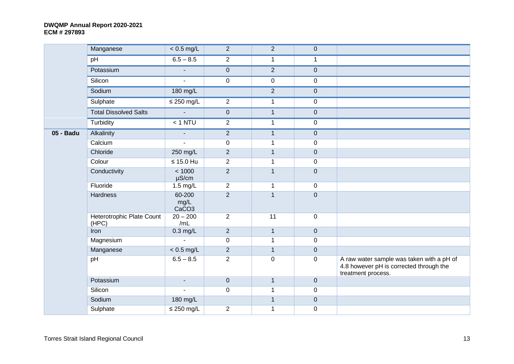|           | Manganese                          | $< 0.5$ mg/L                        | $\overline{2}$ | $\overline{2}$ | $\mathbf 0$  |                                                                                                            |
|-----------|------------------------------------|-------------------------------------|----------------|----------------|--------------|------------------------------------------------------------------------------------------------------------|
|           | pH                                 | $6.5 - 8.5$                         | $\overline{2}$ | $\mathbf{1}$   | $\mathbf 1$  |                                                                                                            |
|           | Potassium                          | $\blacksquare$                      | $\overline{0}$ | $\overline{2}$ | $\pmb{0}$    |                                                                                                            |
|           | Silicon                            | $\blacksquare$                      | $\mathsf{O}$   | $\overline{0}$ | $\mathbf 0$  |                                                                                                            |
|           | Sodium                             | 180 mg/L                            |                | $\overline{2}$ | $\pmb{0}$    |                                                                                                            |
|           | Sulphate                           | $\leq$ 250 mg/L                     | $\overline{2}$ | $\mathbf 1$    | $\mathbf 0$  |                                                                                                            |
|           | <b>Total Dissolved Salts</b>       | $\mathbf{r}$                        | $\overline{0}$ | $\mathbf{1}$   | $\mathbf 0$  |                                                                                                            |
|           | Turbidity                          | $< 1$ NTU                           | $\overline{2}$ | $\mathbf{1}$   | $\mathbf 0$  |                                                                                                            |
| 05 - Badu | Alkalinity                         | $\blacksquare$                      | $\overline{2}$ | $\mathbf{1}$   | $\mathbf 0$  |                                                                                                            |
|           | Calcium                            |                                     | $\mathbf 0$    | 1              | $\mathbf 0$  |                                                                                                            |
|           | Chloride                           | 250 mg/L                            | $\overline{2}$ | $\mathbf{1}$   | $\pmb{0}$    |                                                                                                            |
|           | Colour                             | $\leq 15.0$ Hu                      | $\overline{2}$ | $\mathbf{1}$   | $\mathbf 0$  |                                                                                                            |
|           | Conductivity                       | < 1000<br>$\mu$ S/cm                | $\overline{2}$ | $\mathbf{1}$   | $\mathbf 0$  |                                                                                                            |
|           | Fluoride                           | $1.5 \text{ mg/L}$                  | $\overline{2}$ | $\mathbf{1}$   | $\mathbf 0$  |                                                                                                            |
|           | Hardness                           | 60-200<br>mg/L<br>CaCO <sub>3</sub> | $\overline{2}$ | $\mathbf{1}$   | $\pmb{0}$    |                                                                                                            |
|           | Heterotrophic Plate Count<br>(HPC) | $20 - 200$<br>/mL                   | $\overline{2}$ | 11             | $\mathbf 0$  |                                                                                                            |
|           | Iron                               | $0.3$ mg/L                          | $\overline{2}$ | $\mathbf{1}$   | $\mathbf 0$  |                                                                                                            |
|           | Magnesium                          | $\mathbf{r}$                        | $\mathbf 0$    | $\mathbf{1}$   | $\mathbf 0$  |                                                                                                            |
|           | Manganese                          | $< 0.5$ mg/L                        | $\overline{2}$ | $\mathbf{1}$   | $\mathbf 0$  |                                                                                                            |
|           | pH                                 | $6.5 - 8.5$                         | $\overline{2}$ | $\pmb{0}$      | $\mathbf 0$  | A raw water sample was taken with a pH of<br>4.8 however pH is corrected through the<br>treatment process. |
|           | Potassium                          | $\mathcal{L}_{\mathcal{A}}$         | $\overline{0}$ | $\mathbf{1}$   | $\mathbf{0}$ |                                                                                                            |
|           | Silicon                            |                                     | $\mathbf 0$    | $\mathbf{1}$   | $\mathbf 0$  |                                                                                                            |
|           | Sodium                             | 180 mg/L                            |                | $\mathbf{1}$   | $\pmb{0}$    |                                                                                                            |
|           | Sulphate                           | $\leq$ 250 mg/L                     | $\overline{2}$ | $\mathbf{1}$   | $\pmb{0}$    |                                                                                                            |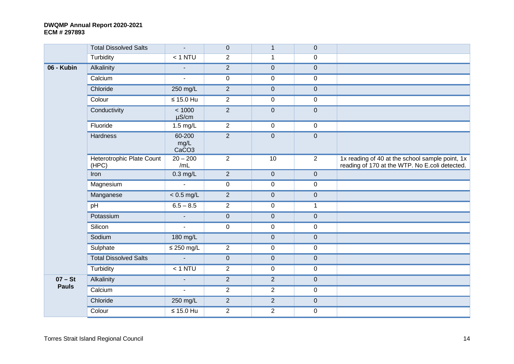|              | <b>Total Dissolved Salts</b>       | $\sim$                              | $\overline{0}$ | $\mathbf{1}$   | $\mathbf 0$    |                                                                                                   |
|--------------|------------------------------------|-------------------------------------|----------------|----------------|----------------|---------------------------------------------------------------------------------------------------|
|              | Turbidity                          | $< 1$ NTU                           | $\overline{2}$ | $\mathbf{1}$   | $\mathbf 0$    |                                                                                                   |
| 06 - Kubin   | Alkalinity                         | $\overline{a}$                      | $\overline{2}$ | $\pmb{0}$      | $\pmb{0}$      |                                                                                                   |
|              | Calcium                            | $\blacksquare$                      | $\mathbf 0$    | $\pmb{0}$      | $\pmb{0}$      |                                                                                                   |
|              | Chloride                           | 250 mg/L                            | 2              | $\pmb{0}$      | $\pmb{0}$      |                                                                                                   |
|              | Colour                             | $\leq 15.0$ Hu                      | 2              | $\pmb{0}$      | $\pmb{0}$      |                                                                                                   |
|              | Conductivity                       | < 1000<br>$\mu$ S/cm                | $\overline{2}$ | $\pmb{0}$      | $\pmb{0}$      |                                                                                                   |
|              | Fluoride                           | 1.5 mg/L                            | 2              | $\pmb{0}$      | $\pmb{0}$      |                                                                                                   |
|              | Hardness                           | 60-200<br>mg/L<br>CaCO <sub>3</sub> | $\overline{2}$ | $\pmb{0}$      | $\mathbf 0$    |                                                                                                   |
|              | Heterotrophic Plate Count<br>(HPC) | $20 - 200$<br>/mL                   | $\overline{2}$ | 10             | $\overline{2}$ | 1x reading of 40 at the school sample point, 1x<br>reading of 170 at the WTP. No E.coli detected. |
|              | Iron                               | $0.3$ mg/L                          | $\overline{2}$ | $\pmb{0}$      | $\pmb{0}$      |                                                                                                   |
|              | Magnesium                          | $\mathcal{L}_{\mathcal{A}}$         | $\overline{0}$ | $\pmb{0}$      | $\mathbf 0$    |                                                                                                   |
|              | Manganese                          | $< 0.5$ mg/L                        | 2              | $\pmb{0}$      | $\pmb{0}$      |                                                                                                   |
|              | pH                                 | $6.5 - 8.5$                         | 2              | $\mathbf 0$    | $\mathbf 1$    |                                                                                                   |
|              | Potassium                          | $\sim$                              | $\mathbf 0$    | $\pmb{0}$      | $\pmb{0}$      |                                                                                                   |
|              | Silicon                            | $\sim$                              | $\mathbf 0$    | $\pmb{0}$      | $\pmb{0}$      |                                                                                                   |
|              | Sodium                             | 180 mg/L                            |                | $\pmb{0}$      | $\pmb{0}$      |                                                                                                   |
|              | Sulphate                           | $\leq$ 250 mg/L                     | $\overline{2}$ | $\pmb{0}$      | $\pmb{0}$      |                                                                                                   |
|              | <b>Total Dissolved Salts</b>       | $\sim$                              | $\mathbf 0$    | $\pmb{0}$      | $\mathbf 0$    |                                                                                                   |
|              | Turbidity                          | $< 1$ NTU                           | $\overline{2}$ | $\pmb{0}$      | $\pmb{0}$      |                                                                                                   |
| $07 - St$    | Alkalinity                         | $\blacksquare$                      | 2              | $\overline{2}$ | $\pmb{0}$      |                                                                                                   |
| <b>Pauls</b> | Calcium                            | $\mathbf{u}$                        | $\overline{2}$ | $\overline{2}$ | $\pmb{0}$      |                                                                                                   |
|              | Chloride                           | 250 mg/L                            | 2              | $\overline{2}$ | $\pmb{0}$      |                                                                                                   |
|              | Colour                             | $\leq 15.0$ Hu                      | $\overline{2}$ | $\overline{2}$ | $\pmb{0}$      |                                                                                                   |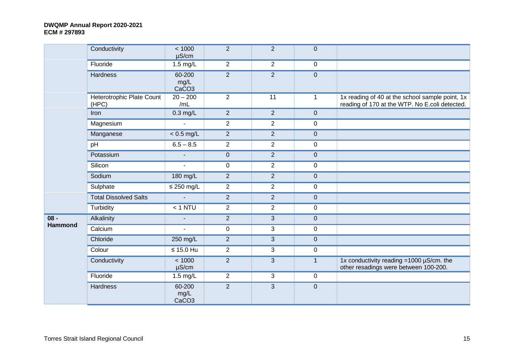|                | Conductivity                       | < 1000<br>$\mu$ S/cm                | $\overline{2}$ | $\overline{2}$ | $\overline{0}$ |                                                                                                   |
|----------------|------------------------------------|-------------------------------------|----------------|----------------|----------------|---------------------------------------------------------------------------------------------------|
|                | Fluoride                           | $1.5$ mg/L                          | $\overline{2}$ | $\overline{2}$ | $\mathbf 0$    |                                                                                                   |
|                | Hardness                           | 60-200<br>mg/L<br>CaCO <sub>3</sub> | $\overline{2}$ | $\overline{2}$ | $\pmb{0}$      |                                                                                                   |
|                | Heterotrophic Plate Count<br>(HPC) | $20 - 200$<br>/mL                   | $\overline{2}$ | 11             | $\mathbf{1}$   | 1x reading of 40 at the school sample point, 1x<br>reading of 170 at the WTP. No E.coli detected. |
|                | Iron                               | $0.3$ mg/L                          | $\overline{2}$ | $\overline{2}$ | $\mathbf 0$    |                                                                                                   |
|                | Magnesium                          |                                     | $\overline{2}$ | $\overline{2}$ | $\mathbf 0$    |                                                                                                   |
|                | Manganese                          | $< 0.5$ mg/L                        | 2              | $\overline{2}$ | $\mathbf 0$    |                                                                                                   |
|                | pH                                 | $6.5 - 8.5$                         | $\overline{2}$ | $\overline{2}$ | 0              |                                                                                                   |
|                | Potassium                          | $\blacksquare$                      | $\overline{0}$ | $\overline{2}$ | $\mathbf 0$    |                                                                                                   |
|                | Silicon                            | $\mathbf{r}$                        | $\mathbf 0$    | $\overline{2}$ | $\mathbf 0$    |                                                                                                   |
|                | Sodium                             | 180 mg/L                            | $\overline{2}$ | $\overline{2}$ | $\overline{0}$ |                                                                                                   |
|                | Sulphate                           | $\leq$ 250 mg/L                     | $\overline{2}$ | $\overline{2}$ | $\mathbf 0$    |                                                                                                   |
|                | <b>Total Dissolved Salts</b>       | $\mathbf{u}$                        | $\overline{2}$ | $\overline{2}$ | $\pmb{0}$      |                                                                                                   |
|                | Turbidity                          | $< 1$ NTU                           | $\overline{2}$ | $\overline{2}$ | $\mathbf 0$    |                                                                                                   |
| $08 -$         | Alkalinity                         | $\blacksquare$                      | 2              | 3              | $\overline{0}$ |                                                                                                   |
| <b>Hammond</b> | Calcium                            | $\mathbf{r}$                        | $\mathbf 0$    | $\mathbf{3}$   | $\pmb{0}$      |                                                                                                   |
|                | Chloride                           | 250 mg/L                            | 2              | 3              | $\mathbf 0$    |                                                                                                   |
|                | Colour                             | $\leq 15.0$ Hu                      | $\overline{2}$ | 3              | $\pmb{0}$      |                                                                                                   |
|                | Conductivity                       | < 1000<br>$\mu$ S/cm                | 2              | 3              | $\overline{1}$ | 1x conductivity reading = $1000 \mu$ S/cm. the<br>other resadings were between 100-200.           |
|                | Fluoride                           | $1.5 \text{ mg/L}$                  | $\overline{2}$ | 3              | $\mathbf 0$    |                                                                                                   |
|                | Hardness                           | 60-200<br>mg/L<br>CaCO <sub>3</sub> | $\overline{2}$ | $\mathbf{3}$   | $\pmb{0}$      |                                                                                                   |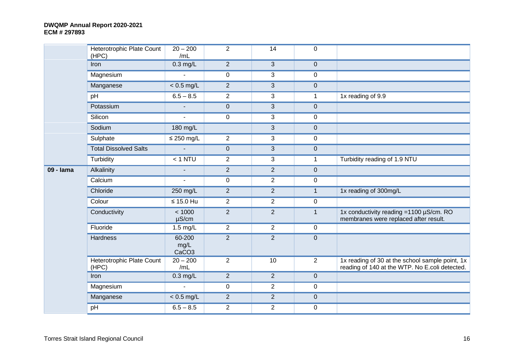|           | Heterotrophic Plate Count<br>(HPC) | $20 - 200$<br>/mL                   | $\overline{2}$ | 14             | $\mathbf 0$    |                                                                                                   |
|-----------|------------------------------------|-------------------------------------|----------------|----------------|----------------|---------------------------------------------------------------------------------------------------|
|           | Iron                               | $0.3$ mg/L                          | $\overline{2}$ | 3              | $\mathbf{0}$   |                                                                                                   |
|           | Magnesium                          | $\blacksquare$                      | 0              | 3              | $\mathbf 0$    |                                                                                                   |
|           | Manganese                          | $< 0.5$ mg/L                        | $\overline{2}$ | 3              | $\mathbf 0$    |                                                                                                   |
|           | pH                                 | $6.5 - 8.5$                         | $\overline{2}$ | 3              | 1              | 1x reading of 9.9                                                                                 |
|           | Potassium                          |                                     | $\pmb{0}$      | 3              | $\pmb{0}$      |                                                                                                   |
|           | Silicon                            | $\blacksquare$                      | $\mathbf 0$    | 3              | $\pmb{0}$      |                                                                                                   |
|           | Sodium                             | 180 mg/L                            |                | 3              | $\pmb{0}$      |                                                                                                   |
|           | Sulphate                           | $\leq$ 250 mg/L                     | $\overline{2}$ | 3              | $\pmb{0}$      |                                                                                                   |
|           | <b>Total Dissolved Salts</b>       | $\overline{a}$                      | $\mathbf 0$    | 3              | $\pmb{0}$      |                                                                                                   |
|           | Turbidity                          | $< 1$ NTU                           | $\overline{2}$ | 3              | $\mathbf{1}$   | Turbidity reading of 1.9 NTU                                                                      |
| 09 - Iama | Alkalinity                         | $\blacksquare$                      | $\overline{2}$ | $\overline{2}$ | $\mathbf 0$    |                                                                                                   |
|           | Calcium                            | $\blacksquare$                      | 0              | $\overline{2}$ | $\mathbf 0$    |                                                                                                   |
|           | Chloride                           | 250 mg/L                            | $\overline{2}$ | $\overline{2}$ | $\mathbf{1}$   | 1x reading of 300mg/L                                                                             |
|           | Colour                             | $\leq 15.0$ Hu                      | $\overline{2}$ | $\overline{2}$ | $\mathbf 0$    |                                                                                                   |
|           | Conductivity                       | < 1000<br>$\mu$ S/cm                | $\overline{2}$ | $\overline{2}$ | $\mathbf{1}$   | 1x conductivity reading = 1100 µS/cm. RO<br>membranes were replaced after result.                 |
|           | Fluoride                           | 1.5 mg/L                            | $\overline{2}$ | 2              | $\pmb{0}$      |                                                                                                   |
|           | Hardness                           | 60-200<br>mg/L<br>CaCO <sub>3</sub> | $\overline{2}$ | $\overline{2}$ | $\pmb{0}$      |                                                                                                   |
|           | Heterotrophic Plate Count<br>(HPC) | $20 - 200$<br>/mL                   | $\overline{2}$ | 10             | $\overline{2}$ | 1x reading of 30 at the school sample point, 1x<br>reading of 140 at the WTP. No E.coli detected. |
|           | Iron                               | $0.3$ mg/L                          | $\overline{2}$ | $\overline{2}$ | $\mathbf 0$    |                                                                                                   |
|           | Magnesium                          | $\mathbf{r}$                        | $\mathbf 0$    | $\overline{2}$ | $\mathbf 0$    |                                                                                                   |
|           | Manganese                          | $< 0.5$ mg/L                        | $\overline{2}$ | $\overline{2}$ | $\pmb{0}$      |                                                                                                   |
|           | pH                                 | $6.5 - 8.5$                         | $\overline{2}$ | $\overline{2}$ | $\pmb{0}$      |                                                                                                   |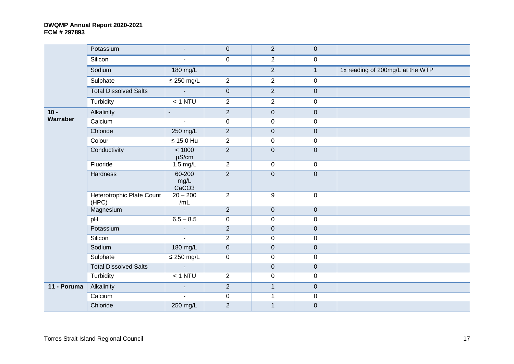|             | Potassium                          | $\blacksquare$                      | $\mathbf 0$      | 2                | $\mathbf 0$    |                                  |
|-------------|------------------------------------|-------------------------------------|------------------|------------------|----------------|----------------------------------|
|             | Silicon                            | $\sim$                              | $\mathbf 0$      | $\overline{2}$   | $\mathbf 0$    |                                  |
|             | Sodium                             | 180 mg/L                            |                  | $\overline{2}$   | $\mathbf{1}$   | 1x reading of 200mg/L at the WTP |
|             | Sulphate                           | $\leq$ 250 mg/L                     | $\overline{2}$   | 2                | $\overline{0}$ |                                  |
|             | <b>Total Dissolved Salts</b>       | $\sim$                              | $\boldsymbol{0}$ | $\overline{2}$   | $\overline{0}$ |                                  |
|             | Turbidity                          | $< 1$ NTU                           | $\overline{2}$   | 2                | $\overline{0}$ |                                  |
| $10 -$      | Alkalinity                         | $\blacksquare$                      | $\overline{2}$   | $\mathbf 0$      | $\overline{0}$ |                                  |
| Warraber    | Calcium                            | $\mathbf{r}$                        | $\mathbf 0$      | $\pmb{0}$        | $\mathbf 0$    |                                  |
|             | Chloride                           | 250 mg/L                            | $\overline{2}$   | $\mathbf 0$      | $\overline{0}$ |                                  |
|             | Colour                             | $\leq 15.0$ Hu                      | $\overline{2}$   | $\mathbf 0$      | $\overline{0}$ |                                  |
|             | Conductivity                       | < 1000<br>$\mu$ S/cm                | $\overline{2}$   | $\pmb{0}$        | $\overline{0}$ |                                  |
|             | Fluoride                           | $1.5 \text{ mg/L}$                  | $\overline{2}$   | $\pmb{0}$        | $\overline{0}$ |                                  |
|             | Hardness                           | 60-200<br>mg/L<br>CaCO <sub>3</sub> | $\overline{2}$   | $\pmb{0}$        | $\overline{0}$ |                                  |
|             | Heterotrophic Plate Count<br>(HPC) | $20 - 200$<br>/mL                   | $\mathbf{2}$     | $\boldsymbol{9}$ | $\overline{0}$ |                                  |
|             | Magnesium                          | $\mathbf{u}$                        | $\overline{2}$   | $\mathbf 0$      | $\overline{0}$ |                                  |
|             | pH                                 | $6.5 - 8.5$                         | $\pmb{0}$        | $\pmb{0}$        | $\overline{0}$ |                                  |
|             | Potassium                          | $\mathbf{r}$                        | $\overline{2}$   | $\overline{0}$   | $\overline{0}$ |                                  |
|             | Silicon                            | $\mathbf{r}$                        | $\overline{2}$   | $\pmb{0}$        | $\mathsf 0$    |                                  |
|             | Sodium                             | 180 mg/L                            | $\pmb{0}$        | $\mathbf 0$      | $\overline{0}$ |                                  |
|             | Sulphate                           | $\leq$ 250 mg/L                     | $\mathbf 0$      | $\mathbf 0$      | $\mathsf 0$    |                                  |
|             | <b>Total Dissolved Salts</b>       | $\mathbf{L}$                        |                  | $\mathbf 0$      | $\overline{0}$ |                                  |
|             | Turbidity                          | $< 1$ NTU                           | $\overline{2}$   | $\mathbf 0$      | $\overline{0}$ |                                  |
| 11 - Poruma | Alkalinity                         | $\blacksquare$                      | $\overline{2}$   | $\mathbf{1}$     | $\overline{0}$ |                                  |
|             | Calcium                            | ä,                                  | 0                | $\mathbf{1}$     | $\mathbf 0$    |                                  |
|             | Chloride                           | 250 mg/L                            | $\overline{2}$   | $\mathbf{1}$     | $\mathbf 0$    |                                  |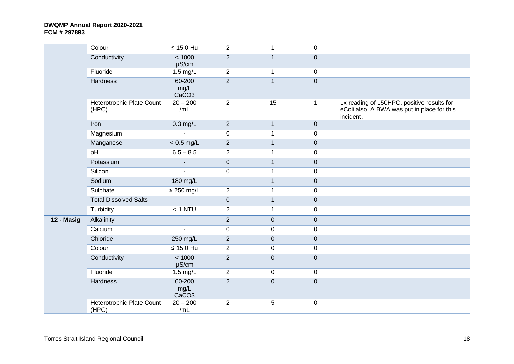|            | Colour                             | $\leq 15.0$ Hu                      | $\overline{2}$ | $\mathbf 1$  | $\mathbf 0$    |                                                                                                        |
|------------|------------------------------------|-------------------------------------|----------------|--------------|----------------|--------------------------------------------------------------------------------------------------------|
|            | Conductivity                       | < 1000<br>$\mu$ S/cm                | $\overline{2}$ | $\mathbf{1}$ | $\overline{0}$ |                                                                                                        |
|            | Fluoride                           | 1.5 mg/L                            | $\overline{2}$ | $\mathbf 1$  | $\mathbf 0$    |                                                                                                        |
|            | Hardness                           | 60-200<br>mg/L<br>CaCO <sub>3</sub> | $\overline{2}$ | $\mathbf{1}$ | $\mathbf 0$    |                                                                                                        |
|            | Heterotrophic Plate Count<br>(HPC) | $20 - 200$<br>/mL                   | $\overline{2}$ | 15           | $\mathbf{1}$   | 1x reading of 150HPC, positive results for<br>eColi also. A BWA was put in place for this<br>incident. |
|            | Iron                               | $0.3 \text{ mg/L}$                  | $\overline{2}$ | $\mathbf{1}$ | $\mathbf 0$    |                                                                                                        |
|            | Magnesium                          |                                     | $\mathbf 0$    | $\mathbf{1}$ | $\mathbf 0$    |                                                                                                        |
|            | Manganese                          | $< 0.5$ mg/L                        | $\overline{2}$ | $\mathbf{1}$ | $\mathbf 0$    |                                                                                                        |
|            | pH                                 | $6.5 - 8.5$                         | $\overline{2}$ | $\mathbf{1}$ | $\mathbf 0$    |                                                                                                        |
|            | Potassium                          |                                     | $\pmb{0}$      | $\mathbf{1}$ | $\overline{0}$ |                                                                                                        |
|            | Silicon                            | ä,                                  | $\pmb{0}$      | $\mathbf{1}$ | $\mathbf 0$    |                                                                                                        |
|            | Sodium                             | 180 mg/L                            |                | $\mathbf{1}$ | $\mathbf 0$    |                                                                                                        |
|            | Sulphate                           | $\leq$ 250 mg/L                     | $\overline{2}$ | $\mathbf 1$  | $\mathbf 0$    |                                                                                                        |
|            | <b>Total Dissolved Salts</b>       |                                     | $\pmb{0}$      | $\mathbf{1}$ | $\mathbf 0$    |                                                                                                        |
|            | Turbidity                          | $< 1$ NTU                           | $\overline{2}$ | $\mathbf 1$  | $\mathbf 0$    |                                                                                                        |
| 12 - Masig | Alkalinity                         |                                     | $\overline{2}$ | $\pmb{0}$    | $\mathbf 0$    |                                                                                                        |
|            | Calcium                            | ä,                                  | $\pmb{0}$      | $\pmb{0}$    | $\mathbf 0$    |                                                                                                        |
|            | Chloride                           | 250 mg/L                            | $\overline{2}$ | 0            | $\mathbf 0$    |                                                                                                        |
|            | Colour                             | $\leq 15.0$ Hu                      | $\overline{2}$ | 0            | $\mathbf 0$    |                                                                                                        |
|            | Conductivity                       | < 1000<br>$\mu$ S/cm                | $\overline{2}$ | $\pmb{0}$    | $\pmb{0}$      |                                                                                                        |
|            | Fluoride                           | 1.5 mg/L                            | $\overline{2}$ | $\mathbf 0$  | $\mathbf 0$    |                                                                                                        |
|            | Hardness                           | 60-200<br>mg/L<br>CaCO <sub>3</sub> | $\overline{2}$ | $\mathbf 0$  | $\mathbf 0$    |                                                                                                        |
|            | Heterotrophic Plate Count<br>(HPC) | $20 - 200$<br>/mL                   | $\overline{2}$ | 5            | $\mathbf 0$    |                                                                                                        |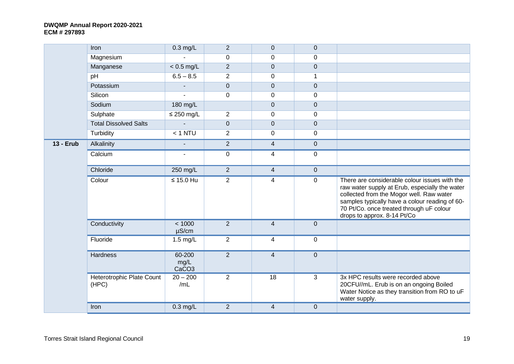|                  | Iron                               | $0.3$ mg/L                          | $\overline{2}$   | $\mathbf{0}$            | $\mathbf{0}$     |                                                                                                                                                                                                                                                                          |
|------------------|------------------------------------|-------------------------------------|------------------|-------------------------|------------------|--------------------------------------------------------------------------------------------------------------------------------------------------------------------------------------------------------------------------------------------------------------------------|
|                  | Magnesium                          |                                     | $\mathbf 0$      | $\mathbf 0$             | $\mathbf 0$      |                                                                                                                                                                                                                                                                          |
|                  | Manganese                          | $< 0.5$ mg/L                        | $\overline{2}$   | $\mathbf 0$             | $\mathbf{0}$     |                                                                                                                                                                                                                                                                          |
|                  | pH                                 | $6.5 - 8.5$                         | $\overline{2}$   | $\mathbf 0$             | 1                |                                                                                                                                                                                                                                                                          |
|                  | Potassium                          |                                     | $\boldsymbol{0}$ | $\mathbf 0$             | $\boldsymbol{0}$ |                                                                                                                                                                                                                                                                          |
|                  | Silicon                            | ä,                                  | $\mathbf 0$      | $\mathbf 0$             | $\mathbf 0$      |                                                                                                                                                                                                                                                                          |
|                  | Sodium                             | 180 mg/L                            |                  | 0                       | $\mathbf 0$      |                                                                                                                                                                                                                                                                          |
|                  | Sulphate                           | $\leq$ 250 mg/L                     | $\overline{2}$   | $\mathbf 0$             | $\mathbf 0$      |                                                                                                                                                                                                                                                                          |
|                  | <b>Total Dissolved Salts</b>       | $\blacksquare$                      | $\mathbf 0$      | $\pmb{0}$               | $\overline{0}$   |                                                                                                                                                                                                                                                                          |
|                  | Turbidity                          | $< 1$ NTU                           | $\overline{2}$   | $\mathbf 0$             | $\mathbf 0$      |                                                                                                                                                                                                                                                                          |
| <b>13 - Erub</b> | Alkalinity                         | $\blacksquare$                      | $\overline{2}$   | $\overline{4}$          | $\overline{0}$   |                                                                                                                                                                                                                                                                          |
|                  | Calcium                            | $\mathbf{r}$                        | $\pmb{0}$        | 4                       | $\mathbf 0$      |                                                                                                                                                                                                                                                                          |
|                  | Chloride                           | 250 mg/L                            | $\overline{2}$   | $\overline{4}$          | $\overline{0}$   |                                                                                                                                                                                                                                                                          |
|                  | Colour                             | $\leq 15.0$ Hu                      | $\overline{2}$   | 4                       | $\mathbf 0$      | There are considerable colour issues with the<br>raw water supply at Erub, especially the water<br>collected from the Mogor well. Raw water<br>samples typically have a colour reading of 60-<br>70 Pt/Co. once treated through uF colour<br>drops to approx. 8-14 Pt/Co |
|                  | Conductivity                       | < 1000<br>$\mu$ S/cm                | $\overline{2}$   | $\overline{4}$          | $\mathbf{0}$     |                                                                                                                                                                                                                                                                          |
|                  | Fluoride                           | $1.5$ mg/L                          | $\overline{2}$   | 4                       | $\mathbf 0$      |                                                                                                                                                                                                                                                                          |
|                  | Hardness                           | 60-200<br>mg/L<br>CaCO <sub>3</sub> | $\overline{2}$   | $\overline{\mathbf{4}}$ | $\overline{0}$   |                                                                                                                                                                                                                                                                          |
|                  | Heterotrophic Plate Count<br>(HPC) | $20 - 200$<br>/mL                   | $\overline{2}$   | $\overline{18}$         | 3                | 3x HPC results were recorded above<br>20CFU//mL. Erub is on an ongoing Boiled<br>Water Notice as they transition from RO to uF<br>water supply.                                                                                                                          |
|                  | Iron                               | $0.3$ mg/L                          | $\overline{2}$   | $\overline{4}$          | $\pmb{0}$        |                                                                                                                                                                                                                                                                          |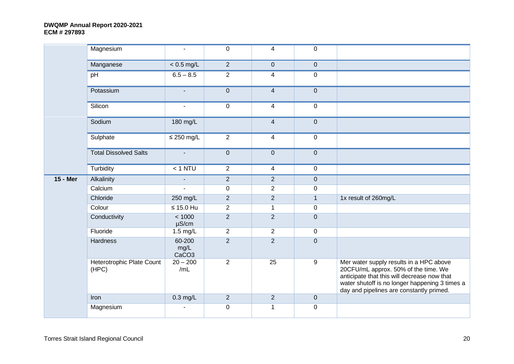|                 | Magnesium                          | $\blacksquare$                      | $\mathbf 0$    | $\overline{4}$ | $\mathbf 0$    |                                                                                                                                                                                                                              |
|-----------------|------------------------------------|-------------------------------------|----------------|----------------|----------------|------------------------------------------------------------------------------------------------------------------------------------------------------------------------------------------------------------------------------|
|                 | Manganese                          | $< 0.5$ mg/L                        | $\overline{2}$ | $\pmb{0}$      | $\mathbf 0$    |                                                                                                                                                                                                                              |
|                 | pH                                 | $6.5 - 8.5$                         | $\overline{2}$ | $\overline{4}$ | $\mathbf 0$    |                                                                                                                                                                                                                              |
|                 | Potassium                          | $\blacksquare$                      | $\pmb{0}$      | $\overline{4}$ | $\pmb{0}$      |                                                                                                                                                                                                                              |
|                 | Silicon                            | $\blacksquare$                      | $\pmb{0}$      | $\overline{4}$ | $\pmb{0}$      |                                                                                                                                                                                                                              |
|                 | Sodium                             | 180 mg/L                            |                | $\overline{4}$ | $\pmb{0}$      |                                                                                                                                                                                                                              |
|                 | Sulphate                           | $\leq$ 250 mg/L                     | $\overline{2}$ | $\overline{4}$ | $\mathbf 0$    |                                                                                                                                                                                                                              |
|                 | <b>Total Dissolved Salts</b>       | $\blacksquare$                      | $\mathbf 0$    | $\overline{0}$ | $\pmb{0}$      |                                                                                                                                                                                                                              |
|                 | Turbidity                          | $< 1$ NTU                           | $\overline{2}$ | $\overline{4}$ | 0              |                                                                                                                                                                                                                              |
| <b>15 - Mer</b> | Alkalinity                         | $\blacksquare$                      | $\overline{2}$ | $\overline{2}$ | $\pmb{0}$      |                                                                                                                                                                                                                              |
|                 | Calcium                            | $\mathbf{r}$                        | $\mathbf 0$    | $\overline{2}$ | 0              |                                                                                                                                                                                                                              |
|                 | Chloride                           | 250 mg/L                            | $\overline{2}$ | $\overline{2}$ | $\mathbf{1}$   | 1x result of 260mg/L                                                                                                                                                                                                         |
|                 | Colour                             | $\leq 15.0$ Hu                      | $\overline{2}$ | $\mathbf{1}$   | $\pmb{0}$      |                                                                                                                                                                                                                              |
|                 | Conductivity                       | < 1000<br>$\mu$ S/cm                | $\overline{2}$ | $\overline{2}$ | $\pmb{0}$      |                                                                                                                                                                                                                              |
|                 | Fluoride                           | $1.5$ mg/L                          | $\overline{2}$ | $\overline{2}$ | $\mathbf 0$    |                                                                                                                                                                                                                              |
|                 | <b>Hardness</b>                    | 60-200<br>mg/L<br>CaCO <sub>3</sub> | $\overline{2}$ | $\overline{2}$ | $\overline{0}$ |                                                                                                                                                                                                                              |
|                 | Heterotrophic Plate Count<br>(HPC) | $20 - 200$<br>/mL                   | $\overline{2}$ | 25             | 9              | Mer water supply results in a HPC above<br>20CFU/mL approx. 50% of the time. We<br>anticipate that this will decrease now that<br>water shutoff is no longer happening 3 times a<br>day and pipelines are constantly primed. |
|                 | Iron                               | $0.3$ mg/L                          | $\overline{2}$ | $\overline{2}$ | $\pmb{0}$      |                                                                                                                                                                                                                              |
|                 | Magnesium                          |                                     | $\mathbf 0$    | 1              | 0              |                                                                                                                                                                                                                              |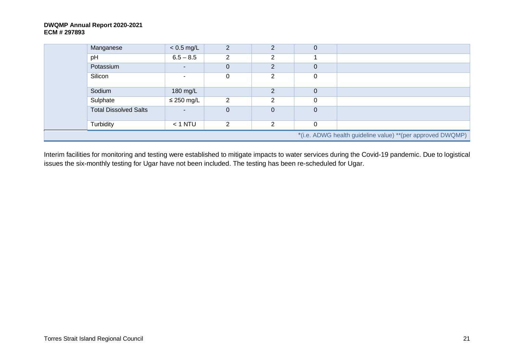| Manganese                    | $< 0.5$ mg/L             | $\overline{2}$ | C              | 0        |                                                            |
|------------------------------|--------------------------|----------------|----------------|----------|------------------------------------------------------------|
| pH                           | $6.5 - 8.5$              | 2              | 2              |          |                                                            |
| Potassium                    | $\overline{\phantom{a}}$ | $\mathbf 0$    | $\overline{2}$ | 0        |                                                            |
| Silicon                      |                          | 0              | ົ              | 0        |                                                            |
| Sodium                       | 180 mg/L                 |                | $\mathcal{P}$  | 0        |                                                            |
| Sulphate                     | $\leq$ 250 mg/L          | 2              | C              | $\Omega$ |                                                            |
| <b>Total Dissolved Salts</b> |                          | $\overline{0}$ | 0              | $\Omega$ |                                                            |
| Turbidity                    | $<$ 1 NTU                | 2              | C              | 0        |                                                            |
|                              |                          |                |                |          | *(i.e. ADWG health guideline value) **(per approved DWQMP) |

Interim facilities for monitoring and testing were established to mitigate impacts to water services during the Covid-19 pandemic. Due to logistical issues the six-monthly testing for Ugar have not been included. The testing has been re-scheduled for Ugar.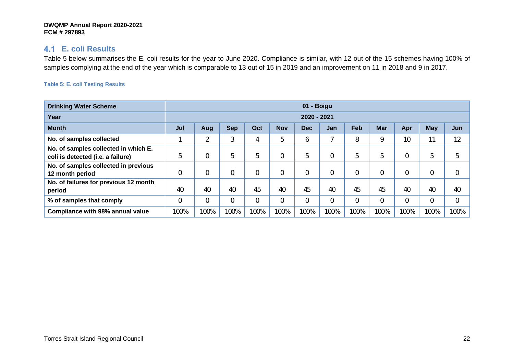### **E. coli Results**

Table 5 below summarises the E. coli results for the year to June 2020. Compliance is similar, with 12 out of the 15 schemes having 100% of samples complying at the end of the year which is comparable to 13 out of 15 in 2019 and an improvement on 11 in 2018 and 9 in 2017.

#### **Table 5: E. coli Testing Results**

| <b>Drinking Water Scheme</b>                                              |      | 01 - Boigu                                                                                     |      |                |                |      |                          |      |          |                |      |                |
|---------------------------------------------------------------------------|------|------------------------------------------------------------------------------------------------|------|----------------|----------------|------|--------------------------|------|----------|----------------|------|----------------|
| Year                                                                      |      | 2020 - 2021                                                                                    |      |                |                |      |                          |      |          |                |      |                |
| <b>Month</b>                                                              | Jul  | Feb<br>May<br><b>Sep</b><br><b>Nov</b><br>Oct<br>Apr<br><b>Mar</b><br>Jun<br>Dec<br>Jan<br>Aug |      |                |                |      |                          |      |          |                |      |                |
| No. of samples collected                                                  |      | $\overline{2}$                                                                                 | 3    | 4              | ხ              | 6    | $\overline{\phantom{a}}$ | 8    | 9        | 10             | 11   | 12             |
| No. of samples collected in which E.<br>coli is detected (i.e. a failure) | 5    | $\mathbf 0$                                                                                    | 5    | 5              |                | 5    | $\overline{0}$           | 5    | 5        | 0              | 5    | 5              |
| No. of samples collected in previous<br>12 month period                   |      | $\mathbf 0$                                                                                    | 0    | 0              |                | 0    | $\overline{0}$           |      | $\Omega$ | 0              | 0    | $\mathbf 0$    |
| No. of failures for previous 12 month<br>period                           | 40   | 40                                                                                             | 40   | 45             | 40             | 45   | 40                       | 45   | 45       | 40             | 40   | 40             |
| % of samples that comply                                                  | 0    | $\overline{0}$                                                                                 | 0    | $\overline{0}$ | $\overline{0}$ | 0    | $\overline{0}$           | 0    | $\Omega$ | $\overline{0}$ | 0    | $\overline{0}$ |
| <b>Compliance with 98% annual value</b>                                   | 100% | 100%                                                                                           | 100% | 100%           | 100%           | 100% | 100%                     | 100% | 100%     | 100%           | 100% | 100%           |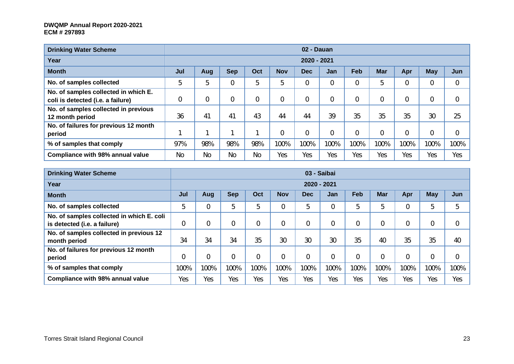| <b>Drinking Water Scheme</b>                                              |           |                                                                                                       |           |           |      | 02 - Dauan |                |      |                |                |      |                |
|---------------------------------------------------------------------------|-----------|-------------------------------------------------------------------------------------------------------|-----------|-----------|------|------------|----------------|------|----------------|----------------|------|----------------|
| Year                                                                      |           | 2020 - 2021                                                                                           |           |           |      |            |                |      |                |                |      |                |
| <b>Month</b>                                                              | Jul       | Feb<br><b>Sep</b><br>Oct<br><b>Nov</b><br><b>Mar</b><br>May<br>Jun<br>Dec<br>Apr<br><b>Jan</b><br>Aug |           |           |      |            |                |      |                |                |      |                |
| No. of samples collected                                                  | 5         | 5                                                                                                     |           | 5         | 5    | 0          | $\overline{0}$ |      | 5              | $\overline{0}$ | 0    | $\overline{0}$ |
| No. of samples collected in which E.<br>coli is detected (i.e. a failure) |           | $\overline{0}$                                                                                        | 0         | 0         | 0    | 0          | $\overline{0}$ |      | 0              | $\overline{0}$ | 0    | $\overline{0}$ |
| No. of samples collected in previous<br>12 month period                   | 36        | 41                                                                                                    | 41        | 43        | 44   | 44         | 39             | 35   | 35             | 35             | 30   | 25             |
| No. of failures for previous 12 month<br>period                           |           |                                                                                                       |           |           | 0    | 0          | $\overline{0}$ |      | $\overline{0}$ | $\overline{0}$ | 0    | $\overline{0}$ |
| % of samples that comply                                                  | 97%       | 98%                                                                                                   | 98%       | 98%       | 100% | 100%       | 100%           | 100% | 100%           | 100%           | 100% | 100%           |
| <b>Compliance with 98% annual value</b>                                   | <b>No</b> | <b>No</b>                                                                                             | <b>No</b> | <b>No</b> | Yes  | Yes        | Yes            | Yes  | Yes            | Yes            | Yes  | Yes            |

| <b>Drinking Water Scheme</b>                                              |             | 03 - Saibai    |            |                |            |      |                |      |                |                |            |                |
|---------------------------------------------------------------------------|-------------|----------------|------------|----------------|------------|------|----------------|------|----------------|----------------|------------|----------------|
| Year                                                                      |             | 2020 - 2021    |            |                |            |      |                |      |                |                |            |                |
| <b>Month</b>                                                              | Jul         | Aug            | <b>Sep</b> | Oct            | <b>Nov</b> | Dec  | Jan            | Feb  | <b>Mar</b>     | Apr            | <b>May</b> | Jun            |
| No. of samples collected                                                  | 5           | 0              |            | 5              |            | 5    | $\overline{0}$ | 5    | 5              | 0              | 5          | 5              |
| No. of samples collected in which E. coli<br>is detected (i.e. a failure) | $\mathbf 0$ | $\mathbf 0$    |            | $\overline{0}$ |            | 0    | $\overline{0}$ |      | $\overline{0}$ | $\overline{0}$ | 0          | $\overline{0}$ |
| No. of samples collected in previous 12<br>month period                   | 34          | 34             | 34         | 35             | 30         | 30   | 30             | 35   | 40             | 35             | 35         | 40             |
| No. of failures for previous 12 month<br>period                           | C           | $\overline{0}$ |            | 0              |            | 0    | $\overline{0}$ |      | $\overline{0}$ | 0              | 0          | $\overline{0}$ |
| % of samples that comply                                                  | 100%        | 100%           | 100%       | 100%           | 100%       | 100% | 100%           | 100% | 100%           | 100%           | 100%       | 100%           |
| Compliance with 98% annual value                                          | Yes         | Yes            | Yes        | Yes            | Yes        | Yes  | Yes            | Yes  | Yes            | Yes            | Yes        | Yes            |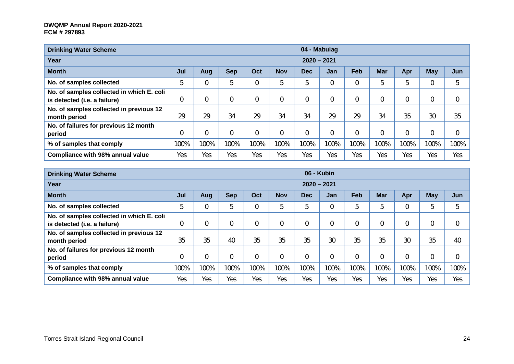| <b>Drinking Water Scheme</b>                                              |      |                |            |      |            |                | 04 - Mabuiag   |      |            |      |      |                |
|---------------------------------------------------------------------------|------|----------------|------------|------|------------|----------------|----------------|------|------------|------|------|----------------|
| Year                                                                      |      |                |            |      |            | $2020 - 2021$  |                |      |            |      |      |                |
| <b>Month</b>                                                              | Jul  | Aug            | <b>Sep</b> | Oct  | <b>Nov</b> | <b>Dec</b>     | <b>Jan</b>     | Feb  | <b>Mar</b> | Apr  | May  | Jun            |
| No. of samples collected                                                  | 5    | $\overline{0}$ | b          |      | 5          | 5              | $\mathbf 0$    |      | 5          | 5    | 0    | 5              |
| No. of samples collected in which E. coli<br>is detected (i.e. a failure) | 0    | 0              |            | 0    | 0          | $\overline{0}$ | $\overline{0}$ |      | 0          | 0    | 0    | $\overline{0}$ |
| No. of samples collected in previous 12<br>month period                   | 29   | 29             | 34         | 29   | 34         | 34             | 29             | 29   | 34         | 35   | 30   | 35             |
| No. of failures for previous 12 month<br>period                           | 0    | $\mathbf 0$    |            |      | 0          | $\mathbf 0$    | $\overline{0}$ |      | 0          | 0    | 0    | 0              |
| % of samples that comply                                                  | 100% | 100%           | 100%       | 100% | 100%       | 100%           | 100%           | 100% | 100%       | 100% | 100% | 100%           |
| Compliance with 98% annual value                                          | Yes  | Yes            | Yes        | Yes  | Yes        | Yes            | Yes            | Yes  | Yes        | Yes  | Yes  | Yes            |

| <b>Drinking Water Scheme</b>                                              |      |             |            |      |                |               | 06 - Kubin     |      |            |      |            |             |
|---------------------------------------------------------------------------|------|-------------|------------|------|----------------|---------------|----------------|------|------------|------|------------|-------------|
| Year                                                                      |      |             |            |      |                | $2020 - 2021$ |                |      |            |      |            |             |
| <b>Month</b>                                                              | Jul  | Aug         | <b>Sep</b> | Oct  | <b>Nov</b>     | <b>Dec</b>    | Jan            | Feb  | <b>Mar</b> | Apr  | <b>May</b> | Jun         |
| No. of samples collected                                                  | 5    | $\mathbf 0$ | 5          | 0    | 5              | 5             | 0              | 5    | 5          | 0    | 5          | 5           |
| No. of samples collected in which E. coli<br>is detected (i.e. a failure) | 0    | $\mathbf 0$ |            | 0    | $\overline{0}$ |               | $\mathbf 0$    |      | 0          | 0    | 0          | $\mathbf 0$ |
| No. of samples collected in previous 12<br>month period                   | 35   | 35          | 40         | 35   | 35             | 35            | 30             | 35   | 35         | 30   | 35         | 40          |
| No. of failures for previous 12 month<br>period                           | 0    | 0           |            | 0    | $\overline{0}$ |               | $\overline{0}$ |      | 0          | 0    |            | $\mathbf 0$ |
| % of samples that comply                                                  | 100% | 100%        | 100%       | 100% | 100%           | 100%          | 100%           | 100% | 100%       | 100% | 100%       | 100%        |
| Compliance with 98% annual value                                          | Yes  | Yes         | Yes        | Yes  | Yes            | Yes           | Yes            | Yes  | Yes        | Yes  | Yes        | Yes         |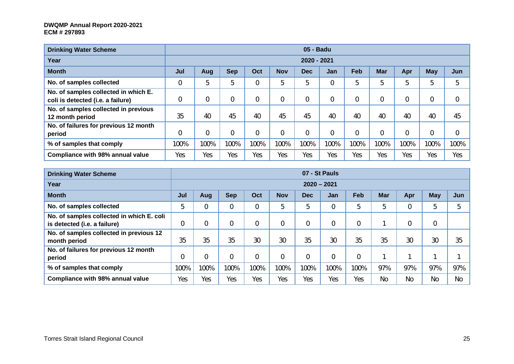| <b>Drinking Water Scheme</b>                                              |      |                |            |                |            | 05 - Badu   |                |      |                |      |      |                |
|---------------------------------------------------------------------------|------|----------------|------------|----------------|------------|-------------|----------------|------|----------------|------|------|----------------|
| Year                                                                      |      |                |            |                |            | 2020 - 2021 |                |      |                |      |      |                |
| <b>Month</b>                                                              | Jul  | Aug            | <b>Sep</b> | Oct            | <b>Nov</b> | <b>Dec</b>  | Jan            | Feb  | <b>Mar</b>     | Apr  | May  | Jun            |
| No. of samples collected                                                  |      | 5              | 5          | $\overline{0}$ | 5          | 5           | $\overline{0}$ | 5    | 5              | 5    | 5    | 5              |
| No. of samples collected in which E.<br>coli is detected (i.e. a failure) |      | $\overline{0}$ | 0          | 0              |            | 0           | 0              |      | 0              | 0    | 0    | $\overline{0}$ |
| No. of samples collected in previous<br>12 month period                   | 35   | 40             | 45         | 40             | 45         | 45          | 40             | 40   | 40             | 40   | 40   | 45             |
| No. of failures for previous 12 month<br>period                           |      | $\overline{0}$ | 0          | 0              |            | 0           | $\overline{0}$ |      | $\overline{0}$ | 0    | 0    | $\overline{0}$ |
| % of samples that comply                                                  | 100% | 100%           | 100%       | 100%           | 100%       | 100%        | 100%           | 100% | 100%           | 100% | 100% | 100%           |
| <b>Compliance with 98% annual value</b>                                   | Yes  | Yes            | Yes        | Yes            | Yes        | Yes         | Yes            | Yes  | Yes            | Yes  | Yes  | Yes            |

| <b>Drinking Water Scheme</b>                                              |                |      |            |      |                |               | 07 - St Pauls |      |            |     |             |     |
|---------------------------------------------------------------------------|----------------|------|------------|------|----------------|---------------|---------------|------|------------|-----|-------------|-----|
| Year                                                                      |                |      |            |      |                | $2020 - 2021$ |               |      |            |     |             |     |
| <b>Month</b>                                                              | Jul            | Aug  | <b>Sep</b> | Oct  | <b>Nov</b>     | <b>Dec</b>    | Jan           | Feb  | <b>Mar</b> | Apr | <b>May</b>  | Jun |
| No. of samples collected                                                  | 5              | 0    |            |      | 5              | 5             | 0             | 5    | 5          | 0   | 5           | 5   |
| No. of samples collected in which E. coli<br>is detected (i.e. a failure) | $\overline{0}$ | 0    |            |      | 0              | 0             | $\mathbf 0$   | 0    |            | 0   | $\mathbf 0$ |     |
| No. of samples collected in previous 12<br>month period                   | 35             | 35   | 35         | 30   | 30             | 35            | 30            | 35   | 35         | 30  | 30          | 35  |
| No. of failures for previous 12 month<br>period                           | $\overline{0}$ | 0    |            |      | $\overline{0}$ | 0             | 0             | 0    |            |     |             |     |
| % of samples that comply                                                  | 100%           | 100% | 100%       | 100% | 100%           | 100%          | 100%          | 100% | 97%        | 97% | 97%         | 97% |
| Compliance with 98% annual value                                          | Yes            | Yes  | Yes        | Yes  | Yes            | Yes           | Yes           | Yes  | <b>No</b>  | No  | <b>No</b>   | No  |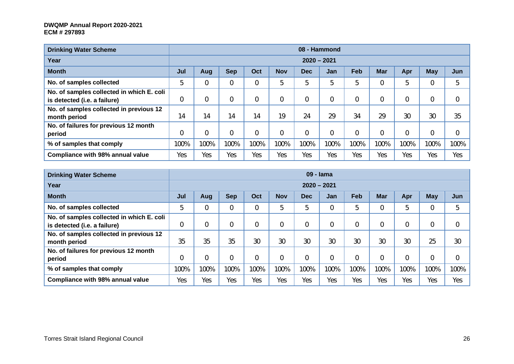| <b>Drinking Water Scheme</b>                                              |      |                |            |          |                |               | 08 - Hammond   |      |                |                |      |                |
|---------------------------------------------------------------------------|------|----------------|------------|----------|----------------|---------------|----------------|------|----------------|----------------|------|----------------|
| Year                                                                      |      |                |            |          |                | $2020 - 2021$ |                |      |                |                |      |                |
| <b>Month</b>                                                              | Jul  | Aug            | <b>Sep</b> | Oct      | <b>Nov</b>     | <b>Dec</b>    | Jan            | Feb  | <b>Mar</b>     | Apr            | May  | Jun            |
| No. of samples collected                                                  | 5    | $\overline{0}$ |            | $\Omega$ | 5              | 5             | 5              | b    | 0              | 5              | 0    | 5              |
| No. of samples collected in which E. coli<br>is detected (i.e. a failure) | 0    | 0              |            | $\Omega$ | 0              | 0             | $\overline{0}$ |      | 0              | 0              | 0    | $\overline{0}$ |
| No. of samples collected in previous 12<br>month period                   | 14   | 14             | 14         | 14       | 19             | 24            | 29             | 34   | 29             | 30             | 30   | 35             |
| No. of failures for previous 12 month<br>period                           | 0    | $\mathbf 0$    |            | $\Omega$ | $\overline{0}$ | 0             | $\mathbf 0$    |      | $\overline{0}$ | $\overline{0}$ | 0    | 0              |
| % of samples that comply                                                  | 100% | 100%           | 100%       | 100%     | 100%           | 100%          | 100%           | 100% | 100%           | 100%           | 100% | 100%           |
| Compliance with 98% annual value                                          | Yes  | Yes            | Yes        | Yes      | Yes            | Yes           | Yes            | Yes  | Yes            | Yes            | Yes  | Yes            |

| <b>Drinking Water Scheme</b>              |      |             |            |      |            |               | 09 - Iama      |      |            |                |            |                |
|-------------------------------------------|------|-------------|------------|------|------------|---------------|----------------|------|------------|----------------|------------|----------------|
| Year                                      |      |             |            |      |            | $2020 - 2021$ |                |      |            |                |            |                |
| <b>Month</b>                              | Jul  | Aug         | <b>Sep</b> | Oct  | <b>Nov</b> | <b>Dec</b>    | Jan            | Feb  | <b>Mar</b> | Apr            | <b>May</b> | Jun            |
| No. of samples collected                  |      | 0           |            | 0    | 5          | 5             | $\overline{0}$ | 5    | 0          | 5              | 0          | 5              |
| No. of samples collected in which E. coli |      |             |            |      |            |               |                |      |            |                |            |                |
| is detected (i.e. a failure)              | 0    | $\mathbf 0$ |            | 0    | 0          | 0             | $\overline{0}$ |      | 0          | $\overline{0}$ | 0          | $\mathbf 0$    |
| No. of samples collected in previous 12   |      |             |            |      |            |               |                |      |            |                |            |                |
| month period                              | 35   | 35          | 35         | 30   | 30         | 30            | 30             | 30   | 30         | 30             | 25         | 30             |
| No. of failures for previous 12 month     |      |             |            |      |            |               |                |      |            |                |            |                |
| period                                    |      | $\mathbf 0$ |            | 0    |            | 0             | $\mathbf 0$    |      | 0          | $\overline{0}$ | 0          | $\overline{0}$ |
| % of samples that comply                  | 100% | 100%        | 100%       | 100% | 100%       | 100%          | 100%           | 100% | 100%       | 100%           | 100%       | 100%           |
| <b>Compliance with 98% annual value</b>   | Yes  | Yes         | Yes        | Yes  | Yes        | Yes           | Yes            | Yes  | Yes        | Yes            | Yes        | Yes            |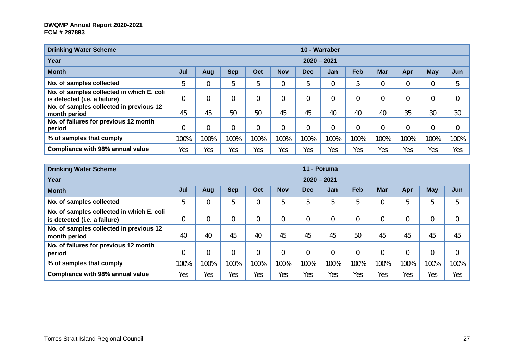| <b>Drinking Water Scheme</b>                                              |             |      |            |      |            |               | 10 - Warraber  |      |            |      |             |             |
|---------------------------------------------------------------------------|-------------|------|------------|------|------------|---------------|----------------|------|------------|------|-------------|-------------|
| Year                                                                      |             |      |            |      |            | $2020 - 2021$ |                |      |            |      |             |             |
| <b>Month</b>                                                              | Jul         | Aug  | <b>Sep</b> | Oct  | <b>Nov</b> | <b>Dec</b>    | <b>Jan</b>     | Feb  | <b>Mar</b> | Apr  | <b>May</b>  | Jun         |
| No. of samples collected                                                  | 5           |      | 5          | 5    | 0          | 5             | $\overline{0}$ | .5   | 0          |      | $\mathbf 0$ | 5           |
| No. of samples collected in which E. coli<br>is detected (i.e. a failure) | $\mathbf 0$ |      | 0          |      | 0          | 0             | $\mathbf{0}$   |      | 0          |      | 0           | $\mathbf 0$ |
| No. of samples collected in previous 12<br>month period                   | 45          | 45   | 50         | 50   | 45         | 45            | 40             | 40   | 40         | 35   | 30          | 30          |
| No. of failures for previous 12 month<br>period                           | $\mathbf 0$ |      | 0          |      | 0          | 0             | $\overline{0}$ |      | 0          |      | 0           | 0           |
| % of samples that comply                                                  | 100%        | 100% | 100%       | 100% | 100%       | 100%          | 100%           | 100% | 100%       | 100% | 100%        | 100%        |
| Compliance with 98% annual value                                          | Yes         | Yes  | Yes        | Yes  | Yes        | Yes           | Yes            | Yes  | Yes        | Yes  | Yes         | Yes         |

| <b>Drinking Water Scheme</b>                                              |      |      |            |                |            |             | 11 - Poruma    |      |            |                |            |             |
|---------------------------------------------------------------------------|------|------|------------|----------------|------------|-------------|----------------|------|------------|----------------|------------|-------------|
| Year                                                                      |      |      |            |                |            |             | $2020 - 2021$  |      |            |                |            |             |
| <b>Month</b>                                                              | Jul  | Aug  | <b>Sep</b> | Oct            | <b>Nov</b> | Dec         | Jan            | Feb  | <b>Mar</b> | Apr            | <b>May</b> | Jun         |
| No. of samples collected                                                  | 5    |      | 5          | 0              | 5          | 5           | 5              | 5    | 0          | 5              | 5          | 5           |
| No. of samples collected in which E. coli<br>is detected (i.e. a failure) | 0    |      | 0          | $\overline{0}$ |            | $\mathbf 0$ | 0              | 0    | $\Omega$   | $\overline{0}$ | 0          | $\mathbf 0$ |
| No. of samples collected in previous 12<br>month period                   | 40   | 40   | 45         | 40             | 45         | 45          | 45             | 50   | 45         | 45             | 45         | 45          |
| No. of failures for previous 12 month<br>period                           | 0    |      | 0          | $\overline{0}$ |            | $\mathbf 0$ | $\overline{0}$ | 0    | $\Omega$   | $\overline{0}$ | 0          | $\mathbf 0$ |
| % of samples that comply                                                  | 100% | 100% | 100%       | 100%           | 100%       | 100%        | 100%           | 100% | 100%       | 100%           | 100%       | 100%        |
| Compliance with 98% annual value                                          | Yes  | Yes  | Yes        | Yes            | Yes        | Yes         | Yes            | Yes  | Yes        | Yes            | Yes        | Yes         |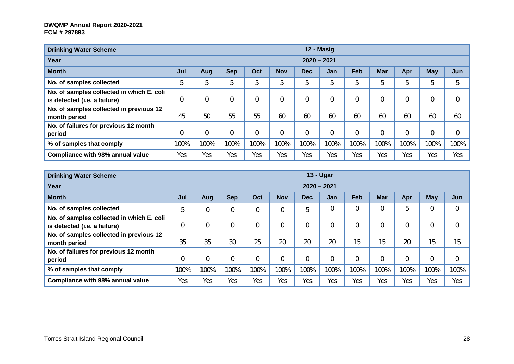| <b>Drinking Water Scheme</b>                                              |      |                |            |                |                |            | 12 - Masig     |      |            |                |      |                |
|---------------------------------------------------------------------------|------|----------------|------------|----------------|----------------|------------|----------------|------|------------|----------------|------|----------------|
| Year                                                                      |      |                |            |                |                |            | $2020 - 2021$  |      |            |                |      |                |
| <b>Month</b>                                                              | Jul  | Aug            | <b>Sep</b> | Oct            | <b>Nov</b>     | <b>Dec</b> | Jan            | Feb  | <b>Mar</b> | Apr            | May  | Jun            |
| No. of samples collected                                                  | 5    | 5              | b          | 5              | 5              | 5          | 5              | 5    | 5          | 5              | 5    | 5              |
| No. of samples collected in which E. coli<br>is detected (i.e. a failure) | 0    | $\overline{0}$ |            | $\Omega$       | $\overline{0}$ | 0          | $\overline{0}$ |      | 0          | 0              | 0    | $\overline{0}$ |
| No. of samples collected in previous 12<br>month period                   | 45   | 50             | 55         | 55             | 60             | 60         | 60             | 60   | 60         | 60             | 60   | 60             |
| No. of failures for previous 12 month<br>period                           | 0    | $\mathbf 0$    |            | $\overline{0}$ | $\overline{0}$ | 0          | $\mathbf 0$    |      | $\Omega$   | $\overline{0}$ | 0    | $\overline{0}$ |
| % of samples that comply                                                  | 100% | 100%           | 100%       | 100%           | 100%           | 100%       | 100%           | 100% | 100%       | 100%           | 100% | 100%           |
| Compliance with 98% annual value                                          | Yes  | Yes            | Yes        | Yes            | Yes            | Yes        | Yes            | Yes  | Yes        | Yes            | Yes  | Yes            |

| <b>Drinking Water Scheme</b>              |             |      |            |                |                |               | $13 - Ugar$    |            |            |                |      |                |
|-------------------------------------------|-------------|------|------------|----------------|----------------|---------------|----------------|------------|------------|----------------|------|----------------|
| Year                                      |             |      |            |                |                | $2020 - 2021$ |                |            |            |                |      |                |
| <b>Month</b>                              | Jul         | Aug  | <b>Sep</b> | Oct            | <b>Nov</b>     | <b>Dec</b>    | Jan            | <b>Feb</b> | <b>Mar</b> | Apr            | May  | Jun            |
| No. of samples collected                  | 5           | 0    | 0          | 0              | $\overline{0}$ | b             | $\mathbf 0$    |            | 0          | 5              |      | $\mathbf 0$    |
| No. of samples collected in which E. coli |             |      |            |                |                |               |                |            |            |                |      |                |
| is detected (i.e. a failure)              | $\mathbf 0$ | 0    |            | $\Omega$       | $\overline{0}$ | 0             | 0              |            | 0          | $\overline{0}$ |      | 0              |
| No. of samples collected in previous 12   |             |      |            |                |                |               |                |            |            |                |      |                |
| month period                              | 35          | 35   | 30         | 25             | 20             | 20            | 20             | 15         | 15         | 20             | 15   | 15             |
| No. of failures for previous 12 month     |             |      |            |                |                |               |                |            |            |                |      |                |
| period                                    | 0           | 0    |            | $\overline{0}$ | 0              | 0             | $\overline{0}$ |            | 0          | $\overline{0}$ |      | $\overline{0}$ |
| % of samples that comply                  | 100%        | 100% | 100%       | 100%           | 100%           | 100%          | 100%           | 100%       | 100%       | 100%           | 100% | 100%           |
| Compliance with 98% annual value          | Yes         | Yes  | Yes        | Yes            | Yes            | Yes           | Yes            | Yes        | Yes        | Yes            | Yes  | Yes            |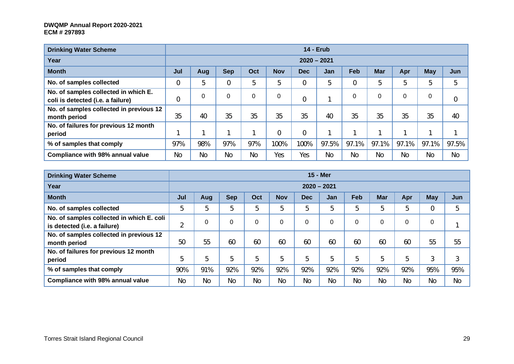| <b>Drinking Water Scheme</b>                                              |             |           |             |           |            |            | <b>14 - Erub</b> |                |            |           |           |       |
|---------------------------------------------------------------------------|-------------|-----------|-------------|-----------|------------|------------|------------------|----------------|------------|-----------|-----------|-------|
| Year                                                                      |             |           |             |           |            |            | $2020 - 2021$    |                |            |           |           |       |
| <b>Month</b>                                                              | Jul         | Aug       | <b>Sep</b>  | Oct       | <b>Nov</b> | <b>Dec</b> | <b>Jan</b>       | <b>Feb</b>     | <b>Mar</b> | Apr       | May       | Jun   |
| No. of samples collected                                                  | 0           | 5         | $\mathbf 0$ | 5         | 5          | 0          | 5                | $\overline{0}$ | 5          | 5         | 5         | 5     |
| No. of samples collected in which E.<br>coli is detected (i.e. a failure) | $\mathbf 0$ | 0         | $\Omega$    | 0         | 0          |            | ٠                | $\mathbf{0}$   | 0          | 0         | 0         | 0     |
| No. of samples collected in previous 12<br>month period                   | 35          | 40        | 35          | 35        | 35         | 35         | 40               | 35             | 35         | 35        | 35        | 40    |
| No. of failures for previous 12 month<br>period                           |             |           |             |           | 0          | 0          |                  |                |            |           |           |       |
| % of samples that comply                                                  | 97%         | 98%       | 97%         | 97%       | 100%       | 100%       | 97.5%            | 97.1%          | 97.1%      | 97.1%     | 97.1%     | 97.5% |
| Compliance with 98% annual value                                          | No          | <b>No</b> | No          | <b>No</b> | Yes        | Yes        | No               | No             | <b>No</b>  | <b>No</b> | <b>No</b> | No    |

| <b>Drinking Water Scheme</b>                                              |           |             |            |           |            |            | <b>15 - Mer</b> |            |            |           |            |           |
|---------------------------------------------------------------------------|-----------|-------------|------------|-----------|------------|------------|-----------------|------------|------------|-----------|------------|-----------|
| Year                                                                      |           |             |            |           |            |            | $2020 - 2021$   |            |            |           |            |           |
| <b>Month</b>                                                              | Jul       | Aug         | <b>Sep</b> | Oct       | <b>Nov</b> | <b>Dec</b> | Jan             | <b>Feb</b> | <b>Mar</b> | Apr       | <b>May</b> | Jun       |
| No. of samples collected                                                  | b         | 5           | 5          | 5         | 5          | 5          | 5               | 5          | 5          | 5         | 0          | 5         |
| No. of samples collected in which E. coli<br>is detected (i.e. a failure) | ↑<br>∠    | $\mathbf 0$ |            | 0         | $\Omega$   | 0          | 0               | $\Omega$   | 0          | 0         |            |           |
| No. of samples collected in previous 12<br>month period                   | 50        | 55          | 60         | 60        | 60         | 60         | 60              | 60         | 60         | 60        | 55         | 55        |
| No. of failures for previous 12 month<br>period                           | b         | 5           | 5          | 5         | 5          | 5          | 5               | 5          | 5          | 5         | 3          | 3         |
| % of samples that comply                                                  | 90%       | 91%         | 92%        | 92%       | 92%        | 92%        | 92%             | 92%        | 92%        | 92%       | 95%        | 95%       |
| Compliance with 98% annual value                                          | <b>No</b> | No          | <b>No</b>  | <b>No</b> | <b>No</b>  | <b>No</b>  | No              | No         | <b>No</b>  | <b>No</b> | No         | <b>No</b> |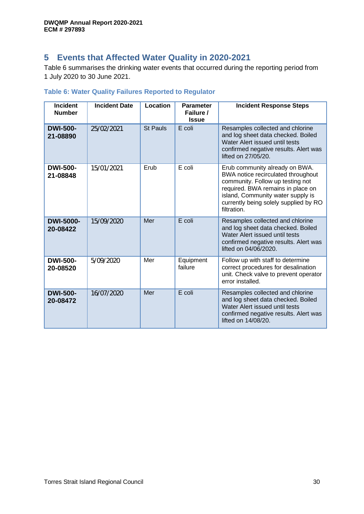### **5 Events that Affected Water Quality in 2020-2021**

Table 6 summarises the drinking water events that occurred during the reporting period from 1 July 2020 to 30 June 2021.

| <b>Incident</b><br><b>Number</b> | <b>Incident Date</b> | <b>Location</b> | <b>Parameter</b><br>Failure /<br><b>Issue</b> | <b>Incident Response Steps</b>                                                                                                                                                                                                             |
|----------------------------------|----------------------|-----------------|-----------------------------------------------|--------------------------------------------------------------------------------------------------------------------------------------------------------------------------------------------------------------------------------------------|
| <b>DWI-500-</b><br>21-08890      | 25/02/2021           | <b>St Pauls</b> | E coli                                        | Resamples collected and chlorine<br>and log sheet data checked. Boiled<br>Water Alert issued until tests<br>confirmed negative results. Alert was<br>lifted on 27/05/20.                                                                   |
| <b>DWI-500-</b><br>21-08848      | 15/01/2021           | Erub            | E coli                                        | Erub community already on BWA.<br>BWA notice recirculated throughout<br>community. Follow up testing not<br>required. BWA remains in place on<br>island, Community water supply is<br>currently being solely supplied by RO<br>filtration. |
| <b>DWI-5000-</b><br>20-08422     | 15/09/2020           | Mer             | $E$ coli                                      | Resamples collected and chlorine<br>and log sheet data checked. Boiled<br>Water Alert issued until tests<br>confirmed negative results. Alert was<br>lifted on 04/06/2020.                                                                 |
| <b>DWI-500-</b><br>20-08520      | 5/09/2020            | Mer             | Equipment<br>failure                          | Follow up with staff to determine<br>correct procedures for desalination<br>unit. Check valve to prevent operator<br>error installed.                                                                                                      |
| <b>DWI-500-</b><br>20-08472      | 16/07/2020           | Mer             | E coli                                        | Resamples collected and chlorine<br>and log sheet data checked. Boiled<br>Water Alert issued until tests<br>confirmed negative results. Alert was<br>lifted on 14/08/20.                                                                   |

### **Table 6: Water Quality Failures Reported to Regulator**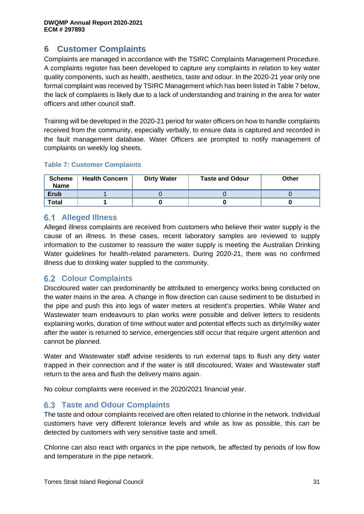### **6 Customer Complaints**

Complaints are managed in accordance with the TSIRC Complaints Management Procedure. A complaints register has been developed to capture any complaints in relation to key water quality components, such as health, aesthetics, taste and odour. In the 2020-21 year only one formal complaint was received by TSIRC Management which has been listed in Table 7 below, the lack of complaints is likely due to a lack of understanding and training in the area for water officers and other council staff.

Training will be developed in the 2020-21 period for water officers on how to handle complaints received from the community, especially verbally, to ensure data is captured and recorded in the fault management database. Water Officers are prompted to notify management of complaints on weekly log sheets.

#### **Table 7: Customer Complaints**

| <b>Scheme</b><br><b>Name</b> | <b>Health Concern</b> | <b>Dirty Water</b> | <b>Taste and Odour</b> | Other |
|------------------------------|-----------------------|--------------------|------------------------|-------|
| <b>Erub</b>                  |                       |                    |                        |       |
| <b>Total</b>                 |                       |                    |                        |       |

### **6.1 Alleged Illness**

Alleged illness complaints are received from customers who believe their water supply is the cause of an illness. In these cases, recent laboratory samples are reviewed to supply information to the customer to reassure the water supply is meeting the Australian Drinking Water guidelines for health-related parameters. During 2020-21, there was no confirmed illness due to drinking water supplied to the community.

### **Colour Complaints**

Discoloured water can predominantly be attributed to emergency works being conducted on the water mains in the area. A change in flow direction can cause sediment to be disturbed in the pipe and push this into legs of water meters at resident's properties. While Water and Wastewater team endeavours to plan works were possible and deliver letters to residents explaining works, duration of time without water and potential effects such as dirty/milky water after the water is returned to service, emergencies still occur that require urgent attention and cannot be planned.

Water and Wastewater staff advise residents to run external taps to flush any dirty water trapped in their connection and if the water is still discoloured, Water and Wastewater staff return to the area and flush the delivery mains again.

No colour complaints were received in the 2020/2021 financial year.

### **Taste and Odour Complaints**

The taste and odour complaints received are often related to chlorine in the network. Individual customers have very different tolerance levels and while as low as possible, this can be detected by customers with very sensitive taste and smell.

Chlorine can also react with organics in the pipe network, be affected by periods of low flow and temperature in the pipe network.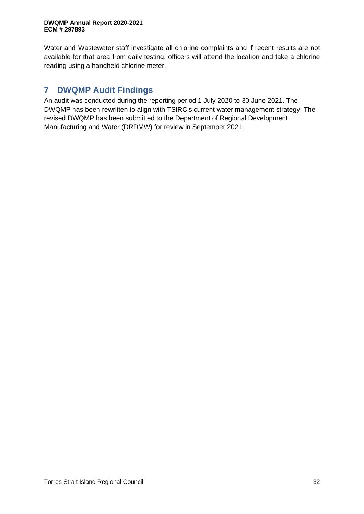Water and Wastewater staff investigate all chlorine complaints and if recent results are not available for that area from daily testing, officers will attend the location and take a chlorine reading using a handheld chlorine meter.

### **7 DWQMP Audit Findings**

An audit was conducted during the reporting period 1 July 2020 to 30 June 2021. The DWQMP has been rewritten to align with TSIRC's current water management strategy. The revised DWQMP has been submitted to the Department of Regional Development Manufacturing and Water (DRDMW) for review in September 2021.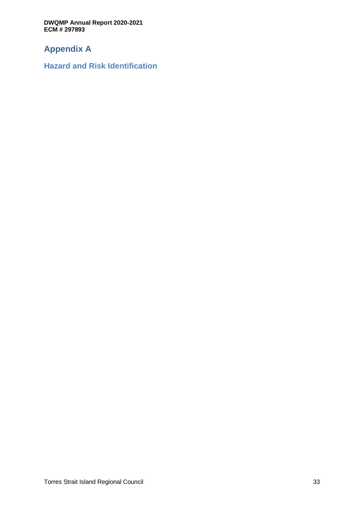### **Appendix A**

**Hazard and Risk Identification**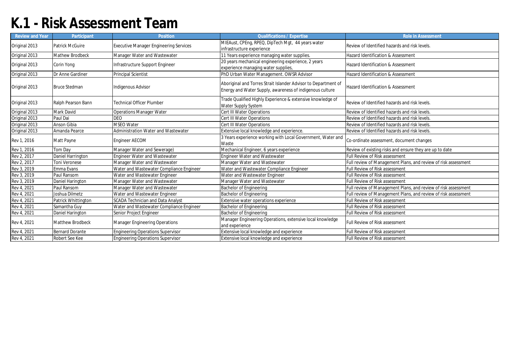## **K.1 - Risk Assessment Team**

| Review and Year | Participant            | Position                                      | <b>Qualifications / Expertise</b>                                                                                          | <b>Role in Assessment</b>                                      |
|-----------------|------------------------|-----------------------------------------------|----------------------------------------------------------------------------------------------------------------------------|----------------------------------------------------------------|
| Original 2013   | Patrick McGuire        | <b>Executive Manager Engineering Services</b> | MIEAust, CPEng, RPEQ, DipTech Mgt, 44 years water<br>infrastructure experience                                             | Review of Identified hazards and risk levels.                  |
| Original 2013   | Mathew Brodbeck        | Manager Water and Wastewater                  | 1 Years experience managing water supplies.                                                                                | Hazard Identification & Assessment                             |
| Original 2013   | Corin Yong             | Infrastructure Support Engineer               | 20 years mechanical engineering experience, 2 years<br>experience managing water supplies,                                 | Hazard Identification & Assessment                             |
| Original 2013   | Dr Anne Gardiner       | Principal Scientist                           | PhD Urban Water Management. OWSR Advisor                                                                                   | Hazard Identification & Assessment                             |
| Original 2013   | <b>Bruce Stedman</b>   | Indigenous Advisor                            | Aboriginal and Torres Strait Islander Advisor to Department of<br>Energy and Water Supply, awareness of indigenous culture | Hazard Identification & Assessment                             |
| Original 2013   | Ralph Pearson Bann     | <b>Technical Officer Plumber</b>              | Trade Qualified Highly Experience & extensive knowledge of<br>Water Supply System                                          | Review of Identified hazards and risk levels.                  |
| Original 2013   | Mark David             | <b>Operations Manager Water</b>               | Cert III Water Operations                                                                                                  | Review of Identified hazards and risk levels.                  |
| Original 2013   | Paul Dai               | <b>DEO</b>                                    | Cert III Water Operations                                                                                                  | Review of Identified hazards and risk levels.                  |
| Original 2013   | Anson Gibia            | <b>MSEO Water</b>                             | Cert III Water Operations                                                                                                  | Review of Identified hazards and risk levels.                  |
| Original 2013   | Amanda Pearce          | Administration Water and Wastewater           | Extensive local knowledge and experience.                                                                                  | Review of Identified hazards and risk levels.                  |
| Rev 1, 2016     | Matt Payne             | <b>Engineer AECOM</b>                         | 3 Years experience working with Local Government, Water and<br>Waste                                                       | Co-ordinate assessment, document changes                       |
| Rev 1, 2016     | Tom Day                | Manager Water and Sewerage)                   | Mechanical Engineer, 6 years experience                                                                                    | Review of existing risks and ensure they are up to date        |
| Rev 2, 2017     | Daniel Harrington      | <b>Engineer Water and Wastewater</b>          | <b>Engineer Water and Wastewater</b>                                                                                       | <b>Full Review of Risk assessment</b>                          |
| Rev 2, 2017     | <b>Toni Veronese</b>   | Manager Water and Wastewater                  | Manager Water and Wastewater                                                                                               | Full review of Management Plans, and review of risk assessment |
| Rev 3, 2019     | Emma Evans             | Water and Wastewater Compliance Engineer      | Water and Wastewater Compliance Engineer                                                                                   | Full Review of Risk assessment                                 |
| Rev 3, 2019     | Paul Ransom            | Water and Wastewater Engineer                 | Water and Wastewater Engineer                                                                                              | <b>Full Review of Risk assessment</b>                          |
| Rev 3, 2019     | Daniel Harington       | Manager Water and Wastewater                  | Manager Water and Wastewater                                                                                               | <b>Full Review of Risk assessment</b>                          |
| Rev 4, 2021     | Paul Ransom            | Manager Water and Wastewater                  | Bachelor of Engineering                                                                                                    | Full review of Management Plans, and review of risk assessment |
| Rev 4, 2021     | Joshua Dilmetz         | Water and Wastewater Engineer                 | Bachelor of Engineering                                                                                                    | Full review of Management Plans, and review of risk assessment |
| Rev 4, 2021     | Patrick Whittington    | <b>SCADA Technician and Data Analyst</b>      | Extensive water operations experience                                                                                      | Full Review of Risk assessment                                 |
| Rev 4, 2021     | Samantha Guy           | Water and Wastewater Compliance Engineer      | Bachelor of Engineering                                                                                                    | Full Review of Risk assessment                                 |
| Rev 4, 2021     | Daniel Harington       | Senior Project Engineer                       | <b>Bachelor of Engineering</b>                                                                                             | Full Review of Risk assessment                                 |
| Rev 4, 2021     | Matthew Brodbeck       | <b>Manager Engineering Operations</b>         | Manager Engineering Operations, extensive local knowledge<br>and experience                                                | Full Review of Risk assessment                                 |
| Rev 4, 2021     | <b>Bernard Dorante</b> | <b>Engineering Operations Supervisor</b>      | Extensive local knowledge and experience                                                                                   | <b>Full Review of Risk assessment</b>                          |
| Rev 4, 2021     | Robert See Kee         | <b>Engineering Operations Supervisor</b>      | Extensive local knowledge and experience                                                                                   | Full Review of Risk assessment                                 |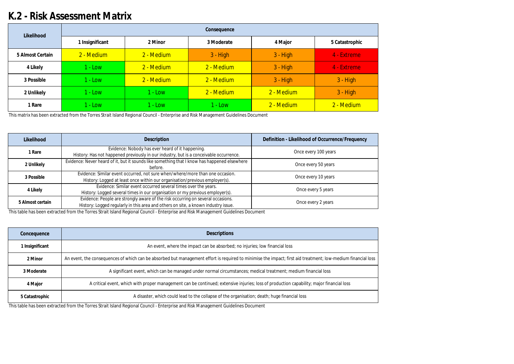## **K.2 - Risk Assessment Matrix**

This matrix has been extracted from the Torres Strait Island Regional Council - Enterprise and Risk Management Guidelines Document

This table has been extracted from the Torres Strait Island Regional Council - Enterprise and Risk Management Guidelines Document

This table has been extracted from the Torres Strait Island Regional Council - Enterprise and Risk Management Guidelines Document

| Likelihood       | Consequence     |            |            |            |                |  |  |  |  |  |  |  |
|------------------|-----------------|------------|------------|------------|----------------|--|--|--|--|--|--|--|
|                  | 1 Insignificant | 2 Minor    | 3 Moderate | 4 Major    | 5 Catastrophic |  |  |  |  |  |  |  |
| 5 Almost Certain | 2 - Medium      | 2 - Medium | $3 - High$ | $3 - High$ | 4 - Extreme    |  |  |  |  |  |  |  |
| 4 Likely         | l - Low         | 2 - Medium | 2 - Medium | $3 - High$ | 4 - Extreme    |  |  |  |  |  |  |  |
| 3 Possible       | 1 - Low         | 2 - Medium | 2 - Medium | $3 - High$ | $3 - High$     |  |  |  |  |  |  |  |
| 2 Unlikely       | - Low           | $1 - Low$  | 2 - Medium | 2 - Medium | $3 - High$     |  |  |  |  |  |  |  |
| I Rare           | 1 - Low         | $1 - Low$  | $1 - Low$  | 2 - Medium | 2 - Medium     |  |  |  |  |  |  |  |

| Likelihood       | Description                                                                                                                                                           | Definition - Likelihood of Occurrence/Frequency |
|------------------|-----------------------------------------------------------------------------------------------------------------------------------------------------------------------|-------------------------------------------------|
| 1 Rare           | Evidence: Nobody has ever heard of it happening.<br>History: Has not happened previously in our industry, but is a conceivable occurrence.                            | Once every 100 years                            |
| 2 Unlikely       | Evidence: Never heard of it, but it sounds like something that I know has happened elsewhere<br>before.                                                               | Once every 50 years                             |
| 3 Possible       | Evidence: Similar event occurred, not sure when/where/more than one occasion.<br>History: Logged at least once within our organisation/previous employer(s).          | Once every 10 years                             |
| 4 Likely         | Evidence: Similar event occurred several times over the years.<br>History: Logged several times in our organisation or my previous employer(s).                       | Once every 5 years                              |
| 5 Almost certain | Evidence: People are strongly aware of the risk occurring on several occasions.<br>History: Logged regularly in this area and others on site, a known industry issue. | Once every 2 years                              |

| Concequence     | <b>Descriptions</b>                                                                                                                                          |
|-----------------|--------------------------------------------------------------------------------------------------------------------------------------------------------------|
| 1 Insignificant | An event, where the impact can be absorbed; no injuries; low financial loss                                                                                  |
| 2 Minor         | An event, the consequences of which can be absorbed but management effort is required to minimise the impact; first aid treatment; low-medium financial loss |
| 3 Moderate      | A significant event, which can be managed under normal circumstances; medical treatment; medium financial loss                                               |
| 4 Major         | A critical event, which with proper management can be continued; extensive injuries; loss of production capability; major financial loss                     |
| 5 Catastrophic  | A disaster, which could lead to the collapse of the organisation; death; huge financial loss                                                                 |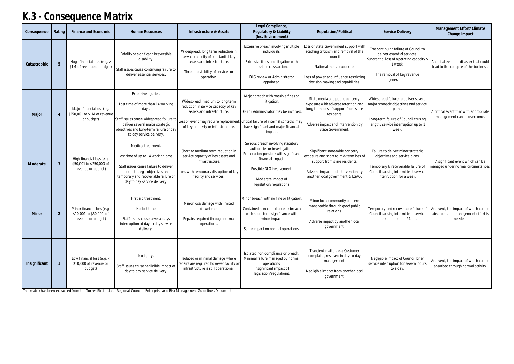# **K.3 - Consequence Matrix**

| Consequence   | Rating          | Finance and Economic                                                        | <b>Human Resources</b>                                                                                                                                                                                                  | Infrastructure & Assets                                                                                                                                                             | Legal Compliance,<br>Regulatory & Liability<br>(Inc. Environment)                                                                                                                                               | Reputation/Political                                                                                                                                                                                   | Service Delivery                                                                                                                                                                   | Management Effort/Climate<br>Change Impact                                            |
|---------------|-----------------|-----------------------------------------------------------------------------|-------------------------------------------------------------------------------------------------------------------------------------------------------------------------------------------------------------------------|-------------------------------------------------------------------------------------------------------------------------------------------------------------------------------------|-----------------------------------------------------------------------------------------------------------------------------------------------------------------------------------------------------------------|--------------------------------------------------------------------------------------------------------------------------------------------------------------------------------------------------------|------------------------------------------------------------------------------------------------------------------------------------------------------------------------------------|---------------------------------------------------------------------------------------|
| Catastrophic  | $5\overline{)}$ | Huge financial loss (e.g. ><br>\$1M of revenue or budget)                   | Fatality or significant irreversible<br>disability.<br>Staff issues cause continuing failure to<br>deliver essential services.                                                                                          | Widespread, long term reduction in<br>service capacity of substantial key<br>assets and infrastructure.<br>Threat to viability of services or<br>operation.                         | Extensive breach involving multiple<br>individuals.<br>Extensive fines and litigation with<br>possible class action.<br>DLG review or Administrator<br>appointed.                                               | Loss of State Government support with<br>scathing criticism and removal of the<br>council.<br>National media exposure.<br>Loss of power and influence restricting<br>decision making and capabilities. | The continuing failure of Council to<br>deliver essential services.<br>Substantial loss of operating capacity<br>1 week.<br>The removal of key revenue<br>generation.              | A critical event or disaster that could<br>lead to the collapse of the business.      |
| Major         | $\overline{4}$  | Major financial loss (eg.<br>\$250,001 to \$1M of revenue<br>or budget)     | Extensive injuries.<br>Lost time of more than 14 working<br>days.<br>Staff issues cause widespread failure to<br>deliver several major strategic<br>objectives and long-term failure of day<br>to day service delivery. | Widespread, medium to long term<br>reduction in service capacity of key<br>assets and infrastructure.<br>Loss or event may require replacemen<br>of key property or infrastructure. | Major breach with possible fines or<br>litigation.<br>DLG or Administrator may be involved<br>Critical failure of internal controls, may<br>have significant and major financial<br>impact.                     | State media and public concern/<br>exposure with adverse attention and<br>long-term loss of support from shire<br>residents.<br>Adverse impact and intervention by<br>State Government.                | Widespread failure to deliver several<br>major strategic objectives and service<br>plans.<br>Long-term failure of Council causing<br>lengthy service interruption up to 1<br>week. | A critical event that with appropriate<br>management can be overcome.                 |
| Moderate      | $\mathbf{3}$    | High financial loss (e.g.<br>\$50,001 to \$250,000 of<br>revenue or budget) | Medical treatment.<br>Lost time of up to 14 working days.<br>Staff issues cause failure to deliver<br>minor strategic objectives and<br>temporary and recoverable failure of<br>day to day service delivery.            | Short to medium term reduction in<br>service capacity of key assets and<br>infrastructure.<br>Loss with temporary disruption of key<br>facility and services.                       | Serious breach involving statutory<br>authorities or investigation.<br>Prosecution possible with significant<br>financial impact.<br>Possible DLG involvement.<br>Moderate impact of<br>legislation/regulations | Significant state-wide concern/<br>exposure and short to mid-term loss of<br>support from shire residents.<br>Adverse impact and intervention by<br>another local government & LGAQ.                   | Failure to deliver minor strategic<br>objectives and service plans.<br>Temporary & recoverable failure of<br>Council causing intermittent service<br>interruption for a week.      | A significant event which can be<br>managed under normal circumstances.               |
| Minor         | $\overline{2}$  | Minor financial loss (e.g.<br>\$10,001 to \$50,000 of<br>revenue or budget) | First aid treatment.<br>No lost time.<br>Staff issues cause several days<br>interruption of day to day service<br>delivery.                                                                                             | Minor loss/damage with limited<br>downtime.<br>Repairs required through normal<br>operations.                                                                                       | Minor breach with no fine or litigation.<br>Contained non-compliance or breach<br>with short term significance with<br>minor impact.<br>Some impact on normal operations.                                       | Minor local community concern<br>manageable through good public<br>relations.<br>Adverse impact by another local<br>government.                                                                        | Temporary and recoverable failure of<br>Council causing intermittent service<br>interruption up to 24 hrs.                                                                         | An event, the impact of which can be<br>absorbed, but management effort is<br>needed. |
| Insignificant |                 | Low financial loss (e.g. <<br>\$10,000 of revenue or<br>budget)             | No injury.<br>Staff issues cause negligible impact of<br>day to day service delivery.                                                                                                                                   | Isolated or minimal damage where<br>repairs are required however facility or<br>infrastructure is still operational.                                                                | Isolated non-compliance or breach.<br>Minimal failure managed by normal<br>operations.<br>Insignificant impact of<br>legislation/regulations.                                                                   | Transient matter, e.g. Customer<br>complaint, resolved in day-to-day<br>management.<br>Negligible impact from another local<br>government.                                                             | Negligible impact of Council, brief<br>service interruption for several hours<br>to a day.                                                                                         | An event, the impact of which can be<br>absorbed through normal activity.             |

This matrix has been extracted from the Torres Strait Island Regional Council - Enterprise and Risk Management Guidelines Document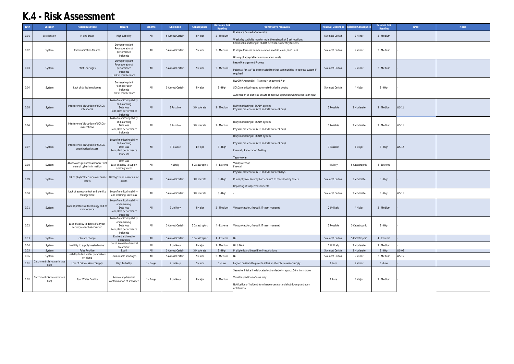| ID#  | Location                    | Hazardous Event                                                     | Hazard                                                              | Scheme    | Likelihood       | Consequence    | <b>Maximum Risk</b><br>Ranking | <b>Preventative Measures</b>                                                                                                    | Residual Likelihood | esidual Consequnce | <b>Residual Risk</b><br>Ranking | <b>RMIP</b>  | Notes |
|------|-----------------------------|---------------------------------------------------------------------|---------------------------------------------------------------------|-----------|------------------|----------------|--------------------------------|---------------------------------------------------------------------------------------------------------------------------------|---------------------|--------------------|---------------------------------|--------------|-------|
| 0.01 | Distribution                | <b>Mains Break</b>                                                  | High turbidity                                                      | All       | 5 Almost Certain | 2 Minor        | 2 - Medium                     | Mains are flushed after repairs                                                                                                 | 5 Almost Certain    | 2 Minor            | 2 - Medium                      |              |       |
|      |                             |                                                                     |                                                                     |           |                  |                |                                | Week day turbidity monitoring in the network at 5 set locations<br>Continual monitoring of SCADA network, to identify failures. |                     |                    |                                 |              |       |
| 0.02 | System                      | <b>Communication failures</b>                                       | Damage to plant<br>Poor operational<br>performance                  | All       | 5 Almost Certain | 2 Minor        | 2 - Medium                     | Multiple forms of communication: mobile, email, land lines.                                                                     | 5 Almost Certain    | 2 Minor            | 2 - Medium                      |              |       |
|      |                             |                                                                     | Incidents                                                           |           |                  |                |                                | History of acceptable communication levels.                                                                                     |                     |                    |                                 |              |       |
|      |                             |                                                                     | Damage to plant                                                     |           |                  |                |                                |                                                                                                                                 |                     |                    |                                 |              |       |
| 0.03 | System                      | <b>Staff Shortages</b>                                              | Poor operational<br>performance<br>Incidents<br>Lack of maintenance | All       | 5 Almost Certain | 2 Minor        | 2 - Medium                     | Leave Management Process<br>Potential for staff to be relocated to other communities to operate system if<br>required.          | 5 Almost Certain    | 2 Minor            | 2 - Medium                      |              |       |
|      |                             |                                                                     |                                                                     |           |                  |                |                                | DWQMP Appendix I - Training Managment Plan                                                                                      |                     |                    |                                 |              |       |
| 0.04 | System                      | Lack of skilled employees                                           | Damage to plant<br>Poor operation                                   | All       | 5 Almost Certain | 4 Major        | 3 - High                       | SCADA monitoring and automated chlorine dosing                                                                                  | 5 Almost Certain    | 4 Major            | 3 - High                        |              |       |
|      |                             |                                                                     | Incidents<br>Lack of maintenance                                    |           |                  |                |                                | Automation of plants to ensure continious operation without operator input                                                      |                     |                    |                                 |              |       |
|      |                             |                                                                     |                                                                     |           |                  |                |                                |                                                                                                                                 |                     |                    |                                 |              |       |
|      |                             |                                                                     | Loss of monitoring ability<br>and alarming                          |           |                  |                |                                |                                                                                                                                 |                     |                    |                                 |              |       |
| 0.05 | System                      | Interference/disruption of SCADA<br>intentional                     | Data loss                                                           | All       | 3 Possible       | 3 Moderate     | 2 - Medium                     | Daily monitoring of SCADA system<br>Physical presence at WTP and STP on week days                                               | 3 Possible          | 3 Moderate         | 2 - Medium                      | <b>WS-11</b> |       |
|      |                             |                                                                     | Poor plant performance<br>Incidents                                 |           |                  |                |                                |                                                                                                                                 |                     |                    |                                 |              |       |
|      |                             |                                                                     | Loss of monitoring ability                                          |           |                  |                |                                |                                                                                                                                 |                     |                    |                                 |              |       |
| 0.06 | System                      | Interference/disruption of SCADA                                    | and alarming<br>Data loss                                           | All       | 3 Possible       | 3 Moderate     | 2 - Medium                     | Daily monitoring of SCADA system                                                                                                | 3 Possible          | 3 Moderate         | 2 - Medium                      | <b>WS-11</b> |       |
|      |                             | unintentional                                                       | Poor plant performance                                              |           |                  |                |                                | Physical presence at WTP and STP on week days                                                                                   |                     |                    |                                 |              |       |
|      |                             |                                                                     | Incidents                                                           |           |                  |                |                                | Daily monitoring of SCADA system                                                                                                |                     |                    |                                 |              |       |
|      |                             |                                                                     | Loss of monitoring ability                                          |           |                  |                |                                |                                                                                                                                 |                     |                    |                                 |              |       |
|      |                             | Interference/disruption of SCADA -                                  | and alarming                                                        |           |                  |                |                                | Physical presence at WTP and STP on week days                                                                                   |                     |                    |                                 |              |       |
| 0.07 | System                      | unauthorised access                                                 | Data loss<br>Poor plant performance                                 | All       | 3 Possible       | 4 Major        | $3 - High$                     | Firewall / Penetration Testing                                                                                                  | 3 Possible          | 4 Major            | 3 - High                        | <b>WS-12</b> |       |
|      |                             |                                                                     | Incidents                                                           |           |                  |                |                                |                                                                                                                                 |                     |                    |                                 |              |       |
|      |                             |                                                                     | Data loss                                                           |           |                  |                |                                | Teamviewer                                                                                                                      |                     |                    |                                 |              |       |
| 0.08 | System                      | Abuse/corruption/ransomware/mal<br>ware of cyber information        | Lack of ability to supply                                           | All       | 4 Likely         | 5 Catastrophic | 4 - Extreme                    | Virusprotection<br>Firewall                                                                                                     | 4 Likely            | 5 Catastrophic     | 4 - Extreme                     |              |       |
|      |                             |                                                                     | drinking water                                                      |           |                  |                |                                | Physical presence at WTP and STP on weekdays                                                                                    |                     |                    |                                 |              |       |
|      |                             | Lack of physical security over online   Damage to or loss of online |                                                                     |           |                  |                |                                |                                                                                                                                 |                     |                    |                                 |              |       |
| 0.09 | System                      | assets                                                              | assets                                                              | All       | 5 Almost Certain | 3 Moderate     | 3 - High                       | Minor physical security barriers such as fences to key assets                                                                   | 5 Almost Certain    | 3 Moderate         | 3 - High                        |              |       |
|      |                             |                                                                     |                                                                     |           |                  |                |                                | Reporting of suspected incidents                                                                                                |                     |                    |                                 |              |       |
| 0.10 | System                      | Lack of access control and identity                                 | Loss of monitoring ability                                          | All       | 5 Almost Certain | 3 Moderate     | 3 - High                       |                                                                                                                                 | 5 Almost Certain    | 3 Moderate         | 3 - High                        | <b>WS-11</b> |       |
|      |                             | management                                                          | and alarming. Data loss                                             |           |                  |                |                                |                                                                                                                                 |                     |                    |                                 |              |       |
|      |                             |                                                                     | Loss of monitoring ability                                          |           |                  |                |                                |                                                                                                                                 |                     |                    |                                 |              |       |
| 0.11 | System                      | Lack of protective technology and its                               | and alarming.<br>Data loss                                          | All       | 2 Unlikely       | 4 Major        | 2 - Medium                     | Virusprotection, firewall, IT team managed                                                                                      | 2 Unlikely          | 4 Major            | 2 - Medium                      |              |       |
|      |                             | maintenance                                                         | Poor plant performance                                              |           |                  |                |                                |                                                                                                                                 |                     |                    |                                 |              |       |
|      |                             |                                                                     | Incidents<br>Loss of monitoring ability                             |           |                  |                |                                |                                                                                                                                 |                     |                    |                                 |              |       |
|      |                             | Lack of ability to detect if a cyber                                | and alarming.                                                       |           |                  |                |                                |                                                                                                                                 |                     |                    |                                 |              |       |
| 0.12 | System                      | security event has occurred                                         | Data loss<br>Poor plant performance                                 | All       | 5 Almost Certain | 5 Catastrophic | 4 - Extreme                    | Virusprotection, firewall, IT team managed                                                                                      | 3 Possible          | 5 Catastrophic     | 3 - High                        |              |       |
|      |                             |                                                                     | Incidents                                                           |           |                  |                |                                |                                                                                                                                 |                     |                    |                                 |              |       |
| 0.13 | System                      | Climate Change                                                      | Existential threat to<br>operations                                 | All       | 5 Almost Certain | 5 Catastrophic | 4 - Extreme                    | Nil                                                                                                                             | 5 Almost Certain    | 5 Catastrophic     | 4 - Extreme                     |              |       |
| 0.14 | System                      | Inability to supply treated water                                   | Loss of access to chemical                                          | All       | 2 Unlikely       | 4 Major        | 2 - Medium                     | Nil / BWA                                                                                                                       | 2 Unlikely          | 3 Moderate         | 2 - Medium                      |              |       |
| 0.15 | System                      | <b>False Positive</b>                                               | treatment<br>E.coli                                                 | All       | 5 Almost Certain | 3 Moderate     | 3 - High                       | Multiple island based E.coli test stations                                                                                      | 5 Almost Certain    | 3 Moderate         | 3 - High                        | <b>WS-06</b> |       |
| 0.16 | System                      | Inability to test water parameters                                  | Consumable shortages                                                | All       | 5 Almost Certain | 2 Minor        | 2 - Medium                     | Nil                                                                                                                             | 5 Almost Certain    | 2 Minor            | 2 - Medium                      | WS-15        |       |
|      | Catchment (Saltwater intake | on island                                                           |                                                                     |           |                  |                |                                |                                                                                                                                 |                     |                    |                                 |              |       |
| 1.01 | line)                       | Loss of Critical Water Supply                                       | <b>High Turbidity</b>                                               | 1 - Boigu | 2 Unlikely       | 2 Minor        | $1 - Low$                      | Lagoon on island to provide interium short term water supply                                                                    | 1 Rare              | 2 Minor            | $1 - Low$                       |              |       |
|      |                             |                                                                     |                                                                     |           |                  |                |                                | Seawater intake line is located out under jetty, approx 50m from shore                                                          |                     |                    |                                 |              |       |
| 1.02 | Catchment (Saltwater intake | Poor Water Quality                                                  | Petroleum/chemical                                                  | 1 - Boigu | 2 Unlikely       | 4 Major        | 2 - Medium                     | Visual inspections of area only                                                                                                 | 1 Rare              | 4 Major            | 2 - Medium                      |              |       |
|      | line)                       |                                                                     | contamination of seawater                                           |           |                  |                |                                | Notfication of incident from barge operator and shut down plant upon                                                            |                     |                    |                                 |              |       |
|      |                             |                                                                     |                                                                     |           |                  |                |                                | notification                                                                                                                    |                     |                    |                                 |              |       |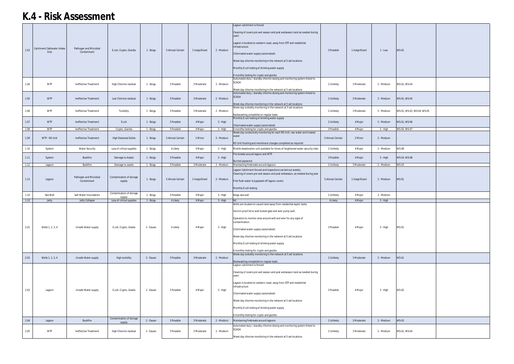|      |                                      |                                       |                                    |           |                  |                 |            | Lagoon catchment is fenced                                                                                                                                                                                                                                                                                                                                                                                                    |                  |                 |            |                            |  |
|------|--------------------------------------|---------------------------------------|------------------------------------|-----------|------------------|-----------------|------------|-------------------------------------------------------------------------------------------------------------------------------------------------------------------------------------------------------------------------------------------------------------------------------------------------------------------------------------------------------------------------------------------------------------------------------|------------------|-----------------|------------|----------------------------|--|
| 1.03 | Catchment (Saltwater intake<br>line) | Pathogen and Microbial<br>Contaminant | E.coli, Crypto, Giardia            | 1 - Boigu | 5 Almost Certain | 1 Insignificant | 2 - Medium | Cleaning of covers pre wet season and post wetseason (and as needed during<br>year)<br>Lagoon is located on western coast, away from STP and residential<br>infrastructure<br>Chlorinated water supply (automated)<br>Week day chlorine monitoring in the network at 5 set locations<br>Monthly E.coli testing of drinking water supply<br>6 monthly testing for crypto and giardia                                           | 3 Possible       | 1 Insignificant | $1 - Low$  | <b>WS-02</b>               |  |
| 1.04 | <b>WTP</b>                           | Ineffective Treatment                 | High Chlorine residual             | 1 - Boigu | 3 Possible       | 3 Moderate      | 2 - Medium | Automated duty / standby chlorine dosing and monitoring system linked to<br>SCADA<br>Week day chlorine monitoring in the network at 5 set locations                                                                                                                                                                                                                                                                           | 2 Unlikely       | 3 Moderate      | 2 - Medium | WS-01, WS-04               |  |
| 1.05 | <b>WTP</b>                           | Ineffective Treatment                 | Low Chlorine residual              | 1 - Boigu | 3 Possible       | 3 Moderate      | 2 - Medium | Automated duty / standby chlorine dosing and monitoring system linked to<br><b>SCADA</b><br>Week day chlorine monitoring in the network at 5 set locations                                                                                                                                                                                                                                                                    | 2 Unlikely       | 3 Moderate      | 2 - Medium | WS-01, WS-04               |  |
| 1.06 | <b>WTP</b>                           | Ineffective Treatment                 | Turbidity                          | 1 - Boigu | 3 Possible       | 3 Moderate      | 2 - Medium | Week day turbidity monitoring in the network at 5 set locations<br>Backwashing completed on regular basis                                                                                                                                                                                                                                                                                                                     | 2 Unlikely       | 3 Moderate      | 2 - Medium | WS-01, WS-02, WS-04, WS-05 |  |
| 1.07 | <b>WTP</b>                           | Ineffective Treatment                 | E.coli                             | 1 - Boigu | 3 Possible       | 4 Major         | 3 - High   | Monthly E.coli testing of drinking water supply<br>Chlorinated water supply (automated)                                                                                                                                                                                                                                                                                                                                       | 2 Unlikely       | 4 Major         | 2 - Medium | WS-01, WS-06               |  |
| 1.08 | <b>WTP</b>                           | Ineffective Treatment                 | Crypto, Giardia                    | 1 - Boigu | 3 Possible       | 4 Major         | 3 - High   | 6 monthly testing for crypto and giardia<br>Week day conductivity monitoring for each RO Unit, raw water and treated                                                                                                                                                                                                                                                                                                          | 3 Possible       | 4 Major         | 3 - High   | WS-02, WS-07               |  |
| 1.09 | WTP - RO Unit                        | <b>Ineffective Treatment</b>          | <b>High Dissolved Solids</b>       | 1 - Boigu | 5 Almost Certain | 2 Minor         | 2 - Medium | RO Unit flushing and membrane changes completed as required                                                                                                                                                                                                                                                                                                                                                                   | 5 Almost Certain | 2 Minor         | 2 - Medium |                            |  |
| 1.10 | System                               | <b>Water Security</b>                 | Loss of critical supplies          | 1 - Boigu | 4 Likely         | 4 Major         | 3 - High   | Mobile desalination unit available for times of heightened water security risks                                                                                                                                                                                                                                                                                                                                               | 2 Unlikely       | 4 Major         | 2 - Medium | <b>WS-09</b>               |  |
| 1.11 | System                               | Bushfire                              | Damage to Assets                   | 1 - Boigu | 3 Possible       | 4 Major         | 3 - High   | Fire breaks around lagoon and WTP<br>Burried pipework                                                                                                                                                                                                                                                                                                                                                                         | 3 Possible       | 4 Major         | 3 - High   | WS-03, WS-08               |  |
| 1.12 | Lagoon                               | <b>Bushfire</b>                       | Damage to assets                   | 1 - Boigu | 3 Possible       | 3 Moderate      | 2 - Medium | Maintaining firebreaks around lagoons                                                                                                                                                                                                                                                                                                                                                                                         | 2 Unlikely       | 3 Moderate      | 2 - Medium | <b>WS-03</b>               |  |
| 1.13 | Lagoon                               | Pathogen and Microbial<br>Contaminant | Contamination of storage<br>supply | 1 - Boigu | 5 Almost Certain | 1 Insignificant | 2 - Medium | Lagoon Catchment fenced and inspections carried out weekly.<br>Cleaning of covers pre wet season and post wetseason, as needed during year<br>First flush water is bypassed off lagoon covers<br>Monthly E.coli testing                                                                                                                                                                                                       | 5 Almost Certain | 1 Insignificant | 2 - Medium | <b>WS-01</b>               |  |
| 1.14 | Sea Wall                             | Salt Water Innundation                | Contamination of storage<br>supply | 1 - Boigu | 3 Possible       | 4 Major         | 3 - High   | Boigu sea wall                                                                                                                                                                                                                                                                                                                                                                                                                | 2 Unlikely       | 4 Major         | 2 - Medium |                            |  |
| 1.15 | Jetty                                | Jetty Collapse                        | Loss of critical supplies          | 1 - Boigu | 4 Likely         | 4 Major         | 3 - High   | <b>Nil</b>                                                                                                                                                                                                                                                                                                                                                                                                                    | 4 Likely         | 4 Major         | 3 - High   |                            |  |
| 2.01 | Wells 1, 2, 3, 4                     | Unsafe Water supply                   | E.coli, Crypto, Giadia             | 2 - Dauan | 4 Likely         | 4 Major         | 3 - High   | Wells are located on vacant land away from residential septic tanks<br>Vermin proof lid to well locked gate and weir pump well.<br>Operators to monitor area around well and wier for any signs of<br>contamination.<br>Chlorinated water supply (automated)<br>Week day chlorine monitoring in the network at 5 set locations<br>Monthly E.coli testing of drinking water supply<br>6 monthly testing for crypto and giardia | 3 Possible       | 4 Major         | 3 - High   | <b>WS-01</b>               |  |
| 2.02 | Wells 1, 2, 3, 4                     | Unsafe Water supply                   | High turbidity                     | 2 - Dauan | 3 Possible       | 3 Moderate      | 2 - Medium | Week day turbidity monitoring in the network at 5 set locations<br>Backwashing completed on regular basis                                                                                                                                                                                                                                                                                                                     | 2 Unlikely       | 3 Moderate      | 2 - Medium | <b>WS-01</b>               |  |
| 2.03 | Lagoon                               | Unsafe Water supply                   | E.coli, Crypto, Giadia             | 2 - Dauan | 3 Possible       | 4 Major         | 3 - High   | Lagoon catchment is fenced<br>Cleaning of covers pre wet season and post wetseason (and as needed during<br>year)<br>Lagoon is located on western coast, away from STP and residential<br>infrastructure<br>Chlorinated water supply (automated)<br>Week day chlorine monitoring in the network at 5 set locations<br>Monthly E.coli testing of drinking water supply<br>6 monthly testing for crypto and giardia             | 3 Possible       | 4 Major         | 3 - High   | <b>WS-02</b>               |  |
| 2.04 | Lagoon                               | Bushfire                              | Contamination of storage<br>supply | 2 - Dauan | 3 Possible       | 3 Moderate      | 2 - Medium | Maintaining firebreaks around lagoons                                                                                                                                                                                                                                                                                                                                                                                         | 2 Unlikely       | 3 Moderate      | 2 - Medium | <b>WS-03</b>               |  |
| 2.05 | <b>WTP</b>                           | Ineffective Treatment                 | High Chlorine residual             | 2 - Dauan | 3 Possible       | 3 Moderate      | 2 - Medium | Automated duty / standby chlorine dosing and monitoring system linked to<br>SCADA<br>Week day chlorine monitoring in the network at 5 set locations                                                                                                                                                                                                                                                                           | 2 Unlikely       | 3 Moderate      | 2 - Medium | WS-01, WS-04               |  |
|      |                                      |                                       |                                    |           |                  |                 |            |                                                                                                                                                                                                                                                                                                                                                                                                                               |                  |                 |            |                            |  |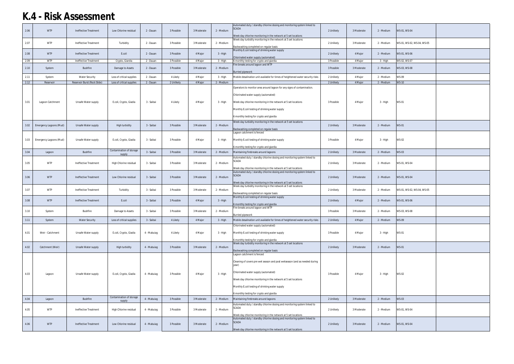|      |                         |                              |                                    |             |            |            |            | Automated duty / standby chlorine dosing and monitoring system linked to<br><b>SCADA</b>                                                   |            |            |            |                            |  |
|------|-------------------------|------------------------------|------------------------------------|-------------|------------|------------|------------|--------------------------------------------------------------------------------------------------------------------------------------------|------------|------------|------------|----------------------------|--|
| 2.06 | <b>WTP</b>              | Ineffective Treatment        | Low Chlorine residual              | 2 - Dauan   | 3 Possible | 3 Moderate | 2 - Medium | Week day chlorine monitoring in the network at 5 set locations                                                                             | 2 Unlikely | 3 Moderate | 2 - Medium | WS-01, WS-04               |  |
| 2.07 | <b>WTP</b>              | Ineffective Treatment        | Turbidity                          | 2 - Dauan   | 3 Possible | 3 Moderate | 2 - Medium | Week day turbidity monitoring in the network at 5 set locations                                                                            | 2 Unlikely | 3 Moderate | 2 - Medium | WS-01, WS-02, WS-04, WS-05 |  |
|      |                         |                              |                                    |             |            |            |            | Backwashing completed on regular basis<br>Monthly E.coli testing of drinking water supply                                                  |            |            |            |                            |  |
| 2.08 | <b>WTP</b>              | Ineffective Treatment        | E.coli                             | 2 - Dauan   | 3 Possible | 4 Major    | 3 - High   | Chlorinated water supply (automated)                                                                                                       | 2 Unlikely | 4 Major    | 2 - Medium | WS-01, WS-06               |  |
| 2.09 | <b>WTP</b>              | Ineffective Treatment        | Crypto, Giardia                    | 2 - Dauan   | 3 Possible | 4 Major    | 3 - High   | 6 monthly testing for crypto and giardia                                                                                                   | 3 Possible | 4 Major    | 3 - High   | WS-02, WS-07               |  |
| 2.10 | System                  | <b>Bushfire</b>              | Damage to Assets                   | 2 - Dauan   | 3 Possible | 3 Moderate | 2 - Medium | Fire breaks around lagoon and WTP<br><b>Burried pipework</b>                                                                               | 3 Possible | 3 Moderate | 2 - Medium | WS-03, WS-08               |  |
| 2.11 | System                  | <b>Water Security</b>        | Loss of critical supplies          | 2 - Dauan   | 4 Likely   | 4 Major    | 3 - High   | Mobile desalination unit available for times of heightened water security risks                                                            | 2 Unlikely | 4 Major    | 2 - Medium | <b>WS-09</b>               |  |
| 2.12 | Reservoir               | Reservoir Burst (Rock Slide) | Loss of critical supplies          | 2 - Dauan   | 2 Unlikely | 4 Major    | 2 - Medium |                                                                                                                                            | 2 Unlikely | 4 Major    | 2 - Medium | <b>WS-10</b>               |  |
|      |                         |                              |                                    |             |            |            |            | Operators to monitor area around lagoon for any signs of contamination.                                                                    |            |            |            |                            |  |
|      |                         |                              |                                    |             |            |            |            | Chlorinated water supply (automated)                                                                                                       |            |            |            |                            |  |
| 3.01 | Lagoon Catchment        | Unsafe Water supply          | E.coli, Crypto, Giadia             | 3 - Saibai  | 4 Likely   | 4 Major    | 3 - High   | Week day chlorine monitoring in the network at 5 set locations                                                                             | 3 Possible | 4 Major    | 3 - High   | <b>WS-01</b>               |  |
|      |                         |                              |                                    |             |            |            |            | Monthly E.coli testing of drinking water supply                                                                                            |            |            |            |                            |  |
|      |                         |                              |                                    |             |            |            |            | 6 monthly testing for crypto and giardia                                                                                                   |            |            |            |                            |  |
|      |                         |                              |                                    |             |            |            |            | Week day turbidity monitoring in the network at 5 set locations                                                                            |            |            |            |                            |  |
| 3.02 | Emergency Lagoons (Mud) | Unsafe Water supply          | High turbidity                     | 3 - Saibai  | 3 Possible | 3 Moderate | 2 - Medium | Backwashing completed on regular basis                                                                                                     | 2 Unlikely | 3 Moderate | 2 - Medium | <b>WS-01</b>               |  |
|      |                         |                              |                                    |             |            |            |            | Lagoon catchment is fenced                                                                                                                 |            |            |            |                            |  |
| 3.03 | Emergency Lagoons (Mud) | Unsafe Water supply          | E.coli, Crypto, Giadia             | 3 - Saibai  | 3 Possible | 4 Major    | 3 - High   | Monthly E.coli testing of drinking water supply                                                                                            | 3 Possible | 4 Major    | 3 - High   | <b>WS-02</b>               |  |
|      |                         |                              |                                    |             |            |            |            | 6 monthly testing for crypto and giardia                                                                                                   |            |            |            |                            |  |
| 3.04 | Lagoon                  | <b>Bushfire</b>              | Contamination of storage<br>supply | 3 - Saibai  | 3 Possible | 3 Moderate | 2 - Medium | Maintaining firebreaks around lagoons                                                                                                      | 2 Unlikely | 3 Moderate | 2 - Medium | <b>WS-03</b>               |  |
|      |                         |                              |                                    |             |            |            |            | Automated duty / standby chlorine dosing and monitoring system linked to<br><b>SCADA</b>                                                   |            |            |            |                            |  |
| 3.05 | <b>WTP</b>              | Ineffective Treatment        | High Chlorine residual             | 3 - Saibai  | 3 Possible | 3 Moderate | 2 - Medium |                                                                                                                                            | 2 Unlikely | 3 Moderate | 2 - Medium | WS-01, WS-04               |  |
|      |                         |                              |                                    |             |            |            |            | Week day chlorine monitoring in the network at 5 set locations<br>Automated duty / standby chlorine dosing and monitoring system linked to |            |            |            |                            |  |
| 3.06 | <b>WTP</b>              | Ineffective Treatment        | Low Chlorine residual              | 3 - Saibai  | 3 Possible | 3 Moderate | 2 - Medium | <b>SCADA</b>                                                                                                                               | 2 Unlikely | 3 Moderate | 2 - Medium | WS-01, WS-04               |  |
|      |                         |                              |                                    |             |            |            |            | Week day chlorine monitoring in the network at 5 set locations<br>Week day turbidity monitoring in the network at 5 set locations          |            |            |            |                            |  |
| 3.07 | <b>WTP</b>              | Ineffective Treatment        | Turbidity                          | 3 - Saibai  | 3 Possible | 3 Moderate | 2 - Medium |                                                                                                                                            | 2 Unlikely | 3 Moderate | 2 - Medium | WS-01, WS-02, WS-04, WS-05 |  |
|      |                         |                              |                                    |             |            |            |            | Backwashing completed on regular basis<br>Monthly E.coli testing of drinking water supply                                                  |            |            |            |                            |  |
| 3.08 | <b>WTP</b>              | Ineffective Treatment        | E.coli                             | 3 - Saibai  | 3 Possible | 4 Major    | 3 - High   | 6 monthly testing for crypto and giardia                                                                                                   | 2 Unlikely | 4 Major    | 2 - Medium | WS-01, WS-06               |  |
| 3.10 | System                  | Bushfire                     | Damage to Assets                   | 3 - Saibai  | 3 Possible | 3 Moderate | 2 - Medium | Fire breaks around lagoon and WTP                                                                                                          | 3 Possible | 3 Moderate | 2 - Medium | WS-03, WS-08               |  |
|      |                         |                              |                                    |             |            |            |            | Burried pipework                                                                                                                           |            |            |            |                            |  |
| 3.11 | System                  | <b>Water Security</b>        | Loss of critical supplies          | 3 - Saibai  | 4 Likely   | 4 Major    | 3 - High   | Mobile desalination unit available for times of heightened water security risks<br>Chlorinated water supply (automated)                    | 2 Unlikely | 4 Major    | 2 - Medium | <b>WS-09</b>               |  |
|      |                         |                              |                                    |             |            |            |            |                                                                                                                                            |            |            |            |                            |  |
| 4.01 | Weir - Catchment        | Unsafe Water supply          | E.coli, Crypto, Giadia             | 4 - Mabuiag | 4 Likely   | 4 Major    | 3 - High   | Monthly E.coli testing of drinking water supply                                                                                            | 3 Possible | 4 Major    | 3 - High   | <b>WS-01</b>               |  |
|      |                         |                              |                                    |             |            |            |            | 6 monthly testing for crypto and giardia<br>Week day turbidity monitoring in the network at 5 set locations                                |            |            |            |                            |  |
| 4.02 | Catchment (Weir)        | Unsafe Water supply          | High turbidity                     | 4 - Mabuiag | 3 Possible | 3 Moderate | 2 - Medium | Backwashing completed on regular basis                                                                                                     | 2 Unlikely | 3 Moderate | 2 - Medium | <b>WS-01</b>               |  |
|      |                         |                              |                                    |             |            |            |            | Lagoon catchment is fenced                                                                                                                 |            |            |            |                            |  |
|      |                         |                              |                                    |             |            |            |            | Cleaning of covers pre wet season and post wetseason (and as needed during                                                                 |            |            |            |                            |  |
|      |                         |                              |                                    |             |            |            |            | year)                                                                                                                                      |            |            |            |                            |  |
| 4.03 | Lagoon                  | Unsafe Water supply          | E.coli, Crypto, Giadia             | 4 - Mabuiag | 3 Possible | 4 Major    | 3 - High   | Chlorinated water supply (automated)                                                                                                       | 3 Possible | 4 Major    | 3 - High   | <b>WS-02</b>               |  |
|      |                         |                              |                                    |             |            |            |            | Week day chlorine monitoring in the network at 5 set locations                                                                             |            |            |            |                            |  |
|      |                         |                              |                                    |             |            |            |            | Monthly E.coli testing of drinking water supply                                                                                            |            |            |            |                            |  |
|      |                         |                              |                                    |             |            |            |            | 6 monthly testing for crypto and giardia                                                                                                   |            |            |            |                            |  |
| 4.04 | Lagoon                  | Bushfire                     | Contamination of storage<br>supply | 4 - Mabuiag | 3 Possible | 3 Moderate | 2 - Medium | Maintaining firebreaks around lagoons                                                                                                      | 2 Unlikely | 3 Moderate | 2 - Medium | <b>WS-03</b>               |  |
| 4.05 | <b>WTP</b>              | Ineffective Treatment        | High Chlorine residual             | 4 - Mabuiag | 3 Possible | 3 Moderate | 2 - Medium | Automated duty / standby chlorine dosing and monitoring system linked to<br><b>SCADA</b>                                                   | 2 Unlikely | 3 Moderate | 2 - Medium | WS-01, WS-04               |  |
|      |                         |                              |                                    |             |            |            |            | Week day chlorine monitoring in the network at 5 set locations                                                                             |            |            |            |                            |  |
|      |                         |                              |                                    |             |            |            |            | Automated duty / standby chlorine dosing and monitoring system linked to<br><b>SCADA</b>                                                   |            |            |            |                            |  |
| 4.06 | <b>WTP</b>              | Ineffective Treatment        | Low Chlorine residual              | 4 - Mabuiag | 3 Possible | 3 Moderate | 2 - Medium | Week day chlorine monitoring in the network at 5 set locations                                                                             | 2 Unlikely | 3 Moderate | 2 - Medium | WS-01, WS-04               |  |
|      |                         |                              |                                    |             |            |            |            |                                                                                                                                            |            |            |            |                            |  |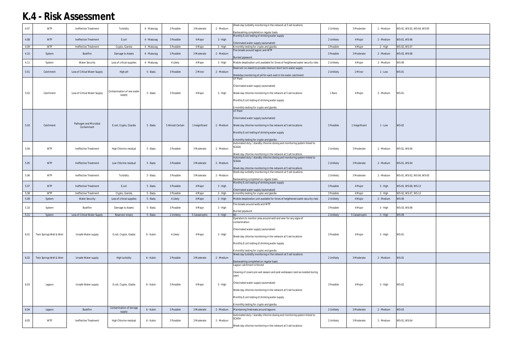| 4.07 | <b>WTP</b>               | Ineffective Treatment         | Turbidity                          | 4 - Mabuiag | 3 Possible       | 3 Moderate      | 2 - Medium | Week day turbidity monitoring in the network at 5 set locations                                                                            | 2 Unlikely | 3 Moderate      | 2 - Medium | WS-01, WS-02, WS-04, WS-05 |  |
|------|--------------------------|-------------------------------|------------------------------------|-------------|------------------|-----------------|------------|--------------------------------------------------------------------------------------------------------------------------------------------|------------|-----------------|------------|----------------------------|--|
|      |                          |                               |                                    |             |                  |                 |            | Backwashing completed on regular basis                                                                                                     |            |                 |            |                            |  |
| 4.08 | <b>WTP</b>               | Ineffective Treatment         | E.coli                             | 4 - Mabuiag | 3 Possible       | 4 Major         | 3 - High   | Monthly E.coli testing of drinking water supply<br>Chlorinated water supply (automated)                                                    | 2 Unlikely | 4 Major         | 2 - Medium | WS-01, WS-06               |  |
| 4.09 | <b>WTP</b>               | Ineffective Treatment         | Crypto, Giardia                    | 4 - Mabuiag | 3 Possible       | 4 Major         | 3 - High   | 6 monthly testing for crypto and giardia                                                                                                   | 3 Possible | 4 Major         | 3 - High   | WS-02, WS-07               |  |
| 4.10 | System                   | <b>Bushfire</b>               | Damage to Assets                   | 4 - Mabuiag | 3 Possible       | 3 Moderate      | 2 - Medium | Fire breaks around lagoon and WTP<br><b>Burried pipework</b>                                                                               | 3 Possible | 3 Moderate      | 2 - Medium | WS-03, WS-08               |  |
| 4.11 | System                   | <b>Water Security</b>         | Loss of critical supplies          | 4 - Mabuiag | 4 Likely         | 4 Major         | $3 - High$ | Mobile desalination unit available for times of heightened water security risks                                                            | 2 Unlikely | 4 Major         | 2 - Medium | <b>WS-09</b>               |  |
|      |                          |                               |                                    |             |                  |                 |            | Reservoir on island to provide interium short term water supply                                                                            |            |                 |            |                            |  |
| 5.01 | Catchment                | Loss of Critical Water Supply | High pH                            | 5 - Badu    | 3 Possible       | 2 Minor         | 2 - Medium |                                                                                                                                            | 2 Unlikely | 2 Minor         | $1 - Low$  | <b>WS-01</b>               |  |
|      |                          |                               |                                    |             |                  |                 |            | Weekday monitoring of pH for each well in the water catchment<br>UF Plant                                                                  |            |                 |            |                            |  |
|      |                          |                               |                                    |             |                  |                 |            | Chlorinated water supply (automated)                                                                                                       |            |                 |            |                            |  |
|      |                          |                               | Contamination of raw water         |             |                  |                 |            |                                                                                                                                            |            |                 |            |                            |  |
| 5.02 | Catchment                | Loss of Critical Water Supply | supply                             | 5 - Badu    | 3 Possible       | 4 Major         | 3 - High   | Week day chlorine monitoring in the network at 5 set locations                                                                             | 1 Rare     | 4 Major         | 2 - Medium | <b>WS-01</b>               |  |
|      |                          |                               |                                    |             |                  |                 |            | Monthly E.coli testing of drinking water supply                                                                                            |            |                 |            |                            |  |
|      |                          |                               |                                    |             |                  |                 |            | 6 monthly testing for crypto and giardia                                                                                                   |            |                 |            |                            |  |
|      |                          |                               |                                    |             |                  |                 |            | UF Plant                                                                                                                                   |            |                 |            |                            |  |
|      |                          |                               |                                    |             |                  |                 |            | Chlorinated water supply (automated)                                                                                                       |            |                 |            |                            |  |
|      |                          | Pathogen and Microbial        |                                    |             |                  |                 |            |                                                                                                                                            |            |                 |            |                            |  |
| 5.03 | Catchment                | Contaminant                   | E.coli, Crypto, Giardia            | 5 - Badu    | 5 Almost Certain | 1 Insignificant | 2 - Medium | Week day chlorine monitoring in the network at 5 set locations                                                                             | 3 Possible | 1 Insignificant | $1 - Low$  | <b>WS-02</b>               |  |
|      |                          |                               |                                    |             |                  |                 |            | Monthly E.coli testing of drinking water supply                                                                                            |            |                 |            |                            |  |
|      |                          |                               |                                    |             |                  |                 |            | 6 monthly testing for crypto and giardia                                                                                                   |            |                 |            |                            |  |
|      |                          |                               |                                    |             |                  |                 |            | Automated duty / standby chlorine dosing and monitoring system linked to<br>SCADA                                                          |            |                 |            |                            |  |
| 5.04 | <b>WTP</b>               | Ineffective Treatment         | High Chlorine residual             | 5 - Badu    | 3 Possible       | 3 Moderate      | 2 - Medium |                                                                                                                                            | 2 Unlikely | 3 Moderate      | 2 - Medium | WS-01, WS-04               |  |
|      |                          |                               |                                    |             |                  |                 |            | Week day chlorine monitoring in the network at 5 set locations<br>Automated duty / standby chlorine dosing and monitoring system linked to |            |                 |            |                            |  |
| 5.05 | <b>WTP</b>               | Ineffective Treatment         | Low Chlorine residual              | 5 - Badu    | 3 Possible       | 3 Moderate      | 2 - Medium | <b>SCADA</b>                                                                                                                               | 2 Unlikely | 3 Moderate      | 2 - Medium | WS-01, WS-04               |  |
|      |                          |                               |                                    |             |                  |                 |            | Week day chlorine monitoring in the network at 5 set locations                                                                             |            |                 |            |                            |  |
|      | <b>WTP</b>               |                               |                                    |             |                  |                 |            | Week day turbidity monitoring in the network at 5 set locations                                                                            |            |                 |            |                            |  |
| 5.06 |                          | Ineffective Treatment         | Turbidity                          | 5 - Badu    | 3 Possible       | 3 Moderate      | 2 - Medium | Backwashing completed on regular basis                                                                                                     | 2 Unlikely | 3 Moderate      | 2 - Medium | WS-01, WS-02, WS-04, WS-05 |  |
| 5.07 | <b>WTP</b>               | Ineffective Treatment         | E.coli                             | 5 - Badu    | 3 Possible       | 4 Major         | 3 - High   | Monthly E.coli testing of drinking water supply                                                                                            | 3 Possible | 4 Major         | 3 - High   | WS-01, WS-06, WS-13        |  |
|      |                          |                               |                                    |             |                  |                 |            | Chlorinated water supply (automated)                                                                                                       |            |                 |            |                            |  |
| 5.08 | <b>WTP</b>               | Ineffective Treatment         | Crypto, Giardia                    | 5 - Badu    | 3 Possible       | 4 Major         | 3 - High   | 6 monthly testing for crypto and giardia                                                                                                   | 3 Possible | 4 Major         | 3 - High   | WS-02, WS-07, WS-13        |  |
| 5.09 | System                   | <b>Water Security</b>         | Loss of critical supplies          | 5 - Badu    | 4 Likely         | 4 Major         | 3 - High   | Mobile desalination unit available for times of heightened water security risks                                                            | 2 Unlikely | 4 Major         | 2 - Medium | <b>WS-09</b>               |  |
| 5.10 | System                   | Bushfire                      | Damage to Assets                   | 5 - Badu    | 3 Possible       | 4 Major         | 3 - High   | Fire breaks around wells and WTP                                                                                                           | 3 Possible | 4 Major         | 3 - High   | WS-03, WS-08               |  |
| 5.11 | System                   | Loss of Critical Water Supply | Reservoir empty                    | 5 - Badu    | 2 Unlikely       | 5 Catastrophic  | 3 - High   | Burried pipework<br>Nil                                                                                                                    | 2 Unlikely | 5 Catastrophic  | 3 - High   | <b>WS-09</b>               |  |
|      |                          |                               |                                    |             |                  |                 |            | Operators to monitor area around well and wier for any signs of                                                                            |            |                 |            |                            |  |
|      |                          |                               |                                    |             |                  |                 |            | contamination.                                                                                                                             |            |                 |            |                            |  |
|      |                          |                               |                                    |             |                  |                 |            | Chlorinated water supply (automated)                                                                                                       |            |                 |            |                            |  |
| 6.01 | Twin Springs Well & Weir | Unsafe Water supply           | E.coli, Crypto, Giadia             | 6 - Kubin   | 4 Likely         | 4 Major         | 3 - High   | Week day chlorine monitoring in the network at 5 set locations                                                                             | 3 Possible | 4 Major         | 3 - High   | <b>WS-01</b>               |  |
|      |                          |                               |                                    |             |                  |                 |            | Monthly E.coli testing of drinking water supply                                                                                            |            |                 |            |                            |  |
|      |                          |                               |                                    |             |                  |                 |            |                                                                                                                                            |            |                 |            |                            |  |
|      |                          |                               |                                    |             |                  |                 |            | monthly testing for crypto and giardia<br>Week day turbidity monitoring in the network at 5 set locations                                  |            |                 |            |                            |  |
| 6.02 | Twin Springs Well & Weir | Unsafe Water supply           | High turbidity                     | 6 - Kubin   | 3 Possible       | 3 Moderate      | 2 - Medium |                                                                                                                                            | 2 Unlikely | 3 Moderate      | 2 - Medium | <b>WS-01</b>               |  |
|      |                          |                               |                                    |             |                  |                 |            | Backwashing completed on regular basis<br>Lagoon catchment is fenced                                                                       |            |                 |            |                            |  |
|      |                          |                               |                                    |             |                  |                 |            |                                                                                                                                            |            |                 |            |                            |  |
|      |                          |                               |                                    |             |                  |                 |            | Cleaning of covers pre wet season and post wetseason (and as needed during<br>year)                                                        |            |                 |            |                            |  |
|      |                          |                               |                                    |             |                  |                 |            | Chlorinated water supply (automated)                                                                                                       |            |                 |            |                            |  |
| 6.03 | Lagoon                   | Unsafe Water supply           | E.coli, Crypto, Giadia             | 6 - Kubin   | 3 Possible       | 4 Major         | 3 - High   |                                                                                                                                            | 3 Possible | 4 Major         | 3 - High   | <b>WS-02</b>               |  |
|      |                          |                               |                                    |             |                  |                 |            | Week day chlorine monitoring in the network at 5 set locations                                                                             |            |                 |            |                            |  |
|      |                          |                               |                                    |             |                  |                 |            | Monthly E.coli testing of drinking water supply                                                                                            |            |                 |            |                            |  |
|      |                          |                               |                                    |             |                  |                 |            | 6 monthly testing for crypto and giardia                                                                                                   |            |                 |            |                            |  |
| 6.04 | Lagoon                   | Bushfire                      | Contamination of storage<br>supply | 6 - Kubin   | 3 Possible       | 3 Moderate      | 2 - Medium | Maintaining firebreaks around lagoons                                                                                                      | 2 Unlikely | 3 Moderate      | 2 - Medium | <b>WS-03</b>               |  |
|      |                          |                               |                                    |             |                  |                 |            | Automated duty / standby chlorine dosing and monitoring system linked to                                                                   |            |                 |            |                            |  |
| 6.05 | <b>WTP</b>               | Ineffective Treatment         | High Chlorine residual             | 6 - Kubin   | 3 Possible       | 3 Moderate      | 2 - Medium | SCADA                                                                                                                                      | 2 Unlikely | 3 Moderate      | 2 - Medium | WS-01, WS-04               |  |
|      |                          |                               |                                    |             |                  |                 |            | Week day chlorine monitoring in the network at 5 set locations                                                                             |            |                 |            |                            |  |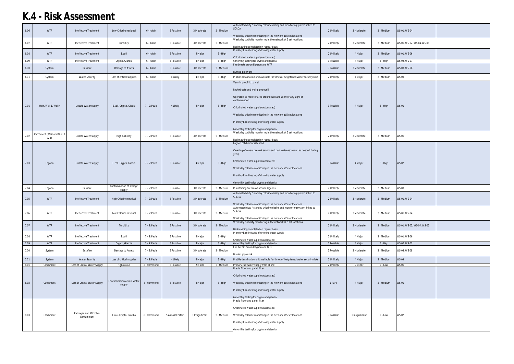| 6.06 | <b>WTP</b>                 | Ineffective Treatment                 | Low Chlorine residual                | 6 - Kubin    | 3 Possible       | 3 Moderate      | 2 - Medium | Automated duty / standby chlorine dosing and monitoring system linked to<br><b>SCADA</b><br>Week day chlorine monitoring in the network at 5 set locations                                                                                                                                                                 | 2 Unlikely | 3 Moderate      | 2 - Medium | WS-01, WS-04               |  |
|------|----------------------------|---------------------------------------|--------------------------------------|--------------|------------------|-----------------|------------|----------------------------------------------------------------------------------------------------------------------------------------------------------------------------------------------------------------------------------------------------------------------------------------------------------------------------|------------|-----------------|------------|----------------------------|--|
| 6.07 | <b>WTP</b>                 | Ineffective Treatment                 | Turbidity                            | 6 - Kubin    | 3 Possible       | 3 Moderate      | 2 - Medium | Week day turbidity monitoring in the network at 5 set locations<br>Backwashing completed on regular basis                                                                                                                                                                                                                  | 2 Unlikely | 3 Moderate      | 2 - Medium | WS-01, WS-02, WS-04, WS-05 |  |
| 6.08 | <b>WTP</b>                 | Ineffective Treatment                 | E.coli                               | 6 - Kubin    | 3 Possible       | 4 Major         | 3 - High   | Monthly E.coli testing of drinking water supply<br>Chlorinated water supply (automated)                                                                                                                                                                                                                                    | 2 Unlikely | 4 Major         | 2 - Medium | WS-01, WS-06               |  |
| 6.09 | <b>WTP</b>                 | Ineffective Treatment                 | Crypto, Giardia                      | 6 - Kubin    | 3 Possible       | 4 Major         | 3 - High   | 6 monthly testing for crypto and giardia                                                                                                                                                                                                                                                                                   | 3 Possible | 4 Major         | 3 - High   | WS-02, WS-07               |  |
| 6.10 | System                     | <b>Bushfire</b>                       | Damage to Assets                     | 6 - Kubin    | 3 Possible       | 3 Moderate      | 2 - Medium | Fire breaks around lagoon and WTP<br><b>Burried pipework</b>                                                                                                                                                                                                                                                               | 3 Possible | 3 Moderate      | 2 - Medium | WS-03, WS-08               |  |
| 6.11 | System                     | <b>Water Security</b>                 | Loss of critical supplies            | 6 - Kubin    | 4 Likely         | 4 Major         | 3 - High   | Mobile desalination unit available for times of heightened water security risks                                                                                                                                                                                                                                            | 2 Unlikely | 4 Major         | 2 - Medium | <b>WS-09</b>               |  |
|      |                            |                                       |                                      |              |                  |                 |            | Vermin proof lid to well                                                                                                                                                                                                                                                                                                   |            |                 |            |                            |  |
| 7.01 | Weir, Well 1, Well 4       | Unsafe Water supply                   | E.coli, Crypto, Giadia               | 7 - St Pauls | 4 Likely         | 4 Major         | 3 - High   | Locked gate and weir pump well.<br>Operators to monitor area around well and wier for any signs of<br>contamination.<br>Chlorinated water supply (automated)<br>Week day chlorine monitoring in the network at 5 set locations<br>Monthly E.coli testing of drinking water supply                                          | 3 Possible | 4 Major         | 3 - High   | <b>WS-01</b>               |  |
|      |                            |                                       |                                      |              |                  |                 |            | 6 monthly testing for crypto and giardia                                                                                                                                                                                                                                                                                   |            |                 |            |                            |  |
| 7.02 | Catchment (Weir and Well 1 | Unsafe Water supply                   | High turbidity                       | 7 - St Pauls | 3 Possible       | 3 Moderate      | 2 - Medium | Week day turbidity monitoring in the network at 5 set locations                                                                                                                                                                                                                                                            | 2 Unlikely | 3 Moderate      | 2 - Medium | <b>WS-01</b>               |  |
|      | & 4)                       |                                       |                                      |              |                  |                 |            | Backwashing completed on regular basis                                                                                                                                                                                                                                                                                     |            |                 |            |                            |  |
| 7.03 | Lagoon                     | Unsafe Water supply                   | E.coli, Crypto, Giadia               | 7 - St Pauls | 3 Possible       | 4 Major         | 3 - High   | Lagoon catchment is fenced<br>Cleaning of covers pre wet season and post wetseason (and as needed during<br>year)<br>Chlorinated water supply (automated)<br>Week day chlorine monitoring in the network at 5 set locations<br>Monthly E.coli testing of drinking water supply<br>6 monthly testing for crypto and giardia | 3 Possible | 4 Major         | 3 - High   | <b>WS-02</b>               |  |
| 7.04 | Lagoon                     | Bushfire                              | Contamination of storage             | 7 - St Pauls | 3 Possible       | 3 Moderate      | 2 - Medium | Maintaining firebreaks around lagoons                                                                                                                                                                                                                                                                                      | 2 Unlikely | 3 Moderate      | 2 - Medium | WS-03                      |  |
|      |                            |                                       | supply                               |              |                  |                 |            | Automated duty / standby chlorine dosing and monitoring system linked to                                                                                                                                                                                                                                                   |            |                 |            |                            |  |
| 7.05 | <b>WTP</b>                 | Ineffective Treatment                 | High Chlorine residual               | 7 - St Pauls | 3 Possible       | 3 Moderate      | 2 - Medium | <b>SCADA</b><br>Week day chlorine monitoring in the network at 5 set locations                                                                                                                                                                                                                                             | 2 Unlikely | 3 Moderate      | 2 - Medium | WS-01, WS-04               |  |
| 7.06 | <b>WTP</b>                 | Ineffective Treatment                 | Low Chlorine residual                | 7 - St Pauls | 3 Possible       | 3 Moderate      | 2 - Medium | Automated duty / standby chlorine dosing and monitoring system linked to<br><b>SCADA</b><br>Week day chlorine monitoring in the network at 5 set locations                                                                                                                                                                 | 2 Unlikely | 3 Moderate      | 2 - Medium | WS-01, WS-04               |  |
| 7.07 | <b>WTP</b>                 | Ineffective Treatment                 | Turbidity                            | 7 - St Pauls | 3 Possible       | 3 Moderate      | 2 - Medium | Week day turbidity monitoring in the network at 5 set locations                                                                                                                                                                                                                                                            | 2 Unlikely | 3 Moderate      | 2 - Medium | WS-01, WS-02, WS-04, WS-05 |  |
|      |                            |                                       |                                      |              |                  |                 |            | Backwashing completed on regular basis                                                                                                                                                                                                                                                                                     |            |                 |            |                            |  |
| 7.08 | <b>WTP</b>                 | Ineffective Treatment                 | E.coli                               | 7 - St Pauls | 3 Possible       | 4 Major         | 3 - High   | Monthly E.coli testing of drinking water supply<br>Chlorinated water supply (automated)                                                                                                                                                                                                                                    | 2 Unlikely | 4 Major         | 2 - Medium | WS-01, WS-06               |  |
| 7.09 | <b>WTP</b>                 | Ineffective Treatment                 | Crypto, Giardia                      | 7 - St Pauls | 3 Possible       | 4 Major         | 3 - High   | 6 monthly testing for crypto and giardia<br>Fire breaks around lagoon and WTP                                                                                                                                                                                                                                              | 3 Possible | 4 Major         | $3 - High$ | WS-02, WS-07               |  |
| 7.10 | System                     | Bushfire                              | Damage to Assets                     | 7 - St Pauls | 3 Possible       | 3 Moderate      | 2 - Medium | <b>Burried pipework</b>                                                                                                                                                                                                                                                                                                    | 3 Possible | 3 Moderate      | 2 - Medium | WS-03, WS-08               |  |
| 7.11 | System                     | <b>Water Security</b>                 | Loss of critical supplies            | 7 - St Pauls | 4 Likely         | 4 Major         | $3 - High$ | Mobile desalination unit available for times of heightened water security risks                                                                                                                                                                                                                                            | 2 Unlikely | 4 Major         | 2 - Medium | <b>WS-09</b>               |  |
| 8.01 | Catchment                  | Loss of Critical Water Supply         | High colour                          | 8 - Hammond  | 3 Possible       | 2 Minor         | 2 - Medium | Primary raw water supply from TI link                                                                                                                                                                                                                                                                                      | 2 Unlikely | 2 Minor         | 1 - Low    | <b>WS-01</b>               |  |
| 8.02 | Catchment                  | Loss of Critical Water Supply         | Contamination of raw water<br>supply | 8 - Hammond  | 3 Possible       | 4 Major         | 3 - High   | Media filder and panel filter<br>Chlorinated water supply (automated)<br>Week day chlorine monitoring in the network at 5 set locations<br>Monthly E.coli testing of drinking water supply<br>6 monthly testing for crypto and giardia                                                                                     | 1 Rare     | 4 Major         | 2 - Medium | <b>WS-01</b>               |  |
| 8.03 | Catchment                  | Pathogen and Microbial<br>Contaminant | E.coli, Crypto, Giardia              | 8 - Hammond  | 5 Almost Certain | 1 Insignificant | 2 - Medium | Media filder and panel filter<br>Chlorinated water supply (automated)<br>Week day chlorine monitoring in the network at 5 set locations<br>Monthly E.coli testing of drinking water supply<br>6 monthly testing for crypto and giardia                                                                                     | 3 Possible | 1 Insignificant | 1 - Low    | <b>WS-02</b>               |  |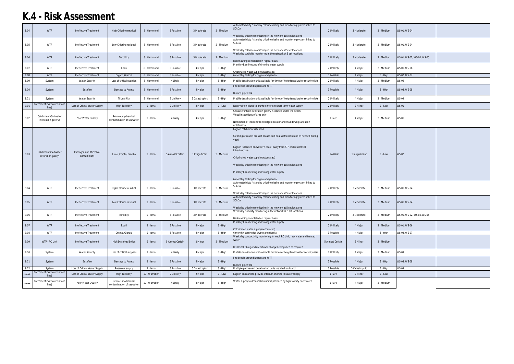| 8.04  | <b>WTP</b>                                    | Ineffective Treatment                 | High Chlorine residual                          | 8 - Hammond   | 3 Possible       | 3 Moderate      | 2 - Medium | Automated duty / standby chlorine dosing and monitoring system linked to<br><b>SCADA</b><br>Week day chlorine monitoring in the network at 5 set locations                                                                                                                                                                                                                                                        | 2 Unlikely       | 3 Moderate      | 2 - Medium | WS-01, WS-04               |  |
|-------|-----------------------------------------------|---------------------------------------|-------------------------------------------------|---------------|------------------|-----------------|------------|-------------------------------------------------------------------------------------------------------------------------------------------------------------------------------------------------------------------------------------------------------------------------------------------------------------------------------------------------------------------------------------------------------------------|------------------|-----------------|------------|----------------------------|--|
| 8.05  | <b>WTP</b>                                    | Ineffective Treatment                 | Low Chlorine residual                           | 8 - Hammond   | 3 Possible       | 3 Moderate      | 2 - Medium | Automated duty / standby chlorine dosing and monitoring system linked to<br><b>SCADA</b><br>Week day chlorine monitoring in the network at 5 set locations                                                                                                                                                                                                                                                        | 2 Unlikely       | 3 Moderate      | 2 - Medium | WS-01, WS-04               |  |
| 8.06  | <b>WTP</b>                                    | Ineffective Treatment                 | Turbidity                                       | 8 - Hammond   | 3 Possible       | 3 Moderate      | 2 - Medium | Week day turbidity monitoring in the network at 5 set locations<br>Backwashing completed on regular basis                                                                                                                                                                                                                                                                                                         | 2 Unlikely       | 3 Moderate      | 2 - Medium | WS-01, WS-02, WS-04, WS-05 |  |
| 8.07  | <b>WTP</b>                                    | Ineffective Treatment                 | E.coli                                          | 8 - Hammond   | 3 Possible       | 4 Major         | 3 - High   | Monthly E.coli testing of drinking water supply<br>Chlorinated water supply (automated)                                                                                                                                                                                                                                                                                                                           | 2 Unlikely       | 4 Major         | 2 - Medium | WS-01, WS-06               |  |
| 8.08  | <b>WTP</b>                                    | Ineffective Treatment                 | Crypto, Giardia                                 | 8 - Hammond   | 3 Possible       | 4 Major         | 3 - High   | 6 monthly testing for crypto and giardia                                                                                                                                                                                                                                                                                                                                                                          | 3 Possible       | 4 Major         | $3 - High$ | WS-02, WS-07               |  |
| 8.09  | System                                        | <b>Water Security</b>                 | Loss of critical supplies                       | 8 - Hammond   | 4 Likely         | 4 Major         | 3 - High   | Mobile desalination unit available for times of heightened water security risks                                                                                                                                                                                                                                                                                                                                   | 2 Unlikely       | 4 Major         | 2 - Medium | <b>WS-09</b>               |  |
| 8.10  | System                                        | <b>Bushfire</b>                       | Damage to Assets                                | 8 - Hammond   | 3 Possible       | 4 Major         | 3 - High   | Fire breaks around lagoon and WTP<br><b>Burried pipework</b>                                                                                                                                                                                                                                                                                                                                                      | 3 Possible       | 4 Major         | 3 - High   | WS-03, WS-08               |  |
| 8.11  | System                                        | <b>Water Security</b>                 | TI Link Risk                                    | 8 - Hammond   | 2 Unlikely       | 5 Catastrophic  | 3 - High   | Mobile desalination unit available for times of heightened water security risks                                                                                                                                                                                                                                                                                                                                   | 2 Unlikely       | 4 Major         | 2 - Medium | WS-09                      |  |
| 9.01  | Catchment (Saltwater intake<br>line)          | Loss of Critical Water Supply         | <b>High Turbidity</b>                           | 9 - Iama      | 2 Unlikely       | 2 Minor         | 1 - Low    | Reservoir on island to provide interium short term water supply                                                                                                                                                                                                                                                                                                                                                   | 2 Unlikely       | 2 Minor         | $1 - Low$  | <b>WS-01</b>               |  |
| 9.02  | Catchment (Saltwater<br>infiltration gallery) | Poor Water Quality                    | Petroleum/chemical<br>contamination of seawater | 9 - Iama      | 4 Likely         | 4 Major         | 3 - High   | Seawater intake infiltration gallery is located under the beach<br>Visual inspections of area only<br>Notfication of incident from barge operator and shut down plant upon<br>notification                                                                                                                                                                                                                        | 1 Rare           | 4 Major         | 2 - Medium | <b>WS-01</b>               |  |
| 9.03  | Catchment (Saltwater<br>infiltration galery)  | Pathogen and Microbial<br>Contaminant | E.coli, Crypto, Giardia                         | 9 - Iama      | 5 Almost Certain | 1 Insignificant | 2 - Medium | Lagoon catchment is fenced<br>Cleaning of covers pre wet season and post wetseason (and as needed during<br>year)<br>Lagoon is located on western coast, away from STP and residential<br>infrastructure<br>Chlorinated water supply (automated)<br>Week day chlorine monitoring in the network at 5 set locations<br>Monthly E.coli testing of drinking water supply<br>6 monthly testing for crypto and giardia | 3 Possible       | 1 Insignificant | $1 - Low$  | <b>WS-02</b>               |  |
| 9.04  | <b>WTP</b>                                    | Ineffective Treatment                 | High Chlorine residual                          | 9 - Iama      | 3 Possible       | 3 Moderate      | 2 - Medium | Automated duty / standby chlorine dosing and monitoring system linked to<br><b>SCADA</b><br>Week day chlorine monitoring in the network at 5 set locations                                                                                                                                                                                                                                                        | 2 Unlikely       | 3 Moderate      | 2 - Medium | WS-01, WS-04               |  |
| 9.05  | <b>WTP</b>                                    | Ineffective Treatment                 | Low Chlorine residual                           | 9 - Iama      | 3 Possible       | 3 Moderate      | 2 - Medium | Automated duty / standby chlorine dosing and monitoring system linked to<br><b>SCADA</b><br>Week day chlorine monitoring in the network at 5 set locations                                                                                                                                                                                                                                                        | 2 Unlikely       | 3 Moderate      | 2 - Medium | WS-01, WS-04               |  |
| 9.06  | <b>WTP</b>                                    | Ineffective Treatment                 | Turbidity                                       | 9 - Iama      | 3 Possible       | 3 Moderate      | 2 - Medium | Week day turbidity monitoring in the network at 5 set locations<br>Backwashing completed on regular basis                                                                                                                                                                                                                                                                                                         | 2 Unlikely       | 3 Moderate      | 2 - Medium | WS-01, WS-02, WS-04, WS-05 |  |
| 9.07  | <b>WTP</b>                                    | Ineffective Treatment                 | E.coli                                          | 9 - Iama      | 3 Possible       | 4 Major         | $3 - High$ | Monthly E.coli testing of drinking water supply<br>Chlorinated water supply (automated)                                                                                                                                                                                                                                                                                                                           | 2 Unlikely       | 4 Major         | 2 - Medium | WS-01, WS-06               |  |
| 9.08  | <b>WTP</b>                                    | Ineffective Treatment                 | Crypto, Giardia                                 | 9 - Iama      | 3 Possible       | 4 Major         | 3 - High   | 6 monthly testing for crypto and giardia                                                                                                                                                                                                                                                                                                                                                                          | 3 Possible       | 4 Major         | 3 - High   | WS-02, WS-07               |  |
| 9.09  | WTP - RO Unit                                 | Ineffective Treatment                 | <b>High Dissolved Solids</b>                    | 9 - Iama      | 5 Almost Certain | 2 Minor         | 2 - Medium | Week day conductivity monitoring for each RO Unit, raw water and treated<br>RO Unit flushing and membrane changes completed as required                                                                                                                                                                                                                                                                           | 5 Almost Certain | 2 Minor         | 2 - Medium |                            |  |
| 9.10  | System                                        | <b>Water Security</b>                 | Loss of critical supplies                       | 9 - Iama      | 4 Likely         | 4 Major         | $3 - High$ | Mobile desalination unit available for times of heightened water security risks                                                                                                                                                                                                                                                                                                                                   | 2 Unlikely       | 4 Major         | 2 - Medium | <b>WS-09</b>               |  |
| 9.11  | System                                        | Bushfire                              | Damage to Assets                                | 9 - Iama      | 3 Possible       | 4 Major         | $3 - High$ | Fire breaks around lagoon and WTP<br><b>Burried pipework</b>                                                                                                                                                                                                                                                                                                                                                      | 3 Possible       | 4 Major         | 3 - High   | WS-03, WS-08               |  |
| 9.12  | System                                        | Loss of Critical Water Supply         | Reservoir empty                                 | 9 - Iama      | 3 Possible       | 5 Catastrophic  | $3 - High$ | Multiple permenant desalination units installed on island                                                                                                                                                                                                                                                                                                                                                         | 3 Possible       | 5 Catastrophic  | 3 - High   | <b>WS-09</b>               |  |
| 10.01 | Catchment (Saltwater intake<br>line)          | Loss of Critical Water Supply         | <b>High Turbidity</b>                           | 10 - Warraber | 2 Unlikely       | 2 Minor         | $1 - Low$  | Lagoon on island to provide interium short term water supply                                                                                                                                                                                                                                                                                                                                                      | 1 Rare           | 2 Minor         | $1 - Low$  |                            |  |
| 10.02 | Catchment (Saltwater intake<br>line)          | Poor Water Quality                    | Petroleum/chemical<br>contamination of seawater | 10 - Warraber | 4 Likely         | 4 Major         | 3 - High   | Water supply to desalination unit is provided by high salinity bore water                                                                                                                                                                                                                                                                                                                                         | 1 Rare           | 4 Major         | 2 - Medium |                            |  |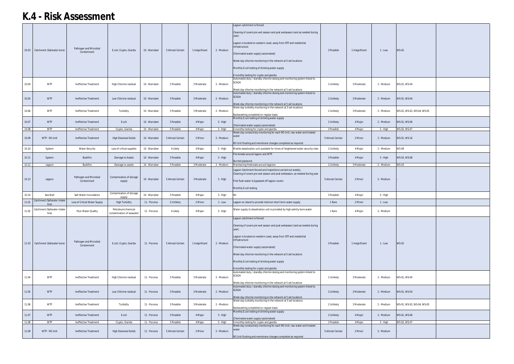|       |                                      |                                       |                                                 |               |                  |                 |            | Lagoon catchment is fenced                                                                                                                                                                                                                                                                                                                                                                                                                                                                    |                  |                 |            |                            |  |
|-------|--------------------------------------|---------------------------------------|-------------------------------------------------|---------------|------------------|-----------------|------------|-----------------------------------------------------------------------------------------------------------------------------------------------------------------------------------------------------------------------------------------------------------------------------------------------------------------------------------------------------------------------------------------------------------------------------------------------------------------------------------------------|------------------|-----------------|------------|----------------------------|--|
|       | 10.03 Catchment (Saltwater bore)     | Pathogen and Microbial<br>Contaminant | E.coli, Crypto, Giardia                         | 10 - Warraber | 5 Almost Certain | 1 Insignificant | 2 - Medium | Cleaning of covers pre wet season and post wetseason (and as needed during<br>year)<br>Lagoon is located on western coast, away from STP and residential<br>infrastructure<br>Chlorinated water supply (automated)<br>Week day chlorine monitoring in the network at 5 set locations<br>Monthly E.coli testing of drinking water supply<br>6 monthly testing for crypto and giardia                                                                                                           | 3 Possible       | 1 Insignificant | $1 - Low$  | <b>WS-02</b>               |  |
| 10.04 | <b>WTP</b>                           | Ineffective Treatment                 | High Chlorine residual                          | 10 - Warraber | 3 Possible       | 3 Moderate      | 2 - Medium | Automated duty / standby chlorine dosing and monitoring system linked to<br><b>SCADA</b><br>Week day chlorine monitoring in the network at 5 set locations                                                                                                                                                                                                                                                                                                                                    | 2 Unlikely       | 3 Moderate      | 2 - Medium | WS-01, WS-04               |  |
| 10.05 | <b>WTP</b>                           | Ineffective Treatment                 | Low Chlorine residual                           | 10 - Warraber | 3 Possible       | 3 Moderate      | 2 - Medium | Automated duty / standby chlorine dosing and monitoring system linked to<br><b>SCADA</b><br>Week day chlorine monitoring in the network at 5 set locations                                                                                                                                                                                                                                                                                                                                    | 2 Unlikely       | 3 Moderate      | 2 - Medium | WS-01, WS-04               |  |
| 10.06 | <b>WTP</b>                           | Ineffective Treatment                 | Turbidity                                       | 10 - Warraber | 3 Possible       | 3 Moderate      | 2 - Medium | Week day turbidity monitoring in the network at 5 set locations<br>Backwashing completed on regular basis                                                                                                                                                                                                                                                                                                                                                                                     | 2 Unlikely       | 3 Moderate      | 2 - Medium | WS-01, WS-02, WS-04, WS-05 |  |
| 10.07 | <b>WTP</b>                           | <b>Ineffective Treatment</b>          | E.coli                                          | 10 - Warraber | 3 Possible       | 4 Major         | 3 - High   | Monthly E.coli testing of drinking water supply<br>Chlorinated water supply (automated)                                                                                                                                                                                                                                                                                                                                                                                                       | 2 Unlikely       | 4 Major         | 2 - Medium | WS-01, WS-06               |  |
| 10.08 | <b>WTP</b>                           | Ineffective Treatment                 | Crypto, Giardia                                 | 10 - Warraber | 3 Possible       | 4 Major         | 3 - High   | 6 monthly testing for crypto and giardia<br>Week day conductivity monitoring for each RO Unit, raw water and treated                                                                                                                                                                                                                                                                                                                                                                          | 3 Possible       | 4 Major         | 3 - High   | WS-02, WS-07               |  |
| 10.09 | WTP - RO Unit                        | Ineffective Treatment                 | <b>High Dissolved Solids</b>                    | 10 - Warraber | 5 Almost Certain | 2 Minor         | 2 - Medium | RO Unit flushing and membrane changes completed as required                                                                                                                                                                                                                                                                                                                                                                                                                                   | 5 Almost Certain | 2 Minor         | 2 - Medium | WS-01, WS-16               |  |
| 10.10 | System                               | <b>Water Security</b>                 | Loss of critical supplies                       | 10 - Warraber | 4 Likely         | 4 Major         | 3 - High   | Mobile desalination unit available for times of heightened water security risks                                                                                                                                                                                                                                                                                                                                                                                                               | 2 Unlikely       | 4 Major         | 2 - Medium | <b>WS-09</b>               |  |
| 10.11 | System                               | Bushfire                              | Damage to Assets                                | 10 - Warraber | 3 Possible       | 4 Major         | 3 - High   | Fire breaks around lagoon and WTP<br>Burried pipework                                                                                                                                                                                                                                                                                                                                                                                                                                         | 3 Possible       | 4 Major         | 3 - High   | WS-03, WS-08               |  |
| 10.12 | Lagoon                               | Bushfire                              | Damage to assets                                | 10 - Warraber | 3 Possible       | 3 Moderate      | 2 - Medium | Maintaining firebreaks around lagoons                                                                                                                                                                                                                                                                                                                                                                                                                                                         | 2 Unlikely       | 3 Moderate      | 2 - Medium | <b>WS-03</b>               |  |
| 10.13 | Lagoon                               | Pathogen and Microbial<br>Contaminant | Contamination of storage<br>supply              | 10 - Warraber | 5 Almost Certain | 3 Moderate      | 3 - High   | Lagoon Catchment fenced and inspections carried out weekly.<br>Cleaning of covers pre wet season and post wetseason, as needed during year<br>First flush water is bypassed off lagoon covers<br>Monthly E.coli testing                                                                                                                                                                                                                                                                       | 5 Almost Certain | 2 Minor         | 2 - Medium |                            |  |
| 10.14 | Sea Wall                             | Salt Water Innundation                | Contamination of storage                        | 10 - Warraber | 3 Possible       | 4 Major         | 3 - High   | Nil                                                                                                                                                                                                                                                                                                                                                                                                                                                                                           | 3 Possible       | 4 Major         | 3 - High   |                            |  |
| 11.01 | Catchment (Saltwater intake          | Loss of Critical Water Supply         | supply<br><b>High Turbidity</b>                 | 11 - Poruma   | 2 Unlikely       | 2 Minor         | $1 - Low$  | agoon on island to provide interium short term water supply                                                                                                                                                                                                                                                                                                                                                                                                                                   | 1 Rare           | 2 Minor         | $1 - Low$  |                            |  |
|       | line)                                |                                       |                                                 |               |                  |                 |            |                                                                                                                                                                                                                                                                                                                                                                                                                                                                                               |                  |                 |            |                            |  |
| 11.02 | Catchment (Saltwater intake<br>line) | Poor Water Quality                    | Petroleum/chemical<br>contamination of seawater | 11 - Poruma   | 4 Likely         | 4 Major         | 3 - High   | Water supply to desalination unit is provided by high salinity bore water                                                                                                                                                                                                                                                                                                                                                                                                                     | 1 Rare           | 4 Major         | 2 - Medium |                            |  |
|       | 11.03 Catchment (Saltwater bore)     | Pathogen and Microbial<br>Contaminant | E.coli, Crypto, Giardia                         | 11 - Poruma   | 5 Almost Certain | 1 Insignificant | 2 - Medium | Lagoon catchment is fenced<br>Cleaning of covers pre wet season and post wetseason (and as needed during<br>year)<br>Lagoon is located on western coast, away from STP and residential<br>infrastructure<br>Chlorinated water supply (automated)<br>Week day chlorine monitoring in the network at 5 set locations<br>Monthly E.coli testing of drinking water supply<br>6 monthly testing for crypto and giardia<br>Automated duty / standby chlorine dosing and monitoring system linked to | 3 Possible       | 1 Insignificant | $1 - Low$  | <b>WS-02</b>               |  |
| 11.04 | <b>WTP</b>                           | Ineffective Treatment                 | High Chlorine residual                          | 11 - Poruma   | 3 Possible       | 3 Moderate      | 2 - Medium | SCADA<br>Week day chlorine monitoring in the network at 5 set locations                                                                                                                                                                                                                                                                                                                                                                                                                       | 2 Unlikely       | 3 Moderate      | 2 - Medium | WS-01, WS-04               |  |
| 11.05 | <b>WTP</b>                           | Ineffective Treatment                 | Low Chlorine residual                           | 11 - Poruma   | 3 Possible       | 3 Moderate      | 2 - Medium | Automated duty / standby chlorine dosing and monitoring system linked to<br><b>SCADA</b><br>Week day chlorine monitoring in the network at 5 set locations                                                                                                                                                                                                                                                                                                                                    | 2 Unlikely       | 3 Moderate      | 2 - Medium | WS-01, WS-04               |  |
| 11.06 | <b>WTP</b>                           | Ineffective Treatment                 | Turbidity                                       | 11 - Poruma   | 3 Possible       | 3 Moderate      | 2 - Medium | Week day turbidity monitoring in the network at 5 set locations<br>Backwashing completed on regular basis                                                                                                                                                                                                                                                                                                                                                                                     | 2 Unlikely       | 3 Moderate      | 2 - Medium | WS-01, WS-02, WS-04, WS-05 |  |
| 11.07 | <b>WTP</b>                           | Ineffective Treatment                 | E.coli                                          | 11 - Poruma   | 3 Possible       | 4 Major         | 3 - High   | Monthly E.coli testing of drinking water supply                                                                                                                                                                                                                                                                                                                                                                                                                                               | 2 Unlikely       | 4 Major         | 2 - Medium | WS-01, WS-06               |  |
| 11.08 | <b>WTP</b>                           | Ineffective Treatment                 | Crypto, Giardia                                 | 11 - Poruma   | 3 Possible       | 4 Major         | 3 - High   | Chlorinated water supply (automated)<br>6 monthly testing for crypto and giardia                                                                                                                                                                                                                                                                                                                                                                                                              | 3 Possible       | 4 Major         | 3 - High   | WS-02, WS-07               |  |
|       |                                      |                                       |                                                 |               |                  |                 |            | Week day conductivity monitoring for each RO Unit, raw water and treated                                                                                                                                                                                                                                                                                                                                                                                                                      |                  |                 |            |                            |  |
| 11.09 | WTP - RO Unit                        | Ineffective Treatment                 | High Dissolved Solids                           | 11 - Poruma   | 5 Almost Certain | 2 Minor         | 2 - Medium | RO Unit flushing and membrane changes completed as required                                                                                                                                                                                                                                                                                                                                                                                                                                   | 5 Almost Certain | 2 Minor         | 2 - Medium |                            |  |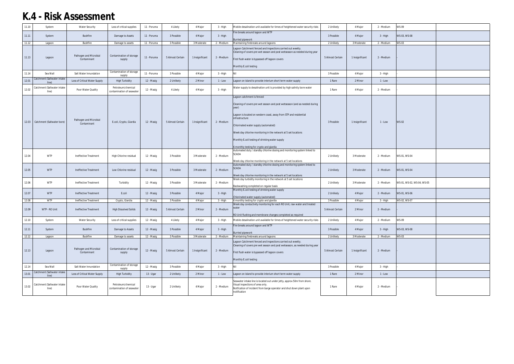| 11.10 | System                               | <b>Water Security</b>                 | Loss of critical supplies                       | 11 - Poruma | 4 Likely         | 4 Major         | 3 - High   | Mobile desalination unit available for times of heightened water security risks                                                                                                                                                                                                                                                                                                                                   | 2 Unlikely       | 4 Major         | 2 - Medium | <b>WS-09</b>               |  |
|-------|--------------------------------------|---------------------------------------|-------------------------------------------------|-------------|------------------|-----------------|------------|-------------------------------------------------------------------------------------------------------------------------------------------------------------------------------------------------------------------------------------------------------------------------------------------------------------------------------------------------------------------------------------------------------------------|------------------|-----------------|------------|----------------------------|--|
| 11.11 | System                               | <b>Bushfire</b>                       | Damage to Assets                                | 11 - Poruma | 3 Possible       | 4 Major         | 3 - High   | Fire breaks around lagoon and WTP<br><b>Burried pipework</b>                                                                                                                                                                                                                                                                                                                                                      | 3 Possible       | 4 Major         | 3 - High   | WS-03, WS-08               |  |
| 11.12 | Lagoon                               | Bushfire                              | Damage to assets                                | 11 - Poruma | 3 Possible       | 3 Moderate      | 2 - Medium | Maintaining firebreaks around lagoons                                                                                                                                                                                                                                                                                                                                                                             | 2 Unlikely       | 3 Moderate      | 2 - Medium | <b>WS-03</b>               |  |
| 11.13 | Lagoon                               | Pathogen and Microbial<br>Contaminant | Contamination of storage<br>supply              | 11 - Poruma | 5 Almost Certain | 1 Insignificant | 2 - Medium | Lagoon Catchment fenced and inspections carried out weekly.<br>Cleaning of covers pre wet season and post wetseason as needed during year<br>First flush water is bypassed off lagoon covers<br>Monthly E.coli testing                                                                                                                                                                                            | 5 Almost Certain | 1 Insignificant | 2 - Medium |                            |  |
| 11.14 | Sea Wall                             | Salt Water Innundation                | Contamination of storage<br>supply              | 11 - Poruma | 3 Possible       | 4 Major         | 3 - High   |                                                                                                                                                                                                                                                                                                                                                                                                                   | 3 Possible       | 4 Major         | 3 - High   |                            |  |
| 12.01 | Catchment (Saltwater intake<br>line) | Loss of Critical Water Supply         | <b>High Turbidity</b>                           | 12 - Masig  | 2 Unlikely       | 2 Minor         | $1 - Low$  | Lagoon on island to provide interium short term water supply                                                                                                                                                                                                                                                                                                                                                      | 1 Rare           | 2 Minor         | $1 - Low$  |                            |  |
| 12.02 | Catchment (Saltwater intake<br>line) | Poor Water Quality                    | Petroleum/chemical<br>contamination of seawater | 12 - Masig  | 4 Likely         | 4 Major         | 3 - High   | Water supply to desalination unit is provided by high salinity bore water                                                                                                                                                                                                                                                                                                                                         | 1 Rare           | 4 Major         | 2 - Medium |                            |  |
|       | 12.03   Catchment (Saltwater bore)   | Pathogen and Microbial<br>Contaminant | E.coli, Crypto, Giardia                         | 12 - Masig  | 5 Almost Certain | 1 Insignificant | 2 - Medium | Lagoon catchment is fenced<br>Cleaning of covers pre wet season and post wetseason (and as needed during<br>year)<br>Lagoon is located on western coast, away from STP and residential<br>infrastructure<br>Chlorinated water supply (automated)<br>Week day chlorine monitoring in the network at 5 set locations<br>Monthly E.coli testing of drinking water supply<br>6 monthly testing for crypto and giardia | 3 Possible       | 1 Insignificant | 1 - Low    | <b>WS-02</b>               |  |
| 12.04 | <b>WTP</b>                           | Ineffective Treatment                 | High Chlorine residual                          | 12 - Masig  | 3 Possible       | 3 Moderate      | 2 - Medium | Automated duty / standby chlorine dosing and monitoring system linked to<br><b>SCADA</b>                                                                                                                                                                                                                                                                                                                          | 2 Unlikely       | 3 Moderate      | 2 - Medium | WS-01, WS-04               |  |
|       |                                      |                                       |                                                 |             |                  |                 |            |                                                                                                                                                                                                                                                                                                                                                                                                                   |                  |                 |            |                            |  |
| 12.05 | <b>WTP</b>                           | Ineffective Treatment                 | Low Chlorine residual                           | 12 - Masig  | 3 Possible       | 3 Moderate      | 2 - Medium | Week day chlorine monitoring in the network at 5 set locations<br>Automated duty / standby chlorine dosing and monitoring system linked to<br><b>SCADA</b><br>Week day chlorine monitoring in the network at 5 set locations                                                                                                                                                                                      | 2 Unlikely       | 3 Moderate      | 2 - Medium | WS-01, WS-04               |  |
| 12.06 | <b>WTP</b>                           | Ineffective Treatment                 | Turbidity                                       | 12 - Masig  | 3 Possible       | 3 Moderate      | 2 - Medium | Week day turbidity monitoring in the network at 5 set locations<br>Backwashing completed on regular basis                                                                                                                                                                                                                                                                                                         | 2 Unlikely       | 3 Moderate      | 2 - Medium | WS-01, WS-02, WS-04, WS-05 |  |
| 12.07 | <b>WTP</b>                           | Ineffective Treatment                 | E.coli                                          | 12 - Masig  | 3 Possible       | 4 Major         | 3 - High   | Monthly E.coli testing of drinking water supply<br>Chlorinated water supply (automated)                                                                                                                                                                                                                                                                                                                           | 2 Unlikely       | 4 Major         | 2 - Medium | WS-01, WS-06               |  |
| 12.08 | <b>WTP</b>                           | Ineffective Treatment                 | Crypto, Giardia                                 | 12 - Masig  | 3 Possible       | 4 Major         | 3 - High   | 6 monthly testing for crypto and giardia                                                                                                                                                                                                                                                                                                                                                                          | 3 Possible       | 4 Major         | 3 - High   | WS-02, WS-07               |  |
| 12.09 | WTP - RO Unit                        | Ineffective Treatment                 | <b>High Dissolved Solids</b>                    | 12 - Masig  | 5 Almost Certain | 2 Minor         | 2 - Medium | Week day conductivity monitoring for each RO Unit, raw water and treated<br>water<br>RO Unit flushing and membrane changes completed as required                                                                                                                                                                                                                                                                  | 5 Almost Certain | 2 Minor         | 2 - Medium |                            |  |
| 12.10 | System                               | <b>Water Security</b>                 | Loss of critical supplies                       | 12 - Masig  | 4 Likely         | 4 Major         | 3 - High   | Mobile desalination unit available for times of heightened water security risks                                                                                                                                                                                                                                                                                                                                   | 2 Unlikely       | 4 Major         | 2 - Medium | <b>WS-09</b>               |  |
| 12.11 | System                               | Bushfire                              | Damage to Assets                                | 12 - Masig  | 3 Possible       | 4 Major         | 3 - High   | Fire breaks around lagoon and WTP<br><b>Burried pipework</b>                                                                                                                                                                                                                                                                                                                                                      | 3 Possible       | 4 Major         | 3 - High   | WS-03, WS-08               |  |
| 12.12 | Lagoon                               | Bushfire                              | Damage to assets                                | 12 - Masig  | 3 Possible       | 3 Moderate      | 2 - Medium | Maintaining firebreaks around lagoons                                                                                                                                                                                                                                                                                                                                                                             | 2 Unlikely       | 3 Moderate      | 2 - Medium | <b>WS-03</b>               |  |
| 12.13 | Lagoon                               | Pathogen and Microbial<br>Contaminant | Contamination of storage<br>supply              | 12 - Masig  | 5 Almost Certain | 1 Insignificant | 2 - Medium | Lagoon Catchment fenced and inspections carried out weekly.<br>Cleaning of covers pre wet season and post wetseason, as needed during year<br>First flush water is bypassed off lagoon covers<br>Monthly E.coli testing                                                                                                                                                                                           | 5 Almost Certain | 1 Insignificant | 2 - Medium |                            |  |
| 12.14 | Sea Wall                             | Salt Water Innundation                | Contamination of storage<br>supply              | 12 - Masig  | 3 Possible       | 4 Major         | 3 - High   |                                                                                                                                                                                                                                                                                                                                                                                                                   | 3 Possible       | 4 Major         | 3 - High   |                            |  |
| 13.01 | Catchment (Saltwater intake<br>line) | Loss of Critical Water Supply         | <b>High Turbidity</b>                           | 13 - Ugar   | 2 Unlikely       | 2 Minor         | 1 - Low    | Lagoon on island to provide interium short term water supply                                                                                                                                                                                                                                                                                                                                                      | 1 Rare           | 2 Minor         | $1 - Low$  |                            |  |
| 13.02 | Catchment (Saltwater intake<br>line) | Poor Water Quality                    | Petroleum/chemical<br>contamination of seawater | 13 - Ugar   | 2 Unlikely       | 4 Major         | 2 - Medium | Seawater intake line is located out under jetty, approx 50m from shore.<br>Visual inspections of area only.<br>Notfication of incident from barge operator and shut down plant upon<br>notification                                                                                                                                                                                                               | 1 Rare           | 4 Major         | 2 - Medium |                            |  |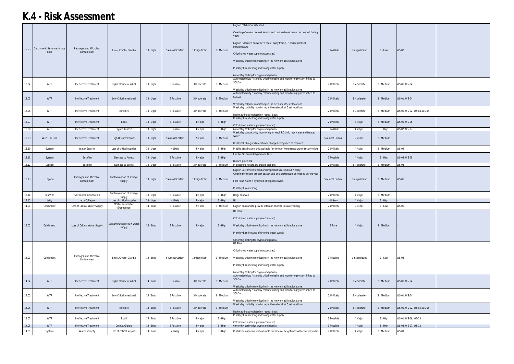|       |                                      |                                       |                                                                |             |                  |                 |            | Lagoon catchment is fenced                                                                                                                                                                                                                                                                                                                                                          |                  |                 |            |                            |  |
|-------|--------------------------------------|---------------------------------------|----------------------------------------------------------------|-------------|------------------|-----------------|------------|-------------------------------------------------------------------------------------------------------------------------------------------------------------------------------------------------------------------------------------------------------------------------------------------------------------------------------------------------------------------------------------|------------------|-----------------|------------|----------------------------|--|
| 13.03 | Catchment (Saltwater intake<br>line) | Pathogen and Microbial<br>Contaminant | E.coli, Crypto, Giardia                                        | $13 - Ugar$ | 5 Almost Certain | 1 Insignificant | 2 - Medium | Cleaning of covers pre wet season and post wetseason (and as needed during<br>year)<br>Lagoon is located on western coast, away from STP and residential<br>infrastructure<br>Chlorinated water supply (automated)<br>Week day chlorine monitoring in the network at 5 set locations<br>Monthly E.coli testing of drinking water supply<br>6 monthly testing for crypto and giardia | 3 Possible       | 1 Insignificant | $1 - Low$  | <b>WS-02</b>               |  |
| 13.04 | <b>WTP</b>                           | Ineffective Treatment                 | High Chlorine residual                                         | 13 - Ugar   | 3 Possible       | 3 Moderate      | 2 - Medium | Automated duty / standby chlorine dosing and monitoring system linked to<br><b>SCADA</b><br>Week day chlorine monitoring in the network at 5 set locations                                                                                                                                                                                                                          | 2 Unlikely       | 3 Moderate      | 2 - Medium | WS-01, WS-04               |  |
| 13.05 | <b>WTP</b>                           | Ineffective Treatment                 | Low Chlorine residual                                          | 13 - Ugar   | 3 Possible       | 3 Moderate      | 2 - Medium | Automated duty / standby chlorine dosing and monitoring system linked to<br><b>SCADA</b><br>Week day chlorine monitoring in the network at 5 set locations                                                                                                                                                                                                                          | 2 Unlikely       | 3 Moderate      | 2 - Medium | WS-01, WS-04               |  |
| 13.06 | <b>WTP</b>                           | Ineffective Treatment                 | Turbidity                                                      | 13 - Ugar   | 3 Possible       | 3 Moderate      | 2 - Medium | Week day turbidity monitoring in the network at 5 set locations<br>Backwashing completed on regular basis                                                                                                                                                                                                                                                                           | 2 Unlikely       | 3 Moderate      | 2 - Medium | WS-01, WS-02, WS-04, WS-05 |  |
| 13.07 | <b>WTP</b>                           | Ineffective Treatment                 | E.coli                                                         | 13 - Ugar   | 3 Possible       | 4 Major         | 3 - High   | Monthly E.coli testing of drinking water supply<br>Chlorinated water supply (automated)                                                                                                                                                                                                                                                                                             | 2 Unlikely       | 4 Major         | 2 - Medium | WS-01, WS-06               |  |
| 13.08 | <b>WTP</b>                           | Ineffective Treatment                 | Crypto, Giardia                                                | 13 - Ugar   | 3 Possible       | 4 Major         | 3 - High   | 6 monthly testing for crypto and giardia                                                                                                                                                                                                                                                                                                                                            | 3 Possible       | 4 Major         | 3 - High   | WS-02, WS-07               |  |
| 13.09 | WTP - RO Unit                        | Ineffective Treatment                 | <b>High Dissolved Solids</b>                                   | 13 - Ugar   | 5 Almost Certain | 2 Minor         | 2 - Medium | Week day conductivity monitoring for each RO Unit, raw water and treated<br>RO Unit flushing and membrane changes completed as required                                                                                                                                                                                                                                             | 5 Almost Certain | 2 Minor         | 2 - Medium |                            |  |
| 13.10 | System                               | <b>Water Security</b>                 | Loss of critical supplies                                      | $13 - Ugar$ | 4 Likely         | 4 Major         | 3 - High   | Mobile desalination unit available for times of heightened water security risks                                                                                                                                                                                                                                                                                                     | 2 Unlikely       | 4 Major         | 2 - Medium | <b>WS-09</b>               |  |
| 13.11 | System                               | Bushfire                              | Damage to Assets                                               | 13 - Ugar   | 3 Possible       | 4 Major         | 3 - High   | Fire breaks around lagoon and WTP<br>Burried pipework                                                                                                                                                                                                                                                                                                                               | 3 Possible       | 4 Major         | 3 - High   | WS-03, WS-08               |  |
| 13.12 | Lagoon                               | Bushfire                              | Damage to assets                                               | 13 - Ugar   | 3 Possible       | 3 Moderate      | 2 - Medium | Maintaining firebreaks around lagoons                                                                                                                                                                                                                                                                                                                                               | 2 Unlikely       | 3 Moderate      | 2 - Medium | <b>WS-03</b>               |  |
| 13.13 | Lagoon                               | Pathogen and Microbial<br>Contaminant | Contamination of storage<br>supply<br>Contamination of storage | 13 - Ugar   | 5 Almost Certain | 1 Insignificant | 2 - Medium | Lagoon Catchment fenced and inspections carried out weekly.<br>Cleaning of covers pre wet season and post wetseason, as needed during year<br>First flush water is bypassed off lagoon covers<br>Monthly E.coli testing                                                                                                                                                             | 5 Almost Certain | 1 Insignificant | 2 - Medium | <b>WS-01</b>               |  |
| 13.14 | Sea Wall                             | Salt Water Innundation                |                                                                | 13 - Ugar   | 3 Possible       |                 |            | Boigu sea wall                                                                                                                                                                                                                                                                                                                                                                      | 2 Unlikely       | 4 Major         |            |                            |  |
| 13.15 | Jetty                                |                                       | supply                                                         |             |                  | 4 Major         | $3 - High$ |                                                                                                                                                                                                                                                                                                                                                                                     |                  |                 | 2 - Medium |                            |  |
| 14.01 |                                      | <b>Jetty Collapse</b>                 | Loss of critical supplies                                      | 13 - Ugar   | 4 Likely         | 4 Major         | 3 - High   | Nil                                                                                                                                                                                                                                                                                                                                                                                 | 4 Likely         | 4 Major         | 3 - High   |                            |  |
|       | Catchment                            | Loss of Critical Water Supply         | Water Parameter                                                | 14 - Erub   | 3 Possible       | 2 Minor         | 2 - Medium | Lagoon on island to provide interium short term water supply                                                                                                                                                                                                                                                                                                                        | 2 Unlikely       | 2 Minor         | 1 - Low    | <b>WS-01</b>               |  |
| 14.02 | Catchment                            | Loss of Critical Water Supply         | Exceedence<br>Contamination of raw water<br>supply             | 14 - Erub   | 3 Possible       | 4 Major         | 3 - High   | <b>UF Plant</b><br>Chlorinated water supply (automated)<br>Week day chlorine monitoring in the network at 5 set locations<br>Monthly E.coli testing of drinking water supply<br>6 monthly testing for crypto and giardia                                                                                                                                                            | 1 Rare           | 4 Major         | 2 - Medium |                            |  |
| 14.03 | Catchment                            | Pathogen and Microbial<br>Contaminant | E.coli, Crypto, Giardia                                        | 14 - Erub   | 5 Almost Certain | 1 Insignificant | 2 - Medium | UF Plant<br>Chlorinated water supply (automated)<br>Week day chlorine monitoring in the network at 5 set locations<br>Monthly E.coli testing of drinking water supply<br>6 monthly testing for crypto and giardia                                                                                                                                                                   | 3 Possible       | 1 Insignificant | 1 - Low    | <b>WS-02</b>               |  |
| 14.04 | <b>WTP</b>                           | Ineffective Treatment                 | High Chlorine residual                                         | 14 - Erub   | 3 Possible       | 3 Moderate      | 2 - Medium | Automated duty / standby chlorine dosing and monitoring system linked to<br><b>SCADA</b><br>Week day chlorine monitoring in the network at 5 set locations                                                                                                                                                                                                                          | 2 Unlikely       | 3 Moderate      | 2 - Medium | WS-01, WS-04               |  |
| 14.05 | <b>WTP</b>                           | Ineffective Treatment                 | Low Chlorine residual                                          | 14 - Erub   | 3 Possible       | 3 Moderate      | 2 - Medium | Automated duty / standby chlorine dosing and monitoring system linked to<br>SCADA<br>Week day chlorine monitoring in the network at 5 set locations                                                                                                                                                                                                                                 | 2 Unlikely       | 3 Moderate      | 2 - Medium | WS-01, WS-04               |  |
| 14.06 | <b>WTP</b>                           | Ineffective Treatment                 | Turbidity                                                      | 14 - Erub   | 3 Possible       | 3 Moderate      | 2 - Medium | Week day turbidity monitoring in the network at 5 set locations<br>Backwashing completed on regular basis                                                                                                                                                                                                                                                                           | 2 Unlikely       | 3 Moderate      | 2 - Medium | WS-01, WS-02, WS-04, WS-05 |  |
| 14.07 | <b>WTP</b>                           | Ineffective Treatment                 | E.coli                                                         | 14 - Erub   | 3 Possible       | 4 Major         | 3 - High   | Monthly E.coli testing of drinking water supply                                                                                                                                                                                                                                                                                                                                     | 3 Possible       | 4 Major         | 3 - High   | WS-01, WS-06, WS-13        |  |
| 14.08 | <b>WTP</b>                           | Ineffective Treatment                 |                                                                | 14 - Erub   | 3 Possible       | 4 Major         | $3 - High$ | Chlorinated water supply (automated)                                                                                                                                                                                                                                                                                                                                                | 3 Possible       | 4 Major         | $3 - High$ | WS-02, WS-07, WS-13        |  |
| 14.09 | System                               | <b>Water Security</b>                 | Crypto, Giardia<br>Loss of critical supplies                   | 14 - Erub   | 4 Likely         | 4 Major         | 3 - High   | 6 monthly testing for crypto and giardia<br>Mobile desalination unit available for times of heightened water security risks                                                                                                                                                                                                                                                         | 2 Unlikely       | 4 Major         | 2 - Medium | WS-09                      |  |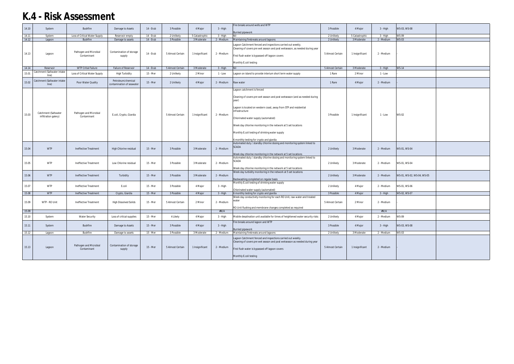|       |                                      |                                       |                                                 |           |                  |                 |            | Fire breaks around wells and WTP                                                                                                                                                                                        |                  |                 |            |                            |  |
|-------|--------------------------------------|---------------------------------------|-------------------------------------------------|-----------|------------------|-----------------|------------|-------------------------------------------------------------------------------------------------------------------------------------------------------------------------------------------------------------------------|------------------|-----------------|------------|----------------------------|--|
| 14.10 | System                               | Bushfire                              | Damage to Assets                                | 14 - Erub | 3 Possible       | 4 Major         | 3 - High   |                                                                                                                                                                                                                         | 3 Possible       | 4 Major         | 3 - High   | WS-03, WS-08               |  |
|       |                                      |                                       |                                                 |           |                  |                 |            | <b>Burried pipework</b>                                                                                                                                                                                                 |                  |                 |            |                            |  |
| 14.11 | System                               | Loss of Critical Water Supply         | Reservoir empty                                 | 14 - Erub | 2 Unlikely       | 5 Catastrophic  | 3 - High   |                                                                                                                                                                                                                         | 2 Unlikely       | 5 Catastrophio  | $3 - High$ | <b>WS-09</b>               |  |
| 14.12 | Lagoon                               | <b>Bushfire</b>                       | Damage to assets                                | 14 - Erub | 3 Possible       | 3 Moderate      | 2 - Medium | Maintaining firebreaks around lagoons                                                                                                                                                                                   | 2 Unlikely       | 3 Moderate      | 2 - Medium | <b>WS-03</b>               |  |
| 14.13 | Lagoon                               | Pathogen and Microbial<br>Contaminant | Contamination of storage<br>supply              | 14 - Erub | 5 Almost Certain | 1 Insignificant | 2 - Medium | Lagoon Catchment fenced and inspections carried out weekly.<br>Cleaning of covers pre wet season and post wetseason, as needed during year<br>First flush water is bypassed off lagoon covers<br>Monthly E.coli testing | 5 Almost Certain | 1 Insignificant | 2 - Medium |                            |  |
|       |                                      |                                       |                                                 |           |                  |                 |            |                                                                                                                                                                                                                         |                  |                 |            |                            |  |
| 14.14 | Reservoir                            | <b>WTP Critial Failure</b>            | Failure of Reservoir                            | 14 - Erub | 5 Almost Certain | 3 Moderate      | $3 - High$ |                                                                                                                                                                                                                         | 5 Almost Certain | 3 Moderate      | $3 - High$ | <b>WS-14</b>               |  |
| 15.01 | Catchment (Saltwater intake<br>line) | Loss of Critical Water Supply         | <b>High Turbidity</b>                           | 15 - Mer  | 2 Unlikely       | 2 Minor         | $1 - Low$  | Lagoon on island to provide interium short term water supply                                                                                                                                                            | 1 Rare           | 2 Minor         | 1 - Low    |                            |  |
|       |                                      |                                       |                                                 |           |                  |                 |            |                                                                                                                                                                                                                         |                  |                 |            |                            |  |
| 15.02 | Catchment (Saltwater intake<br>line) | Poor Water Quality                    | Petroleum/chemical<br>contamination of seawater | 15 - Mer  | 2 Unlikely       | 4 Major         | 2 - Medium | Raw water                                                                                                                                                                                                               | 1 Rare           | 4 Major         | 2 - Medium |                            |  |
|       |                                      |                                       |                                                 |           |                  |                 |            | Lagoon catchment is fenced                                                                                                                                                                                              |                  |                 |            |                            |  |
|       |                                      |                                       |                                                 |           |                  |                 |            | Cleaning of covers pre wet season and post wetseason (and as needed during<br>year)                                                                                                                                     |                  |                 |            |                            |  |
|       | Catchment (Saltwater                 | Pathogen and Microbial                |                                                 |           |                  |                 |            | Lagoon is located on western coast, away from STP and residential<br>infrastructure                                                                                                                                     |                  |                 |            |                            |  |
| 15.03 | infiltration galery)                 | Contaminant                           | E.coli, Crypto, Giardia                         |           | 5 Almost Certain | 1 Insignificant | 2 - Medium | Chlorinated water supply (automated)                                                                                                                                                                                    | 3 Possible       | 1 Insignificant | 1 - Low    | <b>WS-02</b>               |  |
|       |                                      |                                       |                                                 |           |                  |                 |            | Week day chlorine monitoring in the network at 5 set locations                                                                                                                                                          |                  |                 |            |                            |  |
|       |                                      |                                       |                                                 |           |                  |                 |            | Monthly E.coli testing of drinking water supply                                                                                                                                                                         |                  |                 |            |                            |  |
|       |                                      |                                       |                                                 |           |                  |                 |            | 6 monthly testing for crypto and giardia                                                                                                                                                                                |                  |                 |            |                            |  |
|       |                                      |                                       |                                                 |           |                  |                 |            | Automated duty / standby chlorine dosing and monitoring system linked to                                                                                                                                                |                  |                 |            |                            |  |
| 15.04 | <b>WTP</b>                           | Ineffective Treatment                 | High Chlorine residual                          | 15 - Mer  | 3 Possible       | 3 Moderate      | 2 - Medium | <b>SCADA</b>                                                                                                                                                                                                            | 2 Unlikely       | 3 Moderate      | 2 - Medium | WS-01, WS-04               |  |
|       |                                      |                                       |                                                 |           |                  |                 |            |                                                                                                                                                                                                                         |                  |                 |            |                            |  |
|       |                                      |                                       |                                                 |           |                  |                 |            | Week day chlorine monitoring in the network at 5 set locations                                                                                                                                                          |                  |                 |            |                            |  |
|       |                                      |                                       |                                                 |           |                  |                 |            | Automated duty / standby chlorine dosing and monitoring system linked to<br>SCADA                                                                                                                                       |                  |                 |            |                            |  |
| 15.05 | <b>WTP</b>                           | Ineffective Treatment                 | Low Chlorine residual                           | 15 - Mer  | 3 Possible       | 3 Moderate      | 2 - Medium |                                                                                                                                                                                                                         | 2 Unlikely       | 3 Moderate      | 2 - Medium | WS-01, WS-04               |  |
|       |                                      |                                       |                                                 |           |                  |                 |            | Week day chlorine monitoring in the network at 5 set locations                                                                                                                                                          |                  |                 |            |                            |  |
|       |                                      |                                       |                                                 |           |                  |                 |            | Week day turbidity monitoring in the network at 5 set locations                                                                                                                                                         |                  |                 |            |                            |  |
| 15.06 | <b>WTP</b>                           | Ineffective Treatment                 | Turbidity                                       | 15 - Mer  | 3 Possible       | 3 Moderate      | 2 - Medium |                                                                                                                                                                                                                         | 2 Unlikely       | 3 Moderate      | 2 - Medium | WS-01, WS-02, WS-04, WS-05 |  |
|       |                                      |                                       |                                                 |           |                  |                 |            | Backwashing completed on regular basis                                                                                                                                                                                  |                  |                 |            |                            |  |
|       |                                      |                                       |                                                 |           |                  |                 |            | Monthly E.coli testing of drinking water supply                                                                                                                                                                         |                  |                 |            |                            |  |
| 15.07 | <b>WTP</b>                           | Ineffective Treatment                 | E.coli                                          | 15 - Mer  | 3 Possible       | 4 Major         | 3 - High   |                                                                                                                                                                                                                         | 2 Unlikely       | 4 Major         | 2 - Medium | WS-01, WS-06               |  |
| 15.08 | <b>WTP</b>                           | Ineffective Treatment                 | Crypto, Giardia                                 | 15 - Mer  | 3 Possible       | 4 Major         | 3 - High   | Chlorinated water supply (automated)<br>6 monthly testing for crypto and giardia                                                                                                                                        | 3 Possible       | 4 Major         | 3 - High   | WS-02, WS-07               |  |
|       |                                      |                                       |                                                 |           |                  |                 |            | Week day conductivity monitoring for each RO Unit, raw water and treated                                                                                                                                                |                  |                 |            |                            |  |
|       |                                      |                                       |                                                 |           |                  |                 |            | water                                                                                                                                                                                                                   |                  |                 |            |                            |  |
| 15.09 | WTP - RO Unit                        | Ineffective Treatment                 | <b>High Dissolved Solids</b>                    | 15 - Mer  | 5 Almost Certain | 2 Minor         | 2 - Medium |                                                                                                                                                                                                                         | 5 Almost Certain | 2 Minor         | 2 - Medium |                            |  |
|       |                                      |                                       |                                                 |           |                  |                 |            | RO Unit flushing and membrane changes completed as required                                                                                                                                                             |                  |                 |            |                            |  |
| 15.09 |                                      |                                       |                                                 |           |                  |                 | #N/A       |                                                                                                                                                                                                                         |                  |                 | #N/A       |                            |  |
| 15.10 | System                               | <b>Water Security</b>                 | Loss of critical supplies                       | 15 - Mer  | 4 Likely         | 4 Major         | 3 - High   | Mobile desalination unit available for times of heightened water security risks                                                                                                                                         | 2 Unlikely       | 4 Major         | 2 - Medium | <b>WS-09</b>               |  |
| 15.11 | System                               | Bushfire                              | Damage to Assets                                | 15 - Mer  | 3 Possible       | 4 Major         | $3 - High$ | Fire breaks around lagoon and WTP                                                                                                                                                                                       | 3 Possible       | 4 Major         | 3 - High   | WS-03, WS-08               |  |
|       |                                      |                                       |                                                 |           |                  |                 |            | <b>Burried pipework</b>                                                                                                                                                                                                 |                  |                 |            |                            |  |
| 15.12 | Lagoon                               | Bushfire                              | Damage to assets                                | 15 - Mer  | 3 Possible       | 3 Moderate      | 2 - Medium | Maintaining firebreaks around lagoons                                                                                                                                                                                   | 2 Unlikely       | 3 Moderate      | 2 - Medium | <b>WS-03</b>               |  |
| 15.13 | Lagoon                               | Pathogen and Microbial<br>Contaminant | Contamination of storage<br>supply              | 15 - Mer  | 5 Almost Certain | 1 Insignificant | 2 - Medium | Lagoon Catchment fenced and inspections carried out weekly.<br>Cleaning of covers pre wet season and post wetseason as needed during year<br>First flush water is bypassed off lagoon covers                            | 5 Almost Certain | 1 Insignificant | 2 - Medium |                            |  |
|       |                                      |                                       |                                                 |           |                  |                 |            |                                                                                                                                                                                                                         |                  |                 |            |                            |  |
|       |                                      |                                       |                                                 |           |                  |                 |            | Monthly E.coli testing                                                                                                                                                                                                  |                  |                 |            |                            |  |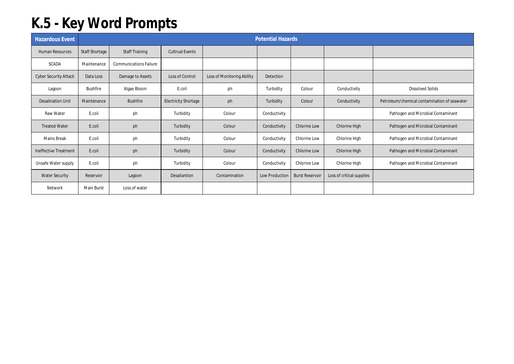## **K.5 - Key Word Prompts**

| <b>Hazardous Event</b>       |                       |                               |                             |                            | <b>Potential Hazards</b> |                        |                           |                                              |
|------------------------------|-----------------------|-------------------------------|-----------------------------|----------------------------|--------------------------|------------------------|---------------------------|----------------------------------------------|
| <b>Human Resources</b>       | <b>Staff Shortage</b> | Staff Training                | <b>Cultrual Events</b>      |                            |                          |                        |                           |                                              |
| <b>SCADA</b>                 | Maintenance           | <b>Communications Failure</b> |                             |                            |                          |                        |                           |                                              |
| <b>Cyber Security Attack</b> | Data Loss             | Damage to Assets              | Loss of Control             | Loss of Monitoring Ability | Detection                |                        |                           |                                              |
| Lagoon                       | <b>Bushfire</b>       | Algae Bloom                   | E.coli                      | ph                         | Turbidity                | Colour                 | Conductivity              | <b>Dissolved Solids</b>                      |
| <b>Desalination Unit</b>     | Maintenance           | <b>Bushfire</b>               | <b>Electricity Shortage</b> | ph                         | Turbidity                | Colour                 | Conductivity              | Petroleum/chemical contamination of seawater |
| Raw Water                    | E.coli                | ph                            | Turbidity                   | Colour                     | Conductivity             |                        |                           | Pathogen and Microbial Contaminant           |
| <b>Treated Water</b>         | E.coli                | ph                            | Turbidity                   | Colour                     | Conductivity             | <b>Chlorine Low</b>    | Chlorine High             | Pathogen and Microbial Contaminant           |
| <b>Mains Break</b>           | E.coli                | ph                            | Turbidity                   | Colour                     | Conductivity             | Chlorine Low           | Chlorine High             | Pathogen and Microbial Contaminant           |
| <b>Ineffective Treatment</b> | E.coli                | ph                            | Turbidity                   | Colour                     | Conductivity             | Chlorine Low           | Chlorine High             | Pathogen and Microbial Contaminant           |
| Unsafe Water supply          | E.coli                | ph                            | Turbidity                   | Colour                     | Conductivity             | Chlorine Low           | Chlorine High             | Pathogen and Microbial Contaminant           |
| <b>Water Security</b>        | Reservoir             | Lagoon                        | Desaliantion                | Contamination              | Low Production           | <b>Burst Reservoir</b> | Loss of critical supplies |                                              |
| Network                      | Main Burst            | Loss of water                 |                             |                            |                          |                        |                           |                                              |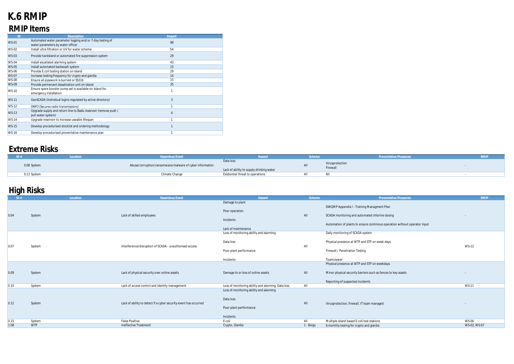## **K.6 RMIP RMIP Items**

| ID                           | <b>Description</b>                                              | Impact |
|------------------------------|-----------------------------------------------------------------|--------|
| <b>WS-01</b>                 | Automated water parameter logging and/or 7-day testing of       | 98     |
|                              | water parameters by water officer                               |        |
| <b>WS-02</b>                 | Install ultra filtration or UV for water scheme                 | 54     |
| <b>WS-03</b>                 | Provide hardstand or automated fire suppression system          | 29     |
|                              |                                                                 |        |
| <b>WS-04</b>                 | Install escallated alarming system                              | 43     |
| <b>WS-05</b>                 | Install automated backwash system                               | 15     |
| <b>WS-06</b>                 | Provide E.coli testing station on island                        | 29     |
| <b>WS-07</b>                 | Increase testing frequency for crypto and giardia               | 14     |
| <b>WS-08</b>                 | Ensure all pipework is burried or SS316                         | 15     |
| <b>WS-09</b>                 | Provide permenant desalination unit on island                   | 35     |
|                              | Ensure spare booster pump set is available on island for        |        |
| <b>WS-10</b>                 | emergency installation                                          |        |
| <b>WS-11</b>                 | GeoSCADA (Individual logins regulated by active directory)      | 3      |
|                              |                                                                 |        |
| <b>WS-12</b>                 | DNP3 (Secures radio transmissions)                              |        |
|                              | Upgrade supply and return line to Badu reservoir (remove push / |        |
|                              | pull water system)                                              |        |
| <b>WS-14</b>                 | Upgrade reservoir to increase useable lifespan                  |        |
|                              |                                                                 |        |
|                              |                                                                 |        |
| <b>WS-16</b>                 | Develop procedurised preventative maintenance plan              |        |
| <b>WS-13</b><br><b>WS-15</b> | Develop procedurised stocklist and ordering methodology         | 4      |

## **Extreme Risks**

|             | Location | azardous Event                                           | azarc                                                 | cheme | <b>Preventative Measures</b>       |  |
|-------------|----------|----------------------------------------------------------|-------------------------------------------------------|-------|------------------------------------|--|
| 0.08 System |          | Abuse/corruption/ransomware/malware of cyber information | Data loss<br>Lack of ability to supply drinking water | All   | <i>lirusprotection</i><br>Firewall |  |
| 0.13 System |          | limate Change                                            | Existential threat to operations                      |       |                                    |  |
|             |          |                                                          |                                                       |       |                                    |  |

## **High Risks**

| ັ<br> D#               |                  | <b>Hazardous Event</b><br>Location                                                                                 | Hazard                                                                                                                                            | Scheme     | <b>Preventative Measures</b>                                                                                                                                               | <b>RMIP</b>  |
|------------------------|------------------|--------------------------------------------------------------------------------------------------------------------|---------------------------------------------------------------------------------------------------------------------------------------------------|------------|----------------------------------------------------------------------------------------------------------------------------------------------------------------------------|--------------|
| 0.04                   | System           | Lack of skilled employees                                                                                          | Damage to plant<br>Poor operation<br>Incidents<br>Lack of maintenance                                                                             | All        | DWQMP Appendix I - Training Managment Plan<br>SCADA monitoring and automated chlorine dosing<br>Automation of plants to ensure continious operation without operator input |              |
| 0.07                   | System           | Interference/disruption of SCADA - unauthorised access                                                             | Loss of monitoring ability and alarming<br>Data loss<br>Poor plant performance<br>Incidents                                                       | All        | Daily monitoring of SCADA system<br>Physical presence at WTP and STP on week days<br>Firewall / Penetration Testing<br>Teamviewer                                          | <b>WS-12</b> |
| 0.09                   | System           | Lack of physical security over online assets                                                                       | Damage to or loss of online assets                                                                                                                | All        | Physical presence at WTP and STP on weekdays<br>Minor physical security barriers such as fences to key assets<br>Reporting of suspected incidents                          |              |
| $ 0.10\rangle$<br>0.12 | System<br>System | Lack of access control and identity management<br>Lack of ability to detect if a cyber security event has occurred | Loss of monitoring ability and alarming. Data loss<br>Loss of monitoring ability and alarming<br>Data loss<br>Poor plant performance<br>Incidents | All<br>All | Virusprotection, firewall, IT team managed                                                                                                                                 | <b>WS-11</b> |
| 0.15                   | System           | <b>False Positive</b>                                                                                              | E.coli                                                                                                                                            | All        | Multiple island based E.coli test stations                                                                                                                                 | <b>WS-06</b> |
| 1.08                   | <b>WTP</b>       | Ineffective Treatment                                                                                              | Crypto, Giardia                                                                                                                                   | 1 - Boigu  | 6 monthly testing for crypto and giardia                                                                                                                                   | WS-02, WS-07 |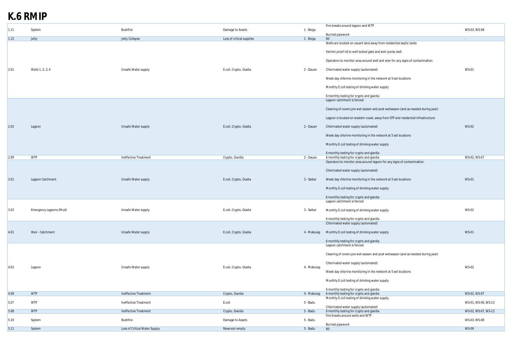# **K.6 RMIP**

| 1.11   | System                  | <b>Bushfire</b>               | Damage to Assets          | 1 - Boigu   | Fire breaks around lagoon and WTP                                                | WS-03, WS-08        |
|--------|-------------------------|-------------------------------|---------------------------|-------------|----------------------------------------------------------------------------------|---------------------|
|        |                         |                               |                           |             | <b>Burried pipework</b>                                                          |                     |
| 1.15   | Jetty                   | Jetty Collapse                | Loss of critical supplies | 1 - Boigu   | Nil                                                                              |                     |
|        |                         |                               |                           |             | Wells are located on vacant land away from residential septic tanks              |                     |
|        |                         |                               |                           |             | Vermin proof lid to well locked gate and weir pump well.                         |                     |
|        |                         |                               |                           |             | Operators to monitor area around well and wier for any signs of contamination.   |                     |
| 2.01   | Wells 1, 2, 3, 4        | Unsafe Water supply           | E.coli, Crypto, Giadia    | 2 - Dauan   | Chlorinated water supply (automated)                                             | <b>WS-01</b>        |
|        |                         |                               |                           |             | Week day chlorine monitoring in the network at 5 set locations                   |                     |
|        |                         |                               |                           |             | Monthly E.coli testing of drinking water supply                                  |                     |
|        |                         |                               |                           |             | 6 monthly testing for crypto and giardia                                         |                     |
|        |                         |                               |                           |             | Lagoon catchment is fenced                                                       |                     |
|        |                         |                               |                           |             | Cleaning of covers pre wet season and post wetseason (and as needed during year) |                     |
|        |                         |                               |                           |             | Lagoon is located on western coast, away from STP and residential infrastructure |                     |
| 2.03   | Lagoon                  | Unsafe Water supply           | E.coli, Crypto, Giadia    | 2 - Dauan   | Chlorinated water supply (automated)                                             | <b>WS-02</b>        |
|        |                         |                               |                           |             | Week day chlorine monitoring in the network at 5 set locations                   |                     |
|        |                         |                               |                           |             | Monthly E.coli testing of drinking water supply                                  |                     |
|        | <b>WTP</b>              |                               |                           |             | 6 monthly testing for crypto and giardia                                         | WS-02, WS-07        |
| 2.09   |                         | Ineffective Treatment         | Crypto, Giardia           | 2 - Dauan   | 6 monthly testing for crypto and giardia                                         |                     |
|        |                         |                               |                           |             | Operators to monitor area around lagoon for any signs of contamination.          |                     |
|        |                         |                               |                           |             | Chlorinated water supply (automated)                                             |                     |
| 3.01   | Lagoon Catchment        | Unsafe Water supply           | E.coli, Crypto, Giadia    | 3 - Saibai  | Week day chlorine monitoring in the network at 5 set locations                   | <b>WS-01</b>        |
|        |                         |                               |                           |             | Monthly E.coli testing of drinking water supply                                  |                     |
|        |                         |                               |                           |             | 6 monthly testing for crypto and giardia                                         |                     |
|        |                         |                               |                           |             | Lagoon catchment is fenced                                                       |                     |
| 3.03   | Emergency Lagoons (Mud) | Unsafe Water supply           | E.coli, Crypto, Giadia    | 3 - Saibai  | Monthly E.coli testing of drinking water supply                                  | WS-02               |
|        |                         |                               |                           |             | 6 monthly testing for crypto and giardia                                         |                     |
|        |                         |                               |                           |             | Chlorinated water supply (automated)                                             |                     |
| 4.01   | Weir - Catchment        | Unsafe Water supply           | E.coli, Crypto, Giadia    | 4 - Mabuiag | Monthly E.coli testing of drinking water supply                                  | <b>WS-01</b>        |
|        |                         |                               |                           |             | 6 monthly testing for crypto and giardia<br>Lagoon catchment is fenced           |                     |
|        |                         |                               |                           |             | Cleaning of covers pre wet season and post wetseason (and as needed during year) |                     |
|        |                         |                               |                           |             | Chlorinated water supply (automated)                                             |                     |
| 4.03   | Lagoon                  | Unsafe Water supply           | E.coli, Crypto, Giadia    | 4 - Mabuiag | Week day chlorine monitoring in the network at 5 set locations                   | <b>WS-02</b>        |
|        |                         |                               |                           |             | Monthly E.coli testing of drinking water supply                                  |                     |
|        |                         |                               |                           |             | 6 monthly testing for crypto and giardia                                         |                     |
| 4.09   | <b>WTP</b>              | Ineffective Treatment         | Crypto, Giardia           | 4 - Mabuiag | 6 monthly testing for crypto and giardia                                         | WS-02, WS-07        |
| 5.07   | <b>WTP</b>              | Ineffective Treatment         | E.coli                    | 5 - Badu    | Monthly E.coli testing of drinking water supply                                  | WS-01, WS-06, WS-13 |
| $5.08$ | <b>WTP</b>              | Ineffective Treatment         | Crypto, Giardia           | 5 - Badu    | Chlorinated water supply (automated)<br>6 monthly testing for crypto and giardia | WS-02, WS-07, WS-13 |
|        |                         |                               |                           |             | Fire breaks around wells and WTP                                                 |                     |
| 5.10   | System                  | Bushfire                      | Damage to Assets          | 5 - Badu    | <b>Burried pipework</b>                                                          | WS-03, WS-08        |
| 5.11   | System                  | Loss of Critical Water Supply | Reservoir empty           | 5 - Badu    | Nil                                                                              | WS-09               |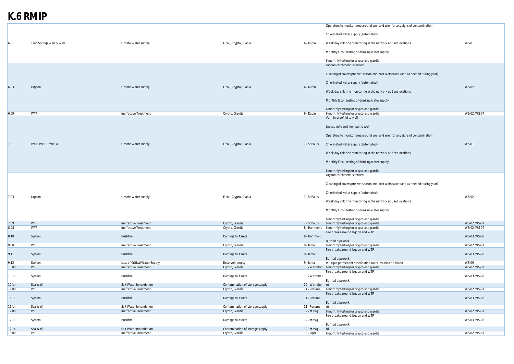# **K.6 RMIP**

|                |                          |                                                 |                                                    |                           | Operators to monitor area around well and wier for any signs of contamination.       |              |
|----------------|--------------------------|-------------------------------------------------|----------------------------------------------------|---------------------------|--------------------------------------------------------------------------------------|--------------|
|                |                          |                                                 |                                                    |                           | Chlorinated water supply (automated)                                                 |              |
| 6.01           | Twin Springs Well & Weir | Unsafe Water supply                             | E.coli, Crypto, Giadia                             | 6 - Kubin                 | Week day chlorine monitoring in the network at 5 set locations                       | <b>WS-01</b> |
|                |                          |                                                 |                                                    |                           | Monthly E.coli testing of drinking water supply                                      |              |
|                |                          |                                                 |                                                    |                           | 6 monthly testing for crypto and giardia                                             |              |
|                |                          |                                                 |                                                    |                           | Lagoon catchment is fenced                                                           |              |
|                |                          |                                                 |                                                    |                           | Cleaning of covers pre wet season and post wetseason (and as needed during year)     |              |
|                |                          |                                                 |                                                    |                           | Chlorinated water supply (automated)                                                 |              |
| 6.03           | Lagoon                   | Unsafe Water supply                             | E.coli, Crypto, Giadia                             | 6 - Kubin                 | Week day chlorine monitoring in the network at 5 set locations                       | <b>WS-02</b> |
|                |                          |                                                 |                                                    |                           | Monthly E.coli testing of drinking water supply                                      |              |
|                |                          |                                                 |                                                    |                           |                                                                                      |              |
| 6.09           | <b>WTP</b>               | Ineffective Treatment                           | Crypto, Giardia                                    | 6 - Kubin                 | 6 monthly testing for crypto and giardia<br>6 monthly testing for crypto and giardia | WS-02, WS-07 |
|                |                          |                                                 |                                                    |                           | Vermin proof lid to well                                                             |              |
|                |                          |                                                 |                                                    |                           |                                                                                      |              |
|                |                          |                                                 |                                                    |                           | Locked gate and weir pump well.                                                      |              |
|                |                          |                                                 |                                                    |                           | Operators to monitor area around well and wier for any signs of contamination.       |              |
| 7.01           | Weir, Well 1, Well 4     | Unsafe Water supply                             | E.coli, Crypto, Giadia                             | 7 - St Pauls              | Chlorinated water supply (automated)                                                 | <b>WS-01</b> |
|                |                          |                                                 |                                                    |                           | Week day chlorine monitoring in the network at 5 set locations                       |              |
|                |                          |                                                 |                                                    |                           | Monthly E.coli testing of drinking water supply                                      |              |
|                |                          |                                                 |                                                    |                           | 6 monthly testing for crypto and giardia                                             |              |
|                |                          |                                                 |                                                    |                           | Lagoon catchment is fenced                                                           |              |
|                |                          |                                                 |                                                    |                           | Cleaning of covers pre wet season and post wetseason (and as needed during year)     |              |
|                |                          |                                                 |                                                    |                           | Chlorinated water supply (automated)                                                 |              |
| 7.03           | Lagoon                   | Unsafe Water supply                             | E.coli, Crypto, Giadia                             | 7 - St Pauls              | Week day chlorine monitoring in the network at 5 set locations                       | <b>WS-02</b> |
|                |                          |                                                 |                                                    |                           | Monthly E.coli testing of drinking water supply                                      |              |
|                |                          |                                                 |                                                    |                           | 6 monthly testing for crypto and giardia                                             |              |
| 7.09           | <b>WTP</b>               | Ineffective Treatment                           | Crypto, Giardia                                    | 7 - St Pauls              | 6 monthly testing for crypto and giardia                                             | WS-02, WS-07 |
| 8.08           | <b>WTP</b>               | Ineffective Treatment                           | Crypto, Giardia                                    |                           | 8 - Hammond 6 monthly testing for crypto and giardia                                 | WS-02, WS-07 |
|                |                          |                                                 |                                                    |                           | Fire breaks around lagoon and WTP                                                    |              |
| 8.10           | System                   | Bushfire                                        | Damage to Assets                                   | 8 - Hammond               |                                                                                      | WS-03, WS-08 |
|                |                          |                                                 |                                                    |                           | <b>Burried pipework</b>                                                              |              |
| 9.08           | <b>WTP</b>               | Ineffective Treatment                           | Crypto, Giardia                                    | 9 - Iama                  | 6 monthly testing for crypto and giardia                                             | WS-02, WS-07 |
|                |                          |                                                 |                                                    |                           | Fire breaks around lagoon and WTP                                                    |              |
| 9.11           | System                   | <b>Bushfire</b>                                 | Damage to Assets                                   | 9 - Iama                  |                                                                                      | WS-03, WS-08 |
|                |                          | Loss of Critical Water Supply                   |                                                    | 9 - Iama                  | <b>Burried pipework</b><br>Multiple permenant desalination units installed on island | <b>WS-09</b> |
| 9.12<br>10.08  | System<br><b>WTP</b>     | Ineffective Treatment                           | Reservoir empty<br>Crypto, Giardia                 |                           | 10 - Warraber 6 monthly testing for crypto and giardia                               | WS-02, WS-07 |
|                |                          |                                                 |                                                    |                           | Fire breaks around lagoon and WTP                                                    |              |
| 10.11          | System                   | Bushfire                                        | Damage to Assets                                   | 10 - Warraber             |                                                                                      | WS-03, WS-08 |
|                |                          |                                                 |                                                    |                           | <b>Burried pipework</b>                                                              |              |
| 10.14          | Sea Wall                 | Salt Water Innundation                          | Contamination of storage supply                    | 10 - Warraber Nil         |                                                                                      | $\sim$       |
| 11.08          | <b>WTP</b>               | Ineffective Treatment                           | Crypto, Giardia                                    | 11 - Poruma               | 6 monthly testing for crypto and giardia                                             | WS-02, WS-07 |
| 11.11          | System                   | Bushfire                                        | Damage to Assets                                   | 11 - Poruma               | Fire breaks around lagoon and WTP                                                    | WS-03, WS-08 |
|                |                          |                                                 |                                                    |                           | <b>Burried pipework</b>                                                              |              |
| 11.14<br>12.08 | Sea Wall<br><b>WTP</b>   | Salt Water Innundation<br>Ineffective Treatment | Contamination of storage supply<br>Crypto, Giardia | 11 - Poruma<br>12 - Masig | Nil<br>6 monthly testing for crypto and giardia                                      | WS-02, WS-07 |
|                |                          |                                                 |                                                    |                           | Fire breaks around lagoon and WTP                                                    |              |
| 12.11          | System                   | Bushfire                                        | Damage to Assets                                   | 12 - Masig                | <b>Burried pipework</b>                                                              | WS-03, WS-08 |
| 12.14          | Sea Wall                 | Salt Water Innundation                          | Contamination of storage supply                    | 12 - Masig                | Nil                                                                                  |              |
| 13.08          | <b>WTP</b>               | Ineffective Treatment                           | Crypto, Giardia                                    | 13 - Ugar                 | 6 monthly testing for crypto and giardia                                             | WS-02, WS-07 |
|                |                          |                                                 |                                                    |                           |                                                                                      |              |